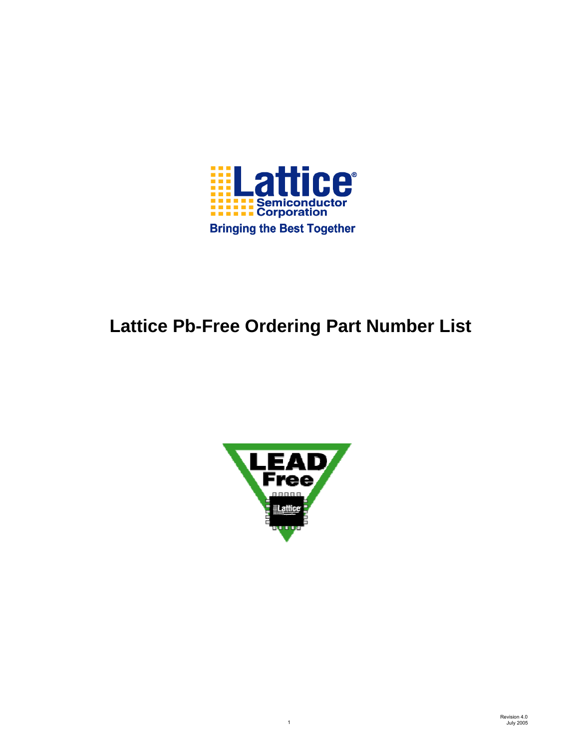

# **Lattice Pb-Free Ordering Part Number List**



1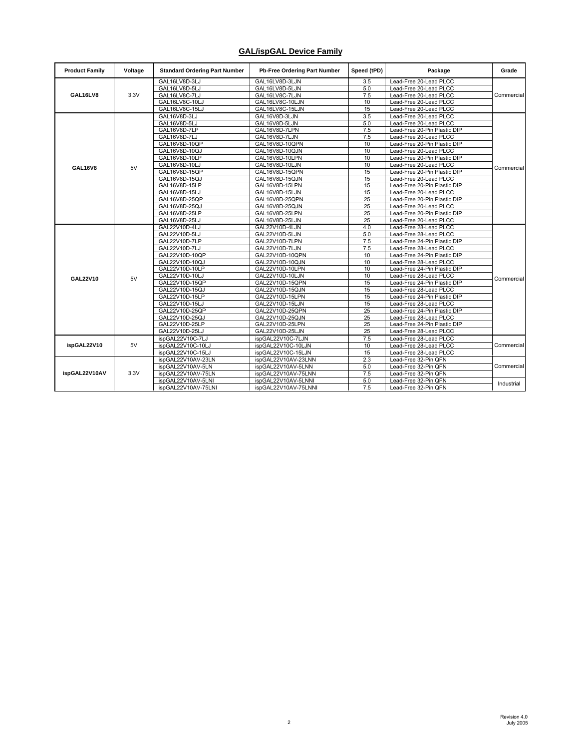## **GAL/ispGAL Device Family**

| <b>Product Family</b> | Voltage | <b>Standard Ordering Part Number</b> | Pb-Free Ordering Part Number | Speed (tPD) | Package                                      | Grade      |
|-----------------------|---------|--------------------------------------|------------------------------|-------------|----------------------------------------------|------------|
|                       |         | GAL16LV8D-3LJ                        | GAL16LV8D-3LJN               | 3.5         | Lead-Free 20-Lead PLCC                       |            |
|                       |         | GAL16LV8D-5LJ                        | GAL16LV8D-5LJN               | 5.0         | Lead-Free 20-Lead PLCC                       |            |
| GAL16LV8              | 3.3V    | GAL16LV8C-7LJ                        | GAL16LV8C-7LJN               | 7.5         | Lead-Free 20-Lead PLCC                       | Commercial |
|                       |         | GAL16LV8C-10LJ                       | GAL16LV8C-10LJN              | 10          | Lead-Free 20-Lead PLCC                       |            |
|                       |         | GAL16LV8C-15LJ                       | GAL16LV8C-15LJN              | 15          | Lead-Free 20-Lead PLCC                       |            |
|                       |         | GAL16V8D-3LJ                         | GAL16V8D-3LJN                | 3.5         | Lead-Free 20-Lead PLCC                       |            |
|                       |         | GAL16V8D-5LJ                         | GAL16V8D-5LJN                | 5.0         | Lead-Free 20-Lead PLCC                       |            |
|                       |         | GAL16V8D-7LP                         | GAL16V8D-7LPN                | 7.5         | Lead-Free 20-Pin Plastic DIP                 |            |
|                       |         | GAL16V8D-7LJ                         | GAL16V8D-7LJN                | 7.5         | Lead-Free 20-Lead PLCC                       |            |
|                       |         | GAL16V8D-10QP                        | GAL16V8D-10QPN               | 10          | Lead-Free 20-Pin Plastic DIP                 |            |
|                       |         | GAL16V8D-10QJ                        | GAL16V8D-10QJN               | 10          | Lead-Free 20-Lead PLCC                       |            |
|                       |         | GAL16V8D-10LP                        | GAL16V8D-10LPN               | 10          | Lead-Free 20-Pin Plastic DIP                 |            |
| <b>GAL16V8</b>        | 5V      | GAL16V8D-10LJ                        | GAL16V8D-10LJN               | 10          | Lead-Free 20-Lead PLCC                       | Commercial |
|                       |         | GAL16V8D-15QP                        | GAL16V8D-15QPN               | 15          | Lead-Free 20-Pin Plastic DIP                 |            |
|                       |         | GAL16V8D-15QJ                        | GAL16V8D-15QJN               | 15          | Lead-Free 20-Lead PLCC                       |            |
|                       |         | GAL16V8D-15LP                        | GAL16V8D-15LPN               | 15          | Lead-Free 20-Pin Plastic DIP                 |            |
|                       |         | GAL16V8D-15LJ                        | GAL16V8D-15LJN               | 15          | Lead-Free 20-Lead PLCC                       |            |
|                       |         | GAL16V8D-25QP                        | GAL16V8D-25QPN               | 25          | Lead-Free 20-Pin Plastic DIP                 |            |
|                       |         | GAL16V8D-25QJ                        | GAL16V8D-25QJN               | 25          | Lead-Free 20-Lead PLCC                       |            |
|                       |         | GAL16V8D-25LP                        | GAL16V8D-25LPN               | 25          | Lead-Free 20-Pin Plastic DIP                 |            |
|                       |         | GAL16V8D-25LJ                        | GAL16V8D-25LJN               | 25          | Lead-Free 20-Lead PLCC                       |            |
|                       |         | GAL22V10D-4LJ                        | GAL22V10D-4LJN               | 4.0         | Lead-Free 28-Lead PLCC                       |            |
|                       |         | GAL22V10D-5LJ                        | GAL22V10D-5LJN               | 5.0         | Lead-Free 28-Lead PLCC                       |            |
|                       |         | GAL22V10D-7LP                        | GAL22V10D-7LPN               | 7.5         | Lead-Free 24-Pin Plastic DIP                 |            |
|                       |         | GAL22V10D-7LJ                        | GAL22V10D-7LJN               | 7.5         | Lead-Free 28-Lead PLCC                       |            |
|                       |         | GAL22V10D-10QP                       | GAL22V10D-10QPN              | 10          | Lead-Free 24-Pin Plastic DIP                 |            |
|                       |         | GAL22V10D-10QJ                       | GAL22V10D-10QJN              | 10          | Lead-Free 28-Lead PLCC                       |            |
|                       |         | GAL22V10D-10LP                       | GAL22V10D-10LPN              | 10          | Lead-Free 24-Pin Plastic DIP                 |            |
|                       |         | GAL22V10D-10LJ                       | GAL22V10D-10LJN              | 10          | Lead-Free 28-Lead PLCC                       |            |
| GAL22V10              | 5V      | GAL22V10D-15QP                       | GAL22V10D-15QPN              | 15          | Lead-Free 24-Pin Plastic DIP                 | Commercial |
|                       |         | GAL22V10D-15QJ                       | GAL22V10D-15QJN              | 15          | Lead-Free 28-Lead PLCC                       |            |
|                       |         | GAL22V10D-15LP                       | GAL22V10D-15LPN              | 15          | Lead-Free 24-Pin Plastic DIP                 |            |
|                       |         | GAL22V10D-15LJ                       | GAL22V10D-15LJN              | 15          | Lead-Free 28-Lead PLCC                       |            |
|                       |         | GAL22V10D-25QP                       | GAL22V10D-25QPN              | 25          | Lead-Free 24-Pin Plastic DIP                 |            |
|                       |         | GAL22V10D-25QJ                       | GAL22V10D-25QJN              | 25          | Lead-Free 28-Lead PLCC                       |            |
|                       |         | GAL22V10D-25LP                       | GAL22V10D-25LPN              | 25          | Lead-Free 24-Pin Plastic DIP                 |            |
|                       |         | GAL22V10D-25LJ                       | GAL22V10D-25LJN              | 25          | Lead-Free 28-Lead PLCC                       |            |
|                       |         | ispGAL22V10C-7LJ                     | ispGAL22V10C-7LJN            | 7.5         | Lead-Free 28-Lead PLCC                       |            |
| ispGAL22V10           | 5V      | ispGAL22V10C-10LJ                    | ispGAL22V10C-10LJN           | 10          | Lead-Free 28-Lead PLCC                       | Commercial |
|                       |         | ispGAL22V10C-15LJ                    | ispGAL22V10C-15LJN           | 15          | Lead-Free 28-Lead PLCC                       |            |
|                       |         | ispGAL22V10AV-23LN                   | ispGAL22V10AV-23LNN          | 2.3         | Lead-Free 32-Pin QFN                         |            |
|                       |         | ispGAL22V10AV-5LN                    | ispGAL22V10AV-5LNN           | 5.0         | Lead-Free 32-Pin QFN                         |            |
| ispGAL22V10AV         | 3.3V    |                                      |                              | 7.5         |                                              | Commercial |
|                       |         | ispGAL22V10AV-75LN                   | ispGAL22V10AV-75LNN          | 5.0         | Lead-Free 32-Pin QFN<br>Lead-Free 32-Pin QFN |            |
|                       |         | ispGAL22V10AV-5LNI                   | ispGAL22V10AV-5LNNI          |             |                                              | Industrial |
|                       |         | ispGAL22V10AV-75LNI                  | ispGAL22V10AV-75LNNI         | 7.5         | Lead-Free 32-Pin QFN                         |            |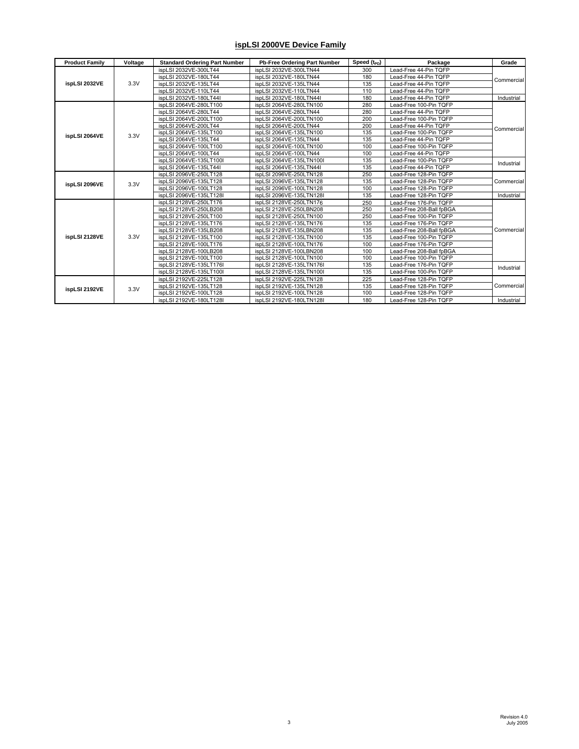#### **ispLSI 2000VE Device Family**

| <b>Product Family</b> | Voltage | <b>Standard Ordering Part Number</b> | Pb-Free Ordering Part Number | Speed $(t_{\text{PD}})$ | Package                  | Grade      |
|-----------------------|---------|--------------------------------------|------------------------------|-------------------------|--------------------------|------------|
|                       |         | ispLSI 2032VE-300LT44                | ispLSI 2032VE-300LTN44       | 300                     | Lead-Free 44-Pin TQFP    |            |
|                       |         | ispLSI 2032VE-180LT44                | ispLSI 2032VE-180LTN44       | 180                     | Lead-Free 44-Pin TQFP    | Commercial |
| ispLSI 2032VE         | 3.3V    | ispLSI 2032VE-135LT44                | ispLSI 2032VE-135LTN44       | 135                     | Lead-Free 44-Pin TQFP    |            |
|                       |         | ispLSI 2032VE-110LT44                | ispLSI 2032VE-110LTN44       | 110                     | Lead-Free 44-Pin TQFP    |            |
|                       |         | ispLSI 2032VE-180LT44I               | ispLSI 2032VE-180LTN44I      | 180                     | Lead-Free 44-Pin TQFP    | Industrial |
|                       |         | ispLSI 2064VE-280LT100               | ispLSI 2064VE-280LTN100      | 280                     | Lead-Free 100-Pin TQFP   |            |
|                       |         | ispLSI 2064VE-280LT44                | ispLSI 2064VE-280LTN44       | 280                     | Lead-Free 44-Pin TQFP    |            |
|                       |         | ispLSI 2064VE-200LT100               | ispLSI 2064VE-200LTN100      | 200                     | Lead-Free 100-Pin TQFP   |            |
|                       |         | ispLSI 2064VE-200LT44                | ispLSI 2064VE-200LTN44       | 200                     | Lead-Free 44-Pin TQFP    |            |
| ispLSI 2064VE         | 3.3V    | ispLSI 2064VE-135LT100               | ispLSI 2064VE-135LTN100      | 135                     | Lead-Free 100-Pin TQFP   | Commercial |
|                       |         | ispLSI 2064VE-135LT44                | ispLSI 2064VE-135LTN44       | 135                     | Lead-Free 44-Pin TQFP    |            |
|                       |         | ispLSI 2064VE-100LT100               | ispLSI 2064VE-100LTN100      | 100                     | Lead-Free 100-Pin TQFP   |            |
|                       |         | ispLSI 2064VE-100LT44                | ispLSI 2064VE-100LTN44       | 100                     | Lead-Free 44-Pin TQFP    |            |
|                       |         | ispLSI 2064VE-135LT100I              | ispLSI 2064VE-135LTN100I     | 135                     | Lead-Free 100-Pin TQFP   | Industrial |
|                       |         | ispLSI 2064VE-135LT44I               | ispLSI 2064VE-135LTN44I      | 135                     | Lead-Free 44-Pin TQFP    |            |
|                       |         | ispLSI 2096VE-250LT128               | ispLSI 2096VE-250LTN128      | 250                     | Lead-Free 128-Pin TQFP   |            |
| ispLSI 2096VE         | 3.3V    | ispLSI 2096VE-135LT128               | ispLSI 2096VE-135LTN128      | 135                     | Lead-Free 128-Pin TQFP   | Commercial |
|                       |         | ispLSI 2096VE-100LT128               | ispLSI 2096VE-100LTN128      | 100                     | Lead-Free 128-Pin TQFP   |            |
|                       |         | ispLSI 2096VE-135LT128I              | ispLSI 2096VE-135LTN128I     | 135                     | Lead-Free 128-Pin TQFP   | Industrial |
|                       |         | ispLSI 2128VE-250LT176               | ispLSI 2128VE-250LTN176      | 250                     | Lead-Free 176-Pin TQFP   |            |
|                       |         | ispLSI 2128VE-250LB208               | ispLSI 2128VE-250LBN208      | 250                     | Lead-Free 208-Ball fpBGA |            |
|                       |         | ispLSI 2128VE-250LT100               | ispLSI 2128VE-250LTN100      | 250                     | Lead-Free 100-Pin TQFP   |            |
|                       |         | ispLSI 2128VE-135LT176               | ispLSI 2128VE-135LTN176      | 135                     | Lead-Free 176-Pin TQFP   |            |
|                       |         | ispLSI 2128VE-135LB208               | ispLSI 2128VE-135LBN208      | 135                     | Lead-Free 208-Ball fpBGA | Commercial |
| ispLSI 2128VE         | 3.3V    | ispLSI 2128VE-135LT100               | ispLSI 2128VE-135LTN100      | 135                     | Lead-Free 100-Pin TQFP   |            |
|                       |         | ispLSI 2128VE-100LT176               | ispLSI 2128VE-100LTN176      | 100                     | Lead-Free 176-Pin TQFP   |            |
|                       |         | ispLSI 2128VE-100LB208               | ispLSI 2128VE-100LBN208      | 100                     | Lead-Free 208-Ball fpBGA |            |
|                       |         | ispLSI 2128VE-100LT100               | ispLSI 2128VE-100LTN100      | 100                     | Lead-Free 100-Pin TQFP   |            |
|                       |         | ispLSI 2128VE-135LT176I              | ispLSI 2128VE-135LTN176I     | 135                     | Lead-Free 176-Pin TQFP   | Industrial |
|                       |         | ispLSI 2128VE-135LT100I              | ispLSI 2128VE-135LTN100I     | 135                     | Lead-Free 100-Pin TQFP   |            |
|                       |         | ispLSI 2192VE-225LT128               | ispLSI 2192VE-225LTN128      | 225                     | Lead-Free 128-Pin TQFP   |            |
|                       | 3.3V    | ispLSI 2192VE-135LT128               | ispLSI 2192VE-135LTN128      | 135                     | Lead-Free 128-Pin TQFP   | Commercial |
| ispLSI 2192VE         |         | ispLSI 2192VE-100LT128               | ispLSI 2192VE-100LTN128      | 100                     | Lead-Free 128-Pin TQFP   |            |
|                       |         | ispLSI 2192VE-180LT128I              | ispLSI 2192VE-180LTN128I     | 180                     | Lead-Free 128-Pin TQFP   | Industrial |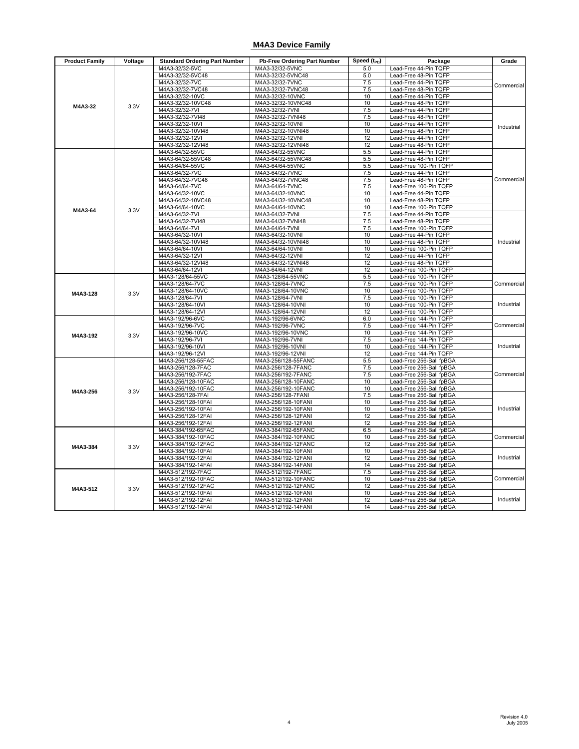#### **M4A3 Device Family**

| <b>Product Family</b> | Voltage | <b>Standard Ordering Part Number</b>     | <b>Pb-Free Ordering Part Number</b>        | Speed (t <sub>PD</sub> ) | Package                                              | Grade      |
|-----------------------|---------|------------------------------------------|--------------------------------------------|--------------------------|------------------------------------------------------|------------|
|                       |         | M4A3-32/32-5VC                           | M4A3-32/32-5VNC                            | 5.0                      | Lead-Free 44-Pin TQFP                                |            |
|                       |         | M4A3-32/32-5VC48                         | M4A3-32/32-5VNC48                          | 5.0                      | Lead-Free 48-Pin TQFP                                |            |
|                       |         | M4A3-32/32-7VC                           | M4A3-32/32-7VNC                            | 7.5                      | Lead-Free 44-Pin TQFP                                | Commercial |
|                       |         | M4A3-32/32-7VC48                         | M4A3-32/32-7VNC48                          | 7.5                      | Lead-Free 48-Pin TQFP                                |            |
|                       |         | M4A3-32/32-10VC                          | M4A3-32/32-10VNC                           | 10                       | Lead-Free 44-Pin TQFP                                |            |
| M4A3-32               | 3.3V    | M4A3-32/32-10VC48                        | M4A3-32/32-10VNC48                         | 10                       | Lead-Free 48-Pin TQFP                                |            |
|                       |         | M4A3-32/32-7VI                           | M4A3-32/32-7VNI                            | 7.5                      | Lead-Free 44-Pin TQFP                                |            |
|                       |         | M4A3-32/32-7VI48                         | M4A3-32/32-7VNI48                          | 7.5                      | Lead-Free 48-Pin TQFP                                |            |
|                       |         | M4A3-32/32-10VI                          | M4A3-32/32-10VNI                           | 10                       | Lead-Free 44-Pin TQFP                                | Industrial |
|                       |         | M4A3-32/32-10VI48                        | M4A3-32/32-10VNI48                         | 10                       | Lead-Free 48-Pin TQFP                                |            |
|                       |         | M4A3-32/32-12VI<br>M4A3-32/32-12VI48     | M4A3-32/32-12VNI<br>M4A3-32/32-12VNI48     | 12<br>12                 | Lead-Free 44-Pin TQFP<br>Lead-Free 48-Pin TQFP       |            |
|                       |         | M4A3-64/32-55VC                          | M4A3-64/32-55VNC                           | 5.5                      | Lead-Free 44-Pin TQFP                                |            |
|                       |         | M4A3-64/32-55VC48                        | M4A3-64/32-55VNC48                         | 5.5                      | Lead-Free 48-Pin TQFP                                |            |
|                       |         | M4A3-64/64-55VC                          | M4A3-64/64-55VNC                           | 5.5                      | Lead-Free 100-Pin TQFP                               |            |
|                       |         | M4A3-64/32-7VC                           | M4A3-64/32-7VNC                            | 7.5                      | Lead-Free 44-Pin TQFP                                |            |
|                       |         | M4A3-64/32-7VC48                         | M4A3-64/32-7VNC48                          | 7.5                      | Lead-Free 48-Pin TQFP                                | Commercial |
|                       |         | M4A3-64/64-7VC                           | M4A3-64/64-7VNC                            | 7.5                      | Lead-Free 100-Pin TQFP                               |            |
|                       |         | M4A3-64/32-10VC                          | M4A3-64/32-10VNC                           | 10                       | Lead-Free 44-Pin TQFP                                |            |
|                       |         | M4A3-64/32-10VC48                        | M4A3-64/32-10VNC48                         | 10                       | Lead-Free 48-Pin TQFP                                |            |
| M4A3-64               | 3.3V    | M4A3-64/64-10VC                          | M4A3-64/64-10VNC                           | 10                       | Lead-Free 100-Pin TQFP                               |            |
|                       |         | M4A3-64/32-7VI                           | M4A3-64/32-7VNI                            | 7.5                      | Lead-Free 44-Pin TQFP                                |            |
|                       |         | M4A3-64/32-7VI48                         | M4A3-64/32-7VNI48                          | 7.5                      | Lead-Free 48-Pin TQFP                                |            |
|                       |         | M4A3-64/64-7VI                           | M4A3-64/64-7VNI                            | 7.5                      | Lead-Free 100-Pin TQFP                               |            |
|                       |         | M4A3-64/32-10VI                          | M4A3-64/32-10VNI                           | 10                       | Lead-Free 44-Pin TQFP                                |            |
|                       |         | M4A3-64/32-10VI48                        | M4A3-64/32-10VNI48                         | 10                       | Lead-Free 48-Pin TQFP                                | Industrial |
|                       |         | M4A3-64/64-10VI                          | M4A3-64/64-10VNI                           | 10                       | Lead-Free 100-Pin TQFP                               |            |
|                       |         | M4A3-64/32-12VI                          | M4A3-64/32-12VNI                           | 12                       | Lead-Free 44-Pin TQFP                                |            |
|                       |         | M4A3-64/32-12VI48                        | M4A3-64/32-12VNI48                         | 12                       | Lead-Free 48-Pin TQFP                                |            |
|                       |         | M4A3-64/64-12VI                          | M4A3-64/64-12VNI                           | 12                       | Lead-Free 100-Pin TQFP                               |            |
|                       |         | M4A3-128/64-55VC                         | M4A3-128/64-55VNC                          | 5.5                      | Lead-Free 100-Pin TQFP                               |            |
|                       |         | M4A3-128/64-7VC                          | M4A3-128/64-7VNC                           | 7.5                      | Lead-Free 100-Pin TQFP                               | Commercial |
| M4A3-128              | 3.3V    | M4A3-128/64-10VC                         | M4A3-128/64-10VNC                          | 10                       | Lead-Free 100-Pin TQFP                               |            |
|                       |         | M4A3-128/64-7VI<br>M4A3-128/64-10VI      | M4A3-128/64-7VNI<br>M4A3-128/64-10VNI      | 7.5<br>10                | Lead-Free 100-Pin TQFP<br>Lead-Free 100-Pin TQFP     | Industrial |
|                       |         | M4A3-128/64-12VI                         | M4A3-128/64-12VNI                          | 12                       | Lead-Free 100-Pin TQFP                               |            |
|                       |         | M4A3-192/96-6VC                          | M4A3-192/96-6VNC                           | 6.0                      | Lead-Free 144-Pin TQFP                               |            |
|                       |         | M4A3-192/96-7VC                          | M4A3-192/96-7VNC                           | 7.5                      | Lead-Free 144-Pin TQFP                               | Commercial |
|                       |         | M4A3-192/96-10VC                         | M4A3-192/96-10VNC                          | 10                       | Lead-Free 144-Pin TQFP                               |            |
| M4A3-192              | 3.3V    | M4A3-192/96-7VI                          | M4A3-192/96-7VNI                           | 7.5                      | Lead-Free 144-Pin TQFP                               |            |
|                       |         | M4A3-192/96-10VI                         | M4A3-192/96-10VNI                          | 10                       | Lead-Free 144-Pin TQFP                               | Industrial |
|                       |         | M4A3-192/96-12VI                         | M4A3-192/96-12VNI                          | 12                       | Lead-Free 144-Pin TQFP                               |            |
|                       |         | M4A3-256/128-55FAC                       | M4A3-256/128-55FANC                        | 5.5                      | Lead-Free 256-Ball fpBGA                             |            |
|                       |         | M4A3-256/128-7FAC                        | M4A3-256/128-7FANC                         | 7.5                      | Lead-Free 256-Ball fpBGA                             |            |
|                       |         | M4A3-256/192-7FAC                        | M4A3-256/192-7FANC                         | 7.5                      | Lead-Free 256-Ball fpBGA                             | Commercial |
|                       |         | M4A3-256/128-10FAC                       | M4A3-256/128-10FANC                        | 10                       | Lead-Free 256-Ball fpBGA                             |            |
| M4A3-256              | 3.3V    | M4A3-256/192-10FAC                       | M4A3-256/192-10FANC                        | 10                       | Lead-Free 256-Ball fpBGA                             |            |
|                       |         | M4A3-256/128-7FAI                        | M4A3-256/128-7FANI                         | 7.5                      | Lead-Free 256-Ball fpBGA                             |            |
|                       |         | M4A3-256/128-10FAI                       | M4A3-256/128-10FANI                        | 10                       | Lead-Free 256-Ball fpBGA                             |            |
|                       |         | M4A3-256/192-10FAI                       | M4A3-256/192-10FANI                        | 10                       | Lead-Free 256-Ball fpBGA                             | Industrial |
|                       |         | M4A3-256/128-12FAI                       | M4A3-256/128-12FANI                        | 12                       | Lead-Free 256-Ball fpBGA                             |            |
|                       |         | M4A3-256/192-12FAI                       | M4A3-256/192-12FANI                        | 12                       | Lead-Free 256-Ball fpBGA                             |            |
|                       |         | M4A3-384/192-65FAC                       | M4A3-384/192-65FANC                        | 6.5                      | Lead-Free 256-Ball fpBGA                             | Commercial |
|                       |         | M4A3-384/192-10FAC                       | M4A3-384/192-10FANC                        | 10<br>12                 | Lead-Free 256-Ball fpBGA                             |            |
| M4A3-384              | 3.3V    | M4A3-384/192-12FAC<br>M4A3-384/192-10FAI | M4A3-384/192-12FANC<br>M4A3-384/192-10FANI | 10                       | Lead-Free 256-Ball fpBGA<br>Lead-Free 256-Ball fpBGA |            |
|                       |         | M4A3-384/192-12FAI                       | M4A3-384/192-12FANI                        | 12                       | Lead-Free 256-Ball fpBGA                             | Industrial |
|                       |         | M4A3-384/192-14FAI                       | M4A3-384/192-14FANI                        | 14                       | Lead-Free 256-Ball fpBGA                             |            |
|                       |         | M4A3-512/192-7FAC                        | M4A3-512/192-7FANC                         | 7.5                      | Lead-Free 256-Ball fpBGA                             |            |
|                       |         | M4A3-512/192-10FAC                       | M4A3-512/192-10FANC                        | 10                       | Lead-Free 256-Ball fpBGA                             |            |
|                       |         | M4A3-512/192-12FAC                       | M4A3-512/192-12FANC                        | 12                       | Lead-Free 256-Ball fpBGA                             | Commercial |
| M4A3-512              | 3.3V    | M4A3-512/192-10FAI                       | M4A3-512/192-10FANI                        | 10                       | Lead-Free 256-Ball fpBGA                             |            |
|                       |         | M4A3-512/192-12FAI                       | M4A3-512/192-12FANI                        | 12                       | Lead-Free 256-Ball fpBGA                             | Industrial |
|                       |         | M4A3-512/192-14FAI                       | M4A3-512/192-14FANI                        | 14                       | Lead-Free 256-Ball fpBGA                             |            |
|                       |         |                                          |                                            |                          |                                                      |            |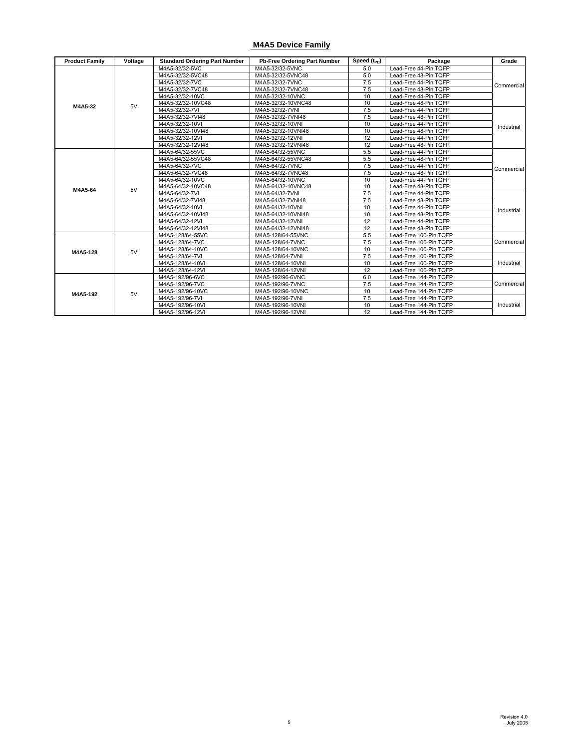#### **M4A5 Device Family**

| <b>Product Family</b> | Voltage | <b>Standard Ordering Part Number</b> | Pb-Free Ordering Part Number | Speed $(t_{\text{PD}})$ | Package                | Grade      |
|-----------------------|---------|--------------------------------------|------------------------------|-------------------------|------------------------|------------|
|                       |         | M4A5-32/32-5VC                       | M4A5-32/32-5VNC              | 5.0                     | Lead-Free 44-Pin TQFP  |            |
|                       |         | M4A5-32/32-5VC48                     | M4A5-32/32-5VNC48            | 5.0                     | Lead-Free 48-Pin TQFP  |            |
|                       |         | M4A5-32/32-7VC                       | M4A5-32/32-7VNC              | 7.5                     | Lead-Free 44-Pin TQFP  | Commercial |
|                       |         | M4A5-32/32-7VC48                     | M4A5-32/32-7VNC48            | 7.5                     | Lead-Free 48-Pin TQFP  |            |
|                       |         | M4A5-32/32-10VC                      | M4A5-32/32-10VNC             | 10                      | Lead-Free 44-Pin TQFP  |            |
| M4A5-32               | 5V      | M4A5-32/32-10VC48                    | M4A5-32/32-10VNC48           | 10                      | Lead-Free 48-Pin TQFP  |            |
|                       |         | M4A5-32/32-7VI                       | M4A5-32/32-7VNI              | 7.5                     | Lead-Free 44-Pin TQFP  |            |
|                       |         | M4A5-32/32-7VI48                     | M4A5-32/32-7VNI48            | 7.5                     | Lead-Free 48-Pin TQFP  |            |
|                       |         | M4A5-32/32-10VI                      | M4A5-32/32-10VNI             | 10                      | Lead-Free 44-Pin TQFP  | Industrial |
|                       |         | M4A5-32/32-10VI48                    | M4A5-32/32-10VNI48           | 10                      | Lead-Free 48-Pin TQFP  |            |
|                       |         | M4A5-32/32-12VI                      | M4A5-32/32-12VNI             | 12                      | Lead-Free 44-Pin TQFP  |            |
|                       |         | M4A5-32/32-12VI48                    | M4A5-32/32-12VNI48           | 12                      | Lead-Free 48-Pin TQFP  |            |
|                       |         | M4A5-64/32-55VC                      | M4A5-64/32-55VNC             | 5.5                     | Lead-Free 44-Pin TQFP  |            |
|                       |         | M4A5-64/32-55VC48                    | M4A5-64/32-55VNC48           | 5.5                     | Lead-Free 48-Pin TQFP  |            |
|                       |         | M4A5-64/32-7VC                       | M4A5-64/32-7VNC              | 7.5                     | Lead-Free 44-Pin TQFP  |            |
|                       |         | M4A5-64/32-7VC48                     | M4A5-64/32-7VNC48            | 7.5                     | Lead-Free 48-Pin TQFP  | Commercial |
|                       |         | M4A5-64/32-10VC                      | M4A5-64/32-10VNC             | 10                      | Lead-Free 44-Pin TQFP  |            |
|                       | 5V      | M4A5-64/32-10VC48                    | M4A5-64/32-10VNC48           | 10                      | Lead-Free 48-Pin TQFP  |            |
| M4A5-64               |         | M4A5-64/32-7VI                       | M4A5-64/32-7VNI              | 7.5                     | Lead-Free 44-Pin TQFP  |            |
|                       |         | M4A5-64/32-7VI48                     | M4A5-64/32-7VNI48            | 7.5                     | Lead-Free 48-Pin TQFP  |            |
|                       |         | M4A5-64/32-10VI                      | M4A5-64/32-10VNI             | 10                      | Lead-Free 44-Pin TQFP  | Industrial |
|                       |         | M4A5-64/32-10VI48                    | M4A5-64/32-10VNI48           | 10                      | Lead-Free 48-Pin TQFP  |            |
|                       |         | M4A5-64/32-12VI                      | M4A5-64/32-12VNI             | 12                      | Lead-Free 44-Pin TQFP  |            |
|                       |         | M4A5-64/32-12VI48                    | M4A5-64/32-12VNI48           | 12                      | Lead-Free 48-Pin TQFP  |            |
|                       |         | M4A5-128/64-55VC                     | M4A5-128/64-55VNC            | 5.5                     | Lead-Free 100-Pin TQFP |            |
|                       |         | M4A5-128/64-7VC                      | M4A5-128/64-7VNC             | 7.5                     | Lead-Free 100-Pin TQFP | Commercial |
| M4A5-128              | 5V      | M4A5-128/64-10VC                     | M4A5-128/64-10VNC            | 10                      | Lead-Free 100-Pin TQFP |            |
|                       |         | M4A5-128/64-7VI                      | M4A5-128/64-7VNI             | 7.5                     | Lead-Free 100-Pin TQFP |            |
|                       |         | M4A5-128/64-10VI                     | M4A5-128/64-10VNI            | 10                      | Lead-Free 100-Pin TQFP | Industrial |
|                       |         | M4A5-128/64-12VI                     | M4A5-128/64-12VNI            | 12                      | Lead-Free 100-Pin TQFP |            |
|                       |         | M4A5-192/96-6VC                      | M4A5-192/96-6VNC             | 6.0                     | Lead-Free 144-Pin TQFP |            |
|                       |         | M4A5-192/96-7VC                      | M4A5-192/96-7VNC             | 7.5                     | Lead-Free 144-Pin TQFP | Commercial |
|                       |         | M4A5-192/96-10VC                     | M4A5-192/96-10VNC            | 10                      | Lead-Free 144-Pin TQFP |            |
| M4A5-192              | 5V      | M4A5-192/96-7VI                      | M4A5-192/96-7VNI             | 7.5                     | Lead-Free 144-Pin TQFP |            |
|                       |         | M4A5-192/96-10VI                     | M4A5-192/96-10VNI            | 10                      | Lead-Free 144-Pin TQFP | Industrial |
|                       |         | M4A5-192/96-12VI                     | M4A5-192/96-12VNI            | 12                      | Lead-Free 144-Pin TOFP |            |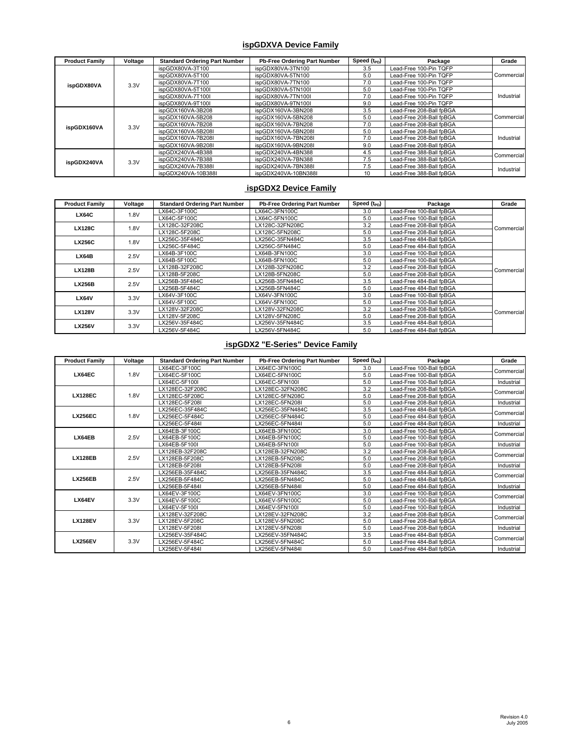#### **ispGDXVA Device Family**

| <b>Product Family</b> | Voltage | <b>Standard Ordering Part Number</b> | Pb-Free Ordering Part Number | Speed $(t_{\text{PD}})$ | Package                  | Grade      |
|-----------------------|---------|--------------------------------------|------------------------------|-------------------------|--------------------------|------------|
|                       |         | ispGDX80VA-3T100                     | ispGDX80VA-3TN100            | 3.5                     | Lead-Free 100-Pin TQFP   |            |
|                       |         | ispGDX80VA-5T100                     | ispGDX80VA-5TN100            | 5.0                     | Lead-Free 100-Pin TQFP   | Commercial |
| ispGDX80VA            | 3.3V    | ispGDX80VA-7T100                     | ispGDX80VA-7TN100            | 7.0                     | Lead-Free 100-Pin TQFP   |            |
|                       |         | ispGDX80VA-5T100I                    | ispGDX80VA-5TN100I           | 5.0                     | Lead-Free 100-Pin TQFP   |            |
|                       |         | ispGDX80VA-7T100I                    | ispGDX80VA-7TN100I           | 7.0                     | Lead-Free 100-Pin TQFP   | Industrial |
|                       |         | ispGDX80VA-9T100I                    | ispGDX80VA-9TN100I           | 9.0                     | Lead-Free 100-Pin TQFP   |            |
|                       |         | ispGDX160VA-3B208                    | ispGDX160VA-3BN208           | 3.5                     | Lead-Free 208-Ball fpBGA |            |
|                       | 3.3V    | ispGDX160VA-5B208                    | ispGDX160VA-5BN208           | 5.0                     | Lead-Free 208-Ball fpBGA | Commercial |
| ispGDX160VA           |         | ispGDX160VA-7B208                    | ispGDX160VA-7BN208           | 7.0                     | Lead-Free 208-Ball fpBGA |            |
|                       |         | ispGDX160VA-5B208I                   | ispGDX160VA-5BN208I          | 5.0                     | Lead-Free 208-Ball fpBGA |            |
|                       |         | ispGDX160VA-7B208I                   | ispGDX160VA-7BN208I          | 7.0                     | Lead-Free 208-Ball fpBGA | Industrial |
|                       |         | ispGDX160VA-9B208I                   | ispGDX160VA-9BN208I          | 9.0                     | Lead-Free 208-Ball fpBGA |            |
|                       | 3.3V    | ispGDX240VA-4B388                    | ispGDX240VA-4BN388           | 4.5                     | Lead-Free 388-Ball fpBGA | Commercial |
| ispGDX240VA           |         | ispGDX240VA-7B388                    | ispGDX240VA-7BN388           | 7.5                     | Lead-Free 388-Ball fpBGA |            |
|                       |         | ispGDX240VA-7B388I                   | ispGDX240VA-7BN388I          | 7.5                     | Lead-Free 388-Ball fpBGA | Industrial |
|                       |         | ispGDX240VA-10B388I                  | ispGDX240VA-10BN388I         | 10                      | Lead-Free 388-Ball fpBGA |            |

#### **ispGDX2 Device Family**

| <b>Product Family</b> | Voltage | <b>Standard Ordering Part Number</b> | Pb-Free Ordering Part Number | Speed (t <sub>PD</sub> ) | Package                  | Grade       |
|-----------------------|---------|--------------------------------------|------------------------------|--------------------------|--------------------------|-------------|
| <b>LX64C</b>          | 1.8V    | LX64C-3F100C                         | LX64C-3FN100C                | 3.0                      | Lead-Free 100-Ball fpBGA |             |
|                       |         | LX64C-5F100C                         | LX64C-5FN100C                | 5.0                      | Lead-Free 100-Ball fpBGA |             |
| <b>LX128C</b>         | 1.8V    | LX128C-32F208C                       | LX128C-32FN208C              | 3.2                      | Lead-Free 208-Ball fpBGA | Commercial  |
|                       |         | LX128C-5F208C                        | LX128C-5FN208C               | 5.0                      | Lead-Free 208-Ball fpBGA |             |
| <b>LX256C</b>         | 1.8V    | LX256C-35F484C                       | LX256C-35FN484C              | 3.5                      | Lead-Free 484-Ball fpBGA |             |
|                       |         | LX256C-5F484C                        | LX256C-5FN484C               | 5.0                      | Lead-Free 484-Ball fpBGA |             |
| LX64B                 | 2.5V    | LX64B-3F100C                         | LX64B-3FN100C                | 3.0                      | Lead-Free 100-Ball fpBGA |             |
|                       |         | LX64B-5F100C                         | LX64B-5FN100C                | 5.0                      | Lead-Free 100-Ball fpBGA |             |
| <b>LX128B</b>         | 2.5V    | LX128B-32F208C                       | LX128B-32FN208C              | 3.2                      | Lead-Free 208-Ball fpBGA | Commercial  |
|                       |         | LX128B-5F208C                        | LX128B-5FN208C               | 5.0                      | Lead-Free 208-Ball fpBGA |             |
| <b>LX256B</b>         | 2.5V    | LX256B-35F484C                       | LX256B-35FN484C              | 3.5                      | Lead-Free 484-Ball fpBGA |             |
|                       |         | LX256B-5F484C                        | LX256B-5FN484C               | 5.0                      | Lead-Free 484-Ball fpBGA |             |
| <b>LX64V</b>          | 3.3V    | LX64V-3F100C                         | LX64V-3FN100C                | 3.0                      | Lead-Free 100-Ball fpBGA |             |
|                       |         | LX64V-5F100C                         | LX64V-5FN100C                | 5.0                      | Lead-Free 100-Ball fpBGA |             |
| <b>LX128V</b>         | 3.3V    | LX128V-32F208C                       | LX128V-32FN208C              | 3.2                      | Lead-Free 208-Ball fpBGA | Commerciall |
|                       |         | LX128V-5F208C                        | LX128V-5FN208C               | 5.0                      | Lead-Free 208-Ball fpBGA |             |
| <b>LX256V</b>         | 3.3V    | LX256V-35F484C                       | LX256V-35FN484C              | 3.5                      | Lead-Free 484-Ball fpBGA |             |
|                       |         | LX256V-5F484C                        | LX256V-5FN484C               | 5.0                      | Lead-Free 484-Ball fpBGA |             |

# **ispGDX2 "E-Series" Device Family**

| <b>Product Family</b> | Voltage | <b>Standard Ordering Part Number</b> | Pb-Free Ordering Part Number | Speed (t <sub>PD</sub> ) | Package                  | Grade      |
|-----------------------|---------|--------------------------------------|------------------------------|--------------------------|--------------------------|------------|
|                       |         | LX64EC-3F100C                        | LX64EC-3FN100C               | 3.0                      | Lead-Free 100-Ball fpBGA | Commercial |
| LX64EC                | 1.8V    | LX64EC-5F100C                        | LX64EC-5FN100C               | 5.0                      | Lead-Free 100-Ball fpBGA |            |
|                       |         | LX64EC-5F100I                        | LX64EC-5FN100I               | 5.0                      | Lead-Free 100-Ball fpBGA | Industrial |
|                       |         | LX128EC-32F208C                      | LX128EC-32FN208C             | 3.2                      | Lead-Free 208-Ball fpBGA |            |
| <b>LX128EC</b>        | 1.8V    | LX128EC-5F208C                       | LX128EC-5FN208C              | 5.0                      | Lead-Free 208-Ball fpBGA | Commercial |
|                       |         | LX128EC-5F208I                       | LX128EC-5FN208I              | 5.0                      | Lead-Free 208-Ball fpBGA | Industrial |
|                       |         | LX256EC-35F484C                      | LX256EC-35FN484C             | 3.5                      | Lead-Free 484-Ball fpBGA | Commercial |
| <b>LX256EC</b>        | 1.8V    | LX256EC-5F484C                       | LX256EC-5FN484C              | 5.0                      | Lead-Free 484-Ball fpBGA |            |
|                       |         | LX256EC-5F484I                       | LX256EC-5FN484I              | 5.0                      | Lead-Free 484-Ball fpBGA | Industrial |
|                       |         | LX64EB-3F100C                        | LX64EB-3FN100C               | 3.0                      | Lead-Free 100-Ball fpBGA |            |
| LX64EB                | 2.5V    | LX64EB-5F100C                        | LX64EB-5FN100C               | 5.0                      | Lead-Free 100-Ball fpBGA | Commercial |
|                       |         | LX64EB-5F100I                        | LX64EB-5FN100I               | 5.0                      | Lead-Free 100-Ball fpBGA | Industrial |
|                       |         | LX128EB-32F208C                      | LX128EB-32FN208C             | 3.2                      | Lead-Free 208-Ball fpBGA | Commercial |
| <b>LX128EB</b>        | 2.5V    | LX128EB-5F208C                       | LX128EB-5FN208C              | 5.0                      | Lead-Free 208-Ball fpBGA |            |
|                       |         | LX128EB-5F208I                       | LX128EB-5FN208I              | 5.0                      | Lead-Free 208-Ball fpBGA | Industrial |
|                       |         | LX256EB-35F484C                      | LX256EB-35FN484C             | 3.5                      | Lead-Free 484-Ball fpBGA | Commercial |
| <b>LX256EB</b>        | 2.5V    | LX256EB-5F484C                       | LX256EB-5FN484C              | 5.0                      | Lead-Free 484-Ball fpBGA |            |
|                       |         | LX256EB-5F484I                       | LX256EB-5FN484I              | 5.0                      | Lead-Free 484-Ball fpBGA | Industrial |
|                       |         | LX64EV-3F100C                        | LX64EV-3FN100C               | 3.0                      | Lead-Free 100-Ball fpBGA | Commercial |
| LX64EV                | 3.3V    | LX64EV-5F100C                        | LX64EV-5FN100C               | 5.0                      | Lead-Free 100-Ball fpBGA |            |
|                       |         | LX64EV-5F100I                        | LX64EV-5FN100I               | 5.0                      | Lead-Free 100-Ball fpBGA | Industrial |
|                       |         | LX128EV-32F208C                      | LX128EV-32FN208C             | 3.2                      | Lead-Free 208-Ball fpBGA | Commercial |
| <b>LX128EV</b>        | 3.3V    | LX128EV-5F208C                       | LX128EV-5FN208C              | 5.0                      | Lead-Free 208-Ball fpBGA |            |
|                       |         | LX128EV-5F208I                       | LX128EV-5FN208I              | 5.0                      | Lead-Free 208-Ball fpBGA | Industrial |
|                       |         | LX256EV-35F484C                      | LX256EV-35FN484C             | 3.5                      | Lead-Free 484-Ball fpBGA |            |
| <b>LX256EV</b>        | 3.3V    | LX256EV-5F484C                       | LX256EV-5FN484C              | 5.0                      | Lead-Free 484-Ball fpBGA | Commercial |
|                       |         | LX256EV-5F484I                       | LX256EV-5FN484I              | 5.0                      | Lead-Free 484-Ball fpBGA | Industrial |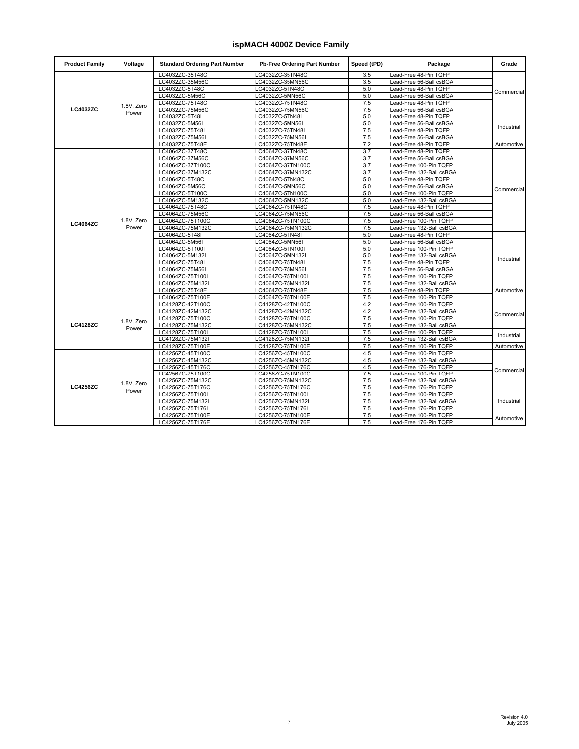### **ispMACH 4000Z Device Family**

| <b>Product Family</b> | Voltage    | <b>Standard Ordering Part Number</b> | Pb-Free Ordering Part Number | Speed (tPD) | Package                  | Grade      |
|-----------------------|------------|--------------------------------------|------------------------------|-------------|--------------------------|------------|
|                       |            | LC4032ZC-35T48C                      | LC4032ZC-35TN48C             | 3.5         | Lead-Free 48-Pin TQFP    |            |
|                       |            | LC4032ZC-35M56C                      | LC4032ZC-35MN56C             | 3.5         | Lead-Free 56-Ball csBGA  |            |
|                       |            | LC4032ZC-5T48C                       | LC4032ZC-5TN48C              | 5.0         | Lead-Free 48-Pin TQFP    | Commercial |
|                       |            | LC4032ZC-5M56C                       | LC4032ZC-5MN56C              | 5.0         | Lead-Free 56-Ball csBGA  |            |
|                       | 1.8V, Zero | LC4032ZC-75T48C                      | LC4032ZC-75TN48C             | 7.5         | Lead-Free 48-Pin TQFP    |            |
| <b>LC4032ZC</b>       | Power      | LC4032ZC-75M56C                      | LC4032ZC-75MN56C             | 7.5         | Lead-Free 56-Ball csBGA  |            |
|                       |            | LC4032ZC-5T48I                       | LC4032ZC-5TN48I              | 5.0         | Lead-Free 48-Pin TQFP    |            |
|                       |            | LC4032ZC-5M56I                       | LC4032ZC-5MN56I              | 5.0         | Lead-Free 56-Ball csBGA  | Industrial |
|                       |            | LC4032ZC-75T48I                      | LC4032ZC-75TN48I             | 7.5         | Lead-Free 48-Pin TQFP    |            |
|                       |            | LC4032ZC-75M56I                      | LC4032ZC-75MN56I             | 7.5         | Lead-Free 56-Ball csBGA  |            |
|                       |            | LC4032ZC-75T48E                      | LC4032ZC-75TN48E             | 7.2         | Lead-Free 48-Pin TQFP    | Automotive |
|                       |            | LC4064ZC-37T48C                      | LC4064ZC-37TN48C             | 3.7         | Lead-Free 48-Pin TQFP    |            |
|                       |            | LC4064ZC-37M56C                      | LC4064ZC-37MN56C             | 3.7         | Lead-Free 56-Ball csBGA  |            |
|                       |            | LC4064ZC-37T100C                     | LC4064ZC-37TN100C            | 3.7         | Lead-Free 100-Pin TQFP   |            |
|                       |            | LC4064ZC-37M132C                     | LC4064ZC-37MN132C            | 3.7         | Lead-Free 132-Ball csBGA |            |
|                       |            | LC4064ZC-5T48C                       | LC4064ZC-5TN48C              | 5.0         | Lead-Free 48-Pin TQFP    |            |
|                       |            | LC4064ZC-5M56C                       | LC4064ZC-5MN56C              | 5.0         | Lead-Free 56-Ball csBGA  |            |
|                       |            | LC4064ZC-5T100C                      | LC4064ZC-5TN100C             | 5.0         | Lead-Free 100-Pin TQFP   | Commercial |
|                       |            | LC4064ZC-5M132C                      | LC4064ZC-5MN132C             | 5.0         | Lead-Free 132-Ball csBGA |            |
| <b>LC4064ZC</b>       |            | LC4064ZC-75T48C                      | LC4064ZC-75TN48C             | 7.5         | Lead-Free 48-Pin TQFP    |            |
|                       |            | LC4064ZC-75M56C                      | LC4064ZC-75MN56C             | 7.5         | Lead-Free 56-Ball csBGA  |            |
|                       | 1.8V, Zero | LC4064ZC-75T100C                     | LC4064ZC-75TN100C            | 7.5         | Lead-Free 100-Pin TQFP   |            |
|                       | Power      | LC4064ZC-75M132C                     | LC4064ZC-75MN132C            | 7.5         | Lead-Free 132-Ball csBGA |            |
|                       |            | LC4064ZC-5T48I                       | LC4064ZC-5TN48I              | 5.0         | Lead-Free 48-Pin TQFP    |            |
|                       |            | LC4064ZC-5M56I                       | LC4064ZC-5MN56I              | 5.0         | Lead-Free 56-Ball csBGA  |            |
|                       |            | LC4064ZC-5T100I                      | LC4064ZC-5TN100I             | 5.0         | Lead-Free 100-Pin TQFP   |            |
|                       |            | LC4064ZC-5M132I                      | LC4064ZC-5MN132I             | 5.0         | Lead-Free 132-Ball csBGA |            |
|                       |            | LC4064ZC-75T48I                      | LC4064ZC-75TN48I             | 7.5         | Lead-Free 48-Pin TQFP    | Industrial |
|                       |            | LC4064ZC-75M56I                      | LC4064ZC-75MN56I             | 7.5         | Lead-Free 56-Ball csBGA  |            |
|                       |            | LC4064ZC-75T100I                     | LC4064ZC-75TN100I            | 7.5         | Lead-Free 100-Pin TQFP   |            |
|                       |            | LC4064ZC-75M132I                     | LC4064ZC-75MN132I            | 7.5         | Lead-Free 132-Ball csBGA |            |
|                       |            | LC4064ZC-75T48E                      | LC4064ZC-75TN48E             | 7.5         | Lead-Free 48-Pin TQFP    | Automotive |
|                       |            | LC4064ZC-75T100E                     | LC4064ZC-75TN100E            | 7.5         | Lead-Free 100-Pin TQFP   |            |
|                       |            | LC4128ZC-42T100C                     | LC4128ZC-42TN100C            | 4.2         | Lead-Free 100-Pin TQFP   |            |
|                       |            | LC4128ZC-42M132C                     | LC4128ZC-42MN132C            | 4.2         | Lead-Free 132-Ball csBGA |            |
|                       |            | LC4128ZC-75T100C                     | LC4128ZC-75TN100C            | 7.5         | Lead-Free 100-Pin TQFP   | Commercial |
| <b>LC4128ZC</b>       | 1.8V, Zero | LC4128ZC-75M132C                     | LC4128ZC-75MN132C            | 7.5         | Lead-Free 132-Ball csBGA |            |
|                       | Power      | LC4128ZC-75T100I                     | LC4128ZC-75TN100I            | 7.5         | Lead-Free 100-Pin TQFP   |            |
|                       |            | LC4128ZC-75M132I                     | LC4128ZC-75MN132I            | 7.5         | Lead-Free 132-Ball csBGA | Industrial |
|                       |            | LC4128ZC-75T100E                     | LC4128ZC-75TN100E            | 7.5         | Lead-Free 100-Pin TQFP   | Automotive |
|                       |            |                                      |                              |             |                          |            |
|                       |            | LC4256ZC-45T100C                     | LC4256ZC-45TN100C            | 4.5         | Lead-Free 100-Pin TQFP   |            |
|                       |            | LC4256ZC-45M132C                     | LC4256ZC-45MN132C            | 4.5         | Lead-Free 132-Ball csBGA |            |
|                       |            | LC4256ZC-45T176C                     | LC4256ZC-45TN176C            | 4.5         | Lead-Free 176-Pin TQFP   | Commercial |
|                       |            | LC4256ZC-75T100C                     | LC4256ZC-75TN100C            | 7.5         | Lead-Free 100-Pin TQFP   |            |
|                       | 1.8V, Zero | LC4256ZC-75M132C                     | LC4256ZC-75MN132C            | 7.5         | Lead-Free 132-Ball csBGA |            |
| <b>LC4256ZC</b>       | Power      | LC4256ZC-75T176C                     | LC4256ZC-75TN176C            | 7.5         | Lead-Free 176-Pin TQFP   |            |
|                       |            | LC4256ZC-75T100I                     | LC4256ZC-75TN100I            | 7.5         | Lead-Free 100-Pin TQFP   | Industrial |
|                       |            | LC4256ZC-75M132I                     | LC4256ZC-75MN132I            | 7.5         | Lead-Free 132-Ball csBGA |            |
|                       |            | LC4256ZC-75T176I                     | LC4256ZC-75TN176I            | 7.5         | Lead-Free 176-Pin TQFP   |            |
|                       |            | LC4256ZC-75T100E                     | LC4256ZC-75TN100E            | 7.5         | Lead-Free 100-Pin TQFP   | Automotive |
|                       |            | LC4256ZC-75T176E                     | LC4256ZC-75TN176E            | 7.5         | Lead-Free 176-Pin TQFP   |            |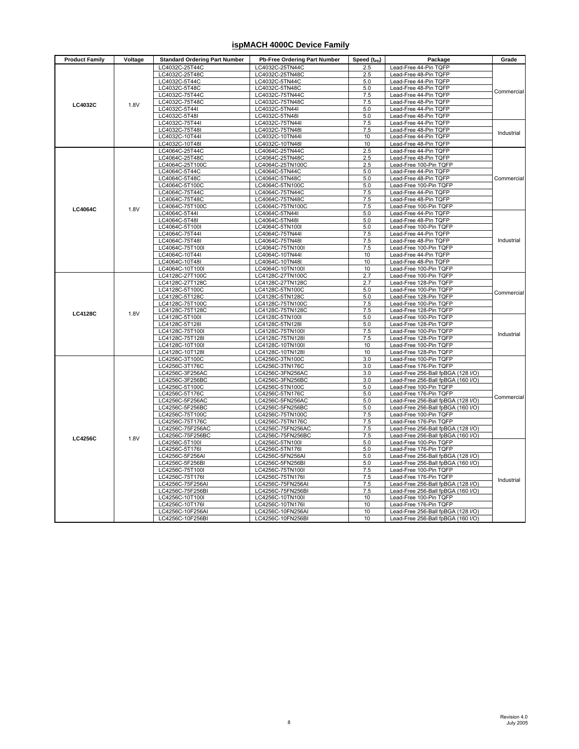### **ispMACH 4000C Device Family**

| LC4032C-25T44C<br>LC4032C-25TN44C<br>2.5<br>Lead-Free 44-Pin TQFP<br>LC4032C-25T48C<br>LC4032C-25TN48C<br>2.5<br>Lead-Free 48-Pin TQFP<br>LC4032C-5T44C<br>5.0<br>Lead-Free 44-Pin TQFP<br>LC4032C-5TN44C<br>$5.0$<br>LC4032C-5T48C<br>LC4032C-5TN48C<br>Lead-Free 48-Pin TQFP<br>7.5<br>Lead-Free 44-Pin TQFP<br>LC4032C-75T44C<br>LC4032C-75TN44C<br>LC4032C-75T48C<br>LC4032C-75TN48C<br>7.5<br>Lead-Free 48-Pin TQFP<br><b>LC4032C</b><br>1.8V<br>LC4032C-5T44I<br>LC4032C-5TN44I<br>5.0<br>Lead-Free 44-Pin TQFP<br>LC4032C-5T48I<br>LC4032C-5TN48I<br>5.0<br>Lead-Free 48-Pin TQFP<br>LC4032C-75T44I<br>7.5<br>Lead-Free 44-Pin TQFP<br>LC4032C-75TN44I<br>LC4032C-75T48I<br>LC4032C-75TN48I<br>7.5<br>Lead-Free 48-Pin TQFP<br>Industrial<br>LC4032C-10T44I<br>LC4032C-10TN44I<br>10<br>Lead-Free 44-Pin TQFP<br>LC4032C-10T48I<br>LC4032C-10TN48I<br>10<br>Lead-Free 48-Pin TQFP<br>2.5<br>LC4064C-25T44C<br>LC4064C-25TN44C<br>Lead-Free 44-Pin TQFP<br>2.5<br>Lead-Free 48-Pin TQFP<br>LC4064C-25T48C<br>LC4064C-25TN48C<br>LC4064C-25T100C<br>LC4064C-25TN100C<br>2.5<br>Lead-Free 100-Pin TQFP<br>LC4064C-5T44C<br>LC4064C-5TN44C<br>5.0<br>Lead-Free 44-Pin TQFP<br>LC4064C-5T48C<br>LC4064C-5TN48C<br>5.0<br>Lead-Free 48-Pin TQFP<br>LC4064C-5T100C<br>5.0<br>LC4064C-5TN100C<br>Lead-Free 100-Pin TQFP<br>LC4064C-75T44C<br>LC4064C-75TN44C<br>7.5<br>Lead-Free 44-Pin TQFP<br>LC4064C-75T48C<br>LC4064C-75TN48C<br>7.5<br>Lead-Free 48-Pin TQFP<br>LC4064C-75T100C<br>LC4064C-75TN100C<br>7.5<br>Lead-Free 100-Pin TQFP<br><b>LC4064C</b><br>1.8V<br>LC4064C-5T44I<br>5.0<br>Lead-Free 44-Pin TQFP<br>LC4064C-5TN44I<br>LC4064C-5T48I<br>LC4064C-5TN48I<br>5.0<br>Lead-Free 48-Pin TQFP<br>LC4064C-5T100<br>5.0<br>Lead-Free 100-Pin TQFP<br>LC4064C-5TN100I<br>LC4064C-75T44I<br>LC4064C-75TN44I<br>7.5<br>Lead-Free 44-Pin TQFP<br>LC4064C-75T48I<br>LC4064C-75TN48I<br>7.5<br>Lead-Free 48-Pin TQFP<br>Industrial<br>7.5<br>LC4064C-75T100I<br>LC4064C-75TN100I<br>Lead-Free 100-Pin TQFP<br>LC4064C-10T44I<br>LC4064C-10TN44I<br>10<br>Lead-Free 44-Pin TQFP<br>10<br>Lead-Free 48-Pin TQFP<br>LC4064C-10T48I<br>LC4064C-10TN48I<br>LC4064C-10T100<br>LC4064C-10TN100I<br>10<br>Lead-Free 100-Pin TQFP<br>LC4128C-27T100C<br>LC4128C-27TN100C<br>2.7<br>Lead-Free 100-Pin TQFP<br>LC4128C-27T128C<br>2.7<br>Lead-Free 128-Pin TQFP<br>LC4128C-27TN128C<br>5.0<br>LC4128C-5T100C<br>LC4128C-5TN100C<br>Lead-Free 100-Pin TQFP<br>Commercial<br>LC4128C-5T128C<br>LC4128C-5TN128C<br>5.0<br>Lead-Free 128-Pin TQFP<br>LC4128C-75T100C<br>LC4128C-75TN100C<br>7.5<br>Lead-Free 100-Pin TQFP<br>7.5<br>LC4128C-75T128C<br>LC4128C-75TN128C<br>Lead-Free 128-Pin TQFP<br><b>LC4128C</b><br>1.8V<br>LC4128C-5T100I<br>LC4128C-5TN100I<br>5.0<br>Lead-Free 100-Pin TQFP<br>LC4128C-5T128I<br>LC4128C-5TN128I<br>5.0<br>Lead-Free 128-Pin TQFP<br>LC4128C-75T100<br>LC4128C-75TN100I<br>7.5<br>Lead-Free 100-Pin TQFP<br>LC4128C-75T128I<br>LC4128C-75TN128I<br>7.5<br>Lead-Free 128-Pin TQFP<br>LC4128C-10T100I<br>LC4128C-10TN100I<br>10<br>Lead-Free 100-Pin TQFP<br>LC4128C-10T128I<br>LC4128C-10TN128I<br>10<br>Lead-Free 128-Pin TQFP<br>LC4256C-3T100C<br>LC4256C-3TN100C<br>3.0<br>Lead-Free 100-Pin TQFP<br>LC4256C-3T176C<br>LC4256C-3TN176C<br>3.0<br>Lead-Free 176-Pin TQFP<br>LC4256C-3F256AC<br>LC4256C-3FN256AC<br>3.0<br>Lead-Free 256-Ball fpBGA (128 I/O)<br>LC4256C-3F256BC<br>LC4256C-3FN256BC<br>3.0<br>Lead-Free 256-Ball fpBGA (160 I/O)<br>5.0<br>Lead-Free 100-Pin TQFP<br>LC4256C-5T100C<br>LC4256C-5TN100C<br>LC4256C-5T176C<br>LC4256C-5TN176C<br>5.0<br>Lead-Free 176-Pin TQFP<br>Commercial<br>LC4256C-5F256AC<br>LC4256C-5FN256AC<br>5.0<br>Lead-Free 256-Ball fpBGA (128 I/O)<br>5.0<br>LC4256C-5F256BC<br>LC4256C-5FN256BC<br>Lead-Free 256-Ball fpBGA (160 I/O)<br>7.5<br>LC4256C-75T100C<br>LC4256C-75TN100C<br>Lead-Free 100-Pin TQFP<br>7.5<br>Lead-Free 176-Pin TQFP<br>LC4256C-75T176C<br>LC4256C-75TN176C<br>LC4256C-75F256AC<br>LC4256C-75FN256AC<br>7.5<br>Lead-Free 256-Ball fpBGA (128 I/O)<br>LC4256C-75F256BC<br>7.5<br>Lead-Free 256-Ball fpBGA (160 I/O)<br>LC4256C-75FN256BC<br><b>LC4256C</b><br>1.8V<br>LC4256C-5T100I<br>LC4256C-5TN100I<br>5.0<br>Lead-Free 100-Pin TQFP<br>LC4256C-5T176I<br>LC4256C-5TN176I<br>5.0<br>Lead-Free 176-Pin TQFP<br>LC4256C-5F256AI<br>5.0<br>Lead-Free 256-Ball fpBGA (128 I/O)<br>LC4256C-5FN256AI<br>LC4256C-5F256BI<br>5.0<br>Lead-Free 256-Ball fpBGA (160 I/O)<br>LC4256C-5FN256BI<br>LC4256C-75T100I<br>LC4256C-75TN100I<br>7.5<br>Lead-Free 100-Pin TQFP<br>7.5<br>LC4256C-75T176I<br>LC4256C-75TN176I<br>Lead-Free 176-Pin TQFP<br>LC4256C-75F256AI<br>LC4256C-75FN256A<br>7.5<br>Lead-Free 256-Ball fpBGA (128 I/O)<br>LC4256C-75F256BI<br>LC4256C-75FN256BI<br>7.5<br>Lead-Free 256-Ball fpBGA (160 I/O)<br>LC4256C-10T100I<br>LC4256C-10TN100I<br>Lead-Free 100-Pin TQFP<br>10<br>LC4256C-10T176I<br>LC4256C-10TN176I<br>10<br>Lead-Free 176-Pin TQFP | <b>Product Family</b> | Voltage | <b>Standard Ordering Part Number</b> | <b>Pb-Free Ordering Part Number</b> | $Speed(t_{PD})$ | Package | Grade      |
|-------------------------------------------------------------------------------------------------------------------------------------------------------------------------------------------------------------------------------------------------------------------------------------------------------------------------------------------------------------------------------------------------------------------------------------------------------------------------------------------------------------------------------------------------------------------------------------------------------------------------------------------------------------------------------------------------------------------------------------------------------------------------------------------------------------------------------------------------------------------------------------------------------------------------------------------------------------------------------------------------------------------------------------------------------------------------------------------------------------------------------------------------------------------------------------------------------------------------------------------------------------------------------------------------------------------------------------------------------------------------------------------------------------------------------------------------------------------------------------------------------------------------------------------------------------------------------------------------------------------------------------------------------------------------------------------------------------------------------------------------------------------------------------------------------------------------------------------------------------------------------------------------------------------------------------------------------------------------------------------------------------------------------------------------------------------------------------------------------------------------------------------------------------------------------------------------------------------------------------------------------------------------------------------------------------------------------------------------------------------------------------------------------------------------------------------------------------------------------------------------------------------------------------------------------------------------------------------------------------------------------------------------------------------------------------------------------------------------------------------------------------------------------------------------------------------------------------------------------------------------------------------------------------------------------------------------------------------------------------------------------------------------------------------------------------------------------------------------------------------------------------------------------------------------------------------------------------------------------------------------------------------------------------------------------------------------------------------------------------------------------------------------------------------------------------------------------------------------------------------------------------------------------------------------------------------------------------------------------------------------------------------------------------------------------------------------------------------------------------------------------------------------------------------------------------------------------------------------------------------------------------------------------------------------------------------------------------------------------------------------------------------------------------------------------------------------------------------------------------------------------------------------------------------------------------------------------------------------------------------------------------------------------------------------------------------------------------------------------------------------------------------------------------------------------------------------------------------------------------------------------------------------------------------------------------------------------------------------------------------------------------------------------------------------------------------------------------------------------------------------------------------------------------------------------------------------------------------------------------------------------------------------------------------------------------------------------------------|-----------------------|---------|--------------------------------------|-------------------------------------|-----------------|---------|------------|
|                                                                                                                                                                                                                                                                                                                                                                                                                                                                                                                                                                                                                                                                                                                                                                                                                                                                                                                                                                                                                                                                                                                                                                                                                                                                                                                                                                                                                                                                                                                                                                                                                                                                                                                                                                                                                                                                                                                                                                                                                                                                                                                                                                                                                                                                                                                                                                                                                                                                                                                                                                                                                                                                                                                                                                                                                                                                                                                                                                                                                                                                                                                                                                                                                                                                                                                                                                                                                                                                                                                                                                                                                                                                                                                                                                                                                                                                                                                                                                                                                                                                                                                                                                                                                                                                                                                                                                                                                                                                                                                                                                                                                                                                                                                                                                                                                                                                                                                                                                   |                       |         |                                      |                                     |                 |         |            |
|                                                                                                                                                                                                                                                                                                                                                                                                                                                                                                                                                                                                                                                                                                                                                                                                                                                                                                                                                                                                                                                                                                                                                                                                                                                                                                                                                                                                                                                                                                                                                                                                                                                                                                                                                                                                                                                                                                                                                                                                                                                                                                                                                                                                                                                                                                                                                                                                                                                                                                                                                                                                                                                                                                                                                                                                                                                                                                                                                                                                                                                                                                                                                                                                                                                                                                                                                                                                                                                                                                                                                                                                                                                                                                                                                                                                                                                                                                                                                                                                                                                                                                                                                                                                                                                                                                                                                                                                                                                                                                                                                                                                                                                                                                                                                                                                                                                                                                                                                                   |                       |         |                                      |                                     |                 |         |            |
|                                                                                                                                                                                                                                                                                                                                                                                                                                                                                                                                                                                                                                                                                                                                                                                                                                                                                                                                                                                                                                                                                                                                                                                                                                                                                                                                                                                                                                                                                                                                                                                                                                                                                                                                                                                                                                                                                                                                                                                                                                                                                                                                                                                                                                                                                                                                                                                                                                                                                                                                                                                                                                                                                                                                                                                                                                                                                                                                                                                                                                                                                                                                                                                                                                                                                                                                                                                                                                                                                                                                                                                                                                                                                                                                                                                                                                                                                                                                                                                                                                                                                                                                                                                                                                                                                                                                                                                                                                                                                                                                                                                                                                                                                                                                                                                                                                                                                                                                                                   |                       |         |                                      |                                     |                 |         |            |
|                                                                                                                                                                                                                                                                                                                                                                                                                                                                                                                                                                                                                                                                                                                                                                                                                                                                                                                                                                                                                                                                                                                                                                                                                                                                                                                                                                                                                                                                                                                                                                                                                                                                                                                                                                                                                                                                                                                                                                                                                                                                                                                                                                                                                                                                                                                                                                                                                                                                                                                                                                                                                                                                                                                                                                                                                                                                                                                                                                                                                                                                                                                                                                                                                                                                                                                                                                                                                                                                                                                                                                                                                                                                                                                                                                                                                                                                                                                                                                                                                                                                                                                                                                                                                                                                                                                                                                                                                                                                                                                                                                                                                                                                                                                                                                                                                                                                                                                                                                   |                       |         |                                      |                                     |                 |         | Commercial |
|                                                                                                                                                                                                                                                                                                                                                                                                                                                                                                                                                                                                                                                                                                                                                                                                                                                                                                                                                                                                                                                                                                                                                                                                                                                                                                                                                                                                                                                                                                                                                                                                                                                                                                                                                                                                                                                                                                                                                                                                                                                                                                                                                                                                                                                                                                                                                                                                                                                                                                                                                                                                                                                                                                                                                                                                                                                                                                                                                                                                                                                                                                                                                                                                                                                                                                                                                                                                                                                                                                                                                                                                                                                                                                                                                                                                                                                                                                                                                                                                                                                                                                                                                                                                                                                                                                                                                                                                                                                                                                                                                                                                                                                                                                                                                                                                                                                                                                                                                                   |                       |         |                                      |                                     |                 |         |            |
|                                                                                                                                                                                                                                                                                                                                                                                                                                                                                                                                                                                                                                                                                                                                                                                                                                                                                                                                                                                                                                                                                                                                                                                                                                                                                                                                                                                                                                                                                                                                                                                                                                                                                                                                                                                                                                                                                                                                                                                                                                                                                                                                                                                                                                                                                                                                                                                                                                                                                                                                                                                                                                                                                                                                                                                                                                                                                                                                                                                                                                                                                                                                                                                                                                                                                                                                                                                                                                                                                                                                                                                                                                                                                                                                                                                                                                                                                                                                                                                                                                                                                                                                                                                                                                                                                                                                                                                                                                                                                                                                                                                                                                                                                                                                                                                                                                                                                                                                                                   |                       |         |                                      |                                     |                 |         |            |
|                                                                                                                                                                                                                                                                                                                                                                                                                                                                                                                                                                                                                                                                                                                                                                                                                                                                                                                                                                                                                                                                                                                                                                                                                                                                                                                                                                                                                                                                                                                                                                                                                                                                                                                                                                                                                                                                                                                                                                                                                                                                                                                                                                                                                                                                                                                                                                                                                                                                                                                                                                                                                                                                                                                                                                                                                                                                                                                                                                                                                                                                                                                                                                                                                                                                                                                                                                                                                                                                                                                                                                                                                                                                                                                                                                                                                                                                                                                                                                                                                                                                                                                                                                                                                                                                                                                                                                                                                                                                                                                                                                                                                                                                                                                                                                                                                                                                                                                                                                   |                       |         |                                      |                                     |                 |         |            |
|                                                                                                                                                                                                                                                                                                                                                                                                                                                                                                                                                                                                                                                                                                                                                                                                                                                                                                                                                                                                                                                                                                                                                                                                                                                                                                                                                                                                                                                                                                                                                                                                                                                                                                                                                                                                                                                                                                                                                                                                                                                                                                                                                                                                                                                                                                                                                                                                                                                                                                                                                                                                                                                                                                                                                                                                                                                                                                                                                                                                                                                                                                                                                                                                                                                                                                                                                                                                                                                                                                                                                                                                                                                                                                                                                                                                                                                                                                                                                                                                                                                                                                                                                                                                                                                                                                                                                                                                                                                                                                                                                                                                                                                                                                                                                                                                                                                                                                                                                                   |                       |         |                                      |                                     |                 |         |            |
|                                                                                                                                                                                                                                                                                                                                                                                                                                                                                                                                                                                                                                                                                                                                                                                                                                                                                                                                                                                                                                                                                                                                                                                                                                                                                                                                                                                                                                                                                                                                                                                                                                                                                                                                                                                                                                                                                                                                                                                                                                                                                                                                                                                                                                                                                                                                                                                                                                                                                                                                                                                                                                                                                                                                                                                                                                                                                                                                                                                                                                                                                                                                                                                                                                                                                                                                                                                                                                                                                                                                                                                                                                                                                                                                                                                                                                                                                                                                                                                                                                                                                                                                                                                                                                                                                                                                                                                                                                                                                                                                                                                                                                                                                                                                                                                                                                                                                                                                                                   |                       |         |                                      |                                     |                 |         |            |
|                                                                                                                                                                                                                                                                                                                                                                                                                                                                                                                                                                                                                                                                                                                                                                                                                                                                                                                                                                                                                                                                                                                                                                                                                                                                                                                                                                                                                                                                                                                                                                                                                                                                                                                                                                                                                                                                                                                                                                                                                                                                                                                                                                                                                                                                                                                                                                                                                                                                                                                                                                                                                                                                                                                                                                                                                                                                                                                                                                                                                                                                                                                                                                                                                                                                                                                                                                                                                                                                                                                                                                                                                                                                                                                                                                                                                                                                                                                                                                                                                                                                                                                                                                                                                                                                                                                                                                                                                                                                                                                                                                                                                                                                                                                                                                                                                                                                                                                                                                   |                       |         |                                      |                                     |                 |         |            |
|                                                                                                                                                                                                                                                                                                                                                                                                                                                                                                                                                                                                                                                                                                                                                                                                                                                                                                                                                                                                                                                                                                                                                                                                                                                                                                                                                                                                                                                                                                                                                                                                                                                                                                                                                                                                                                                                                                                                                                                                                                                                                                                                                                                                                                                                                                                                                                                                                                                                                                                                                                                                                                                                                                                                                                                                                                                                                                                                                                                                                                                                                                                                                                                                                                                                                                                                                                                                                                                                                                                                                                                                                                                                                                                                                                                                                                                                                                                                                                                                                                                                                                                                                                                                                                                                                                                                                                                                                                                                                                                                                                                                                                                                                                                                                                                                                                                                                                                                                                   |                       |         |                                      |                                     |                 |         |            |
|                                                                                                                                                                                                                                                                                                                                                                                                                                                                                                                                                                                                                                                                                                                                                                                                                                                                                                                                                                                                                                                                                                                                                                                                                                                                                                                                                                                                                                                                                                                                                                                                                                                                                                                                                                                                                                                                                                                                                                                                                                                                                                                                                                                                                                                                                                                                                                                                                                                                                                                                                                                                                                                                                                                                                                                                                                                                                                                                                                                                                                                                                                                                                                                                                                                                                                                                                                                                                                                                                                                                                                                                                                                                                                                                                                                                                                                                                                                                                                                                                                                                                                                                                                                                                                                                                                                                                                                                                                                                                                                                                                                                                                                                                                                                                                                                                                                                                                                                                                   |                       |         |                                      |                                     |                 |         |            |
|                                                                                                                                                                                                                                                                                                                                                                                                                                                                                                                                                                                                                                                                                                                                                                                                                                                                                                                                                                                                                                                                                                                                                                                                                                                                                                                                                                                                                                                                                                                                                                                                                                                                                                                                                                                                                                                                                                                                                                                                                                                                                                                                                                                                                                                                                                                                                                                                                                                                                                                                                                                                                                                                                                                                                                                                                                                                                                                                                                                                                                                                                                                                                                                                                                                                                                                                                                                                                                                                                                                                                                                                                                                                                                                                                                                                                                                                                                                                                                                                                                                                                                                                                                                                                                                                                                                                                                                                                                                                                                                                                                                                                                                                                                                                                                                                                                                                                                                                                                   |                       |         |                                      |                                     |                 |         |            |
|                                                                                                                                                                                                                                                                                                                                                                                                                                                                                                                                                                                                                                                                                                                                                                                                                                                                                                                                                                                                                                                                                                                                                                                                                                                                                                                                                                                                                                                                                                                                                                                                                                                                                                                                                                                                                                                                                                                                                                                                                                                                                                                                                                                                                                                                                                                                                                                                                                                                                                                                                                                                                                                                                                                                                                                                                                                                                                                                                                                                                                                                                                                                                                                                                                                                                                                                                                                                                                                                                                                                                                                                                                                                                                                                                                                                                                                                                                                                                                                                                                                                                                                                                                                                                                                                                                                                                                                                                                                                                                                                                                                                                                                                                                                                                                                                                                                                                                                                                                   |                       |         |                                      |                                     |                 |         |            |
|                                                                                                                                                                                                                                                                                                                                                                                                                                                                                                                                                                                                                                                                                                                                                                                                                                                                                                                                                                                                                                                                                                                                                                                                                                                                                                                                                                                                                                                                                                                                                                                                                                                                                                                                                                                                                                                                                                                                                                                                                                                                                                                                                                                                                                                                                                                                                                                                                                                                                                                                                                                                                                                                                                                                                                                                                                                                                                                                                                                                                                                                                                                                                                                                                                                                                                                                                                                                                                                                                                                                                                                                                                                                                                                                                                                                                                                                                                                                                                                                                                                                                                                                                                                                                                                                                                                                                                                                                                                                                                                                                                                                                                                                                                                                                                                                                                                                                                                                                                   |                       |         |                                      |                                     |                 |         |            |
|                                                                                                                                                                                                                                                                                                                                                                                                                                                                                                                                                                                                                                                                                                                                                                                                                                                                                                                                                                                                                                                                                                                                                                                                                                                                                                                                                                                                                                                                                                                                                                                                                                                                                                                                                                                                                                                                                                                                                                                                                                                                                                                                                                                                                                                                                                                                                                                                                                                                                                                                                                                                                                                                                                                                                                                                                                                                                                                                                                                                                                                                                                                                                                                                                                                                                                                                                                                                                                                                                                                                                                                                                                                                                                                                                                                                                                                                                                                                                                                                                                                                                                                                                                                                                                                                                                                                                                                                                                                                                                                                                                                                                                                                                                                                                                                                                                                                                                                                                                   |                       |         |                                      |                                     |                 |         | Commercial |
|                                                                                                                                                                                                                                                                                                                                                                                                                                                                                                                                                                                                                                                                                                                                                                                                                                                                                                                                                                                                                                                                                                                                                                                                                                                                                                                                                                                                                                                                                                                                                                                                                                                                                                                                                                                                                                                                                                                                                                                                                                                                                                                                                                                                                                                                                                                                                                                                                                                                                                                                                                                                                                                                                                                                                                                                                                                                                                                                                                                                                                                                                                                                                                                                                                                                                                                                                                                                                                                                                                                                                                                                                                                                                                                                                                                                                                                                                                                                                                                                                                                                                                                                                                                                                                                                                                                                                                                                                                                                                                                                                                                                                                                                                                                                                                                                                                                                                                                                                                   |                       |         |                                      |                                     |                 |         |            |
|                                                                                                                                                                                                                                                                                                                                                                                                                                                                                                                                                                                                                                                                                                                                                                                                                                                                                                                                                                                                                                                                                                                                                                                                                                                                                                                                                                                                                                                                                                                                                                                                                                                                                                                                                                                                                                                                                                                                                                                                                                                                                                                                                                                                                                                                                                                                                                                                                                                                                                                                                                                                                                                                                                                                                                                                                                                                                                                                                                                                                                                                                                                                                                                                                                                                                                                                                                                                                                                                                                                                                                                                                                                                                                                                                                                                                                                                                                                                                                                                                                                                                                                                                                                                                                                                                                                                                                                                                                                                                                                                                                                                                                                                                                                                                                                                                                                                                                                                                                   |                       |         |                                      |                                     |                 |         |            |
|                                                                                                                                                                                                                                                                                                                                                                                                                                                                                                                                                                                                                                                                                                                                                                                                                                                                                                                                                                                                                                                                                                                                                                                                                                                                                                                                                                                                                                                                                                                                                                                                                                                                                                                                                                                                                                                                                                                                                                                                                                                                                                                                                                                                                                                                                                                                                                                                                                                                                                                                                                                                                                                                                                                                                                                                                                                                                                                                                                                                                                                                                                                                                                                                                                                                                                                                                                                                                                                                                                                                                                                                                                                                                                                                                                                                                                                                                                                                                                                                                                                                                                                                                                                                                                                                                                                                                                                                                                                                                                                                                                                                                                                                                                                                                                                                                                                                                                                                                                   |                       |         |                                      |                                     |                 |         |            |
|                                                                                                                                                                                                                                                                                                                                                                                                                                                                                                                                                                                                                                                                                                                                                                                                                                                                                                                                                                                                                                                                                                                                                                                                                                                                                                                                                                                                                                                                                                                                                                                                                                                                                                                                                                                                                                                                                                                                                                                                                                                                                                                                                                                                                                                                                                                                                                                                                                                                                                                                                                                                                                                                                                                                                                                                                                                                                                                                                                                                                                                                                                                                                                                                                                                                                                                                                                                                                                                                                                                                                                                                                                                                                                                                                                                                                                                                                                                                                                                                                                                                                                                                                                                                                                                                                                                                                                                                                                                                                                                                                                                                                                                                                                                                                                                                                                                                                                                                                                   |                       |         |                                      |                                     |                 |         |            |
|                                                                                                                                                                                                                                                                                                                                                                                                                                                                                                                                                                                                                                                                                                                                                                                                                                                                                                                                                                                                                                                                                                                                                                                                                                                                                                                                                                                                                                                                                                                                                                                                                                                                                                                                                                                                                                                                                                                                                                                                                                                                                                                                                                                                                                                                                                                                                                                                                                                                                                                                                                                                                                                                                                                                                                                                                                                                                                                                                                                                                                                                                                                                                                                                                                                                                                                                                                                                                                                                                                                                                                                                                                                                                                                                                                                                                                                                                                                                                                                                                                                                                                                                                                                                                                                                                                                                                                                                                                                                                                                                                                                                                                                                                                                                                                                                                                                                                                                                                                   |                       |         |                                      |                                     |                 |         |            |
|                                                                                                                                                                                                                                                                                                                                                                                                                                                                                                                                                                                                                                                                                                                                                                                                                                                                                                                                                                                                                                                                                                                                                                                                                                                                                                                                                                                                                                                                                                                                                                                                                                                                                                                                                                                                                                                                                                                                                                                                                                                                                                                                                                                                                                                                                                                                                                                                                                                                                                                                                                                                                                                                                                                                                                                                                                                                                                                                                                                                                                                                                                                                                                                                                                                                                                                                                                                                                                                                                                                                                                                                                                                                                                                                                                                                                                                                                                                                                                                                                                                                                                                                                                                                                                                                                                                                                                                                                                                                                                                                                                                                                                                                                                                                                                                                                                                                                                                                                                   |                       |         |                                      |                                     |                 |         |            |
|                                                                                                                                                                                                                                                                                                                                                                                                                                                                                                                                                                                                                                                                                                                                                                                                                                                                                                                                                                                                                                                                                                                                                                                                                                                                                                                                                                                                                                                                                                                                                                                                                                                                                                                                                                                                                                                                                                                                                                                                                                                                                                                                                                                                                                                                                                                                                                                                                                                                                                                                                                                                                                                                                                                                                                                                                                                                                                                                                                                                                                                                                                                                                                                                                                                                                                                                                                                                                                                                                                                                                                                                                                                                                                                                                                                                                                                                                                                                                                                                                                                                                                                                                                                                                                                                                                                                                                                                                                                                                                                                                                                                                                                                                                                                                                                                                                                                                                                                                                   |                       |         |                                      |                                     |                 |         |            |
|                                                                                                                                                                                                                                                                                                                                                                                                                                                                                                                                                                                                                                                                                                                                                                                                                                                                                                                                                                                                                                                                                                                                                                                                                                                                                                                                                                                                                                                                                                                                                                                                                                                                                                                                                                                                                                                                                                                                                                                                                                                                                                                                                                                                                                                                                                                                                                                                                                                                                                                                                                                                                                                                                                                                                                                                                                                                                                                                                                                                                                                                                                                                                                                                                                                                                                                                                                                                                                                                                                                                                                                                                                                                                                                                                                                                                                                                                                                                                                                                                                                                                                                                                                                                                                                                                                                                                                                                                                                                                                                                                                                                                                                                                                                                                                                                                                                                                                                                                                   |                       |         |                                      |                                     |                 |         |            |
|                                                                                                                                                                                                                                                                                                                                                                                                                                                                                                                                                                                                                                                                                                                                                                                                                                                                                                                                                                                                                                                                                                                                                                                                                                                                                                                                                                                                                                                                                                                                                                                                                                                                                                                                                                                                                                                                                                                                                                                                                                                                                                                                                                                                                                                                                                                                                                                                                                                                                                                                                                                                                                                                                                                                                                                                                                                                                                                                                                                                                                                                                                                                                                                                                                                                                                                                                                                                                                                                                                                                                                                                                                                                                                                                                                                                                                                                                                                                                                                                                                                                                                                                                                                                                                                                                                                                                                                                                                                                                                                                                                                                                                                                                                                                                                                                                                                                                                                                                                   |                       |         |                                      |                                     |                 |         |            |
|                                                                                                                                                                                                                                                                                                                                                                                                                                                                                                                                                                                                                                                                                                                                                                                                                                                                                                                                                                                                                                                                                                                                                                                                                                                                                                                                                                                                                                                                                                                                                                                                                                                                                                                                                                                                                                                                                                                                                                                                                                                                                                                                                                                                                                                                                                                                                                                                                                                                                                                                                                                                                                                                                                                                                                                                                                                                                                                                                                                                                                                                                                                                                                                                                                                                                                                                                                                                                                                                                                                                                                                                                                                                                                                                                                                                                                                                                                                                                                                                                                                                                                                                                                                                                                                                                                                                                                                                                                                                                                                                                                                                                                                                                                                                                                                                                                                                                                                                                                   |                       |         |                                      |                                     |                 |         |            |
|                                                                                                                                                                                                                                                                                                                                                                                                                                                                                                                                                                                                                                                                                                                                                                                                                                                                                                                                                                                                                                                                                                                                                                                                                                                                                                                                                                                                                                                                                                                                                                                                                                                                                                                                                                                                                                                                                                                                                                                                                                                                                                                                                                                                                                                                                                                                                                                                                                                                                                                                                                                                                                                                                                                                                                                                                                                                                                                                                                                                                                                                                                                                                                                                                                                                                                                                                                                                                                                                                                                                                                                                                                                                                                                                                                                                                                                                                                                                                                                                                                                                                                                                                                                                                                                                                                                                                                                                                                                                                                                                                                                                                                                                                                                                                                                                                                                                                                                                                                   |                       |         |                                      |                                     |                 |         |            |
|                                                                                                                                                                                                                                                                                                                                                                                                                                                                                                                                                                                                                                                                                                                                                                                                                                                                                                                                                                                                                                                                                                                                                                                                                                                                                                                                                                                                                                                                                                                                                                                                                                                                                                                                                                                                                                                                                                                                                                                                                                                                                                                                                                                                                                                                                                                                                                                                                                                                                                                                                                                                                                                                                                                                                                                                                                                                                                                                                                                                                                                                                                                                                                                                                                                                                                                                                                                                                                                                                                                                                                                                                                                                                                                                                                                                                                                                                                                                                                                                                                                                                                                                                                                                                                                                                                                                                                                                                                                                                                                                                                                                                                                                                                                                                                                                                                                                                                                                                                   |                       |         |                                      |                                     |                 |         |            |
|                                                                                                                                                                                                                                                                                                                                                                                                                                                                                                                                                                                                                                                                                                                                                                                                                                                                                                                                                                                                                                                                                                                                                                                                                                                                                                                                                                                                                                                                                                                                                                                                                                                                                                                                                                                                                                                                                                                                                                                                                                                                                                                                                                                                                                                                                                                                                                                                                                                                                                                                                                                                                                                                                                                                                                                                                                                                                                                                                                                                                                                                                                                                                                                                                                                                                                                                                                                                                                                                                                                                                                                                                                                                                                                                                                                                                                                                                                                                                                                                                                                                                                                                                                                                                                                                                                                                                                                                                                                                                                                                                                                                                                                                                                                                                                                                                                                                                                                                                                   |                       |         |                                      |                                     |                 |         |            |
|                                                                                                                                                                                                                                                                                                                                                                                                                                                                                                                                                                                                                                                                                                                                                                                                                                                                                                                                                                                                                                                                                                                                                                                                                                                                                                                                                                                                                                                                                                                                                                                                                                                                                                                                                                                                                                                                                                                                                                                                                                                                                                                                                                                                                                                                                                                                                                                                                                                                                                                                                                                                                                                                                                                                                                                                                                                                                                                                                                                                                                                                                                                                                                                                                                                                                                                                                                                                                                                                                                                                                                                                                                                                                                                                                                                                                                                                                                                                                                                                                                                                                                                                                                                                                                                                                                                                                                                                                                                                                                                                                                                                                                                                                                                                                                                                                                                                                                                                                                   |                       |         |                                      |                                     |                 |         |            |
|                                                                                                                                                                                                                                                                                                                                                                                                                                                                                                                                                                                                                                                                                                                                                                                                                                                                                                                                                                                                                                                                                                                                                                                                                                                                                                                                                                                                                                                                                                                                                                                                                                                                                                                                                                                                                                                                                                                                                                                                                                                                                                                                                                                                                                                                                                                                                                                                                                                                                                                                                                                                                                                                                                                                                                                                                                                                                                                                                                                                                                                                                                                                                                                                                                                                                                                                                                                                                                                                                                                                                                                                                                                                                                                                                                                                                                                                                                                                                                                                                                                                                                                                                                                                                                                                                                                                                                                                                                                                                                                                                                                                                                                                                                                                                                                                                                                                                                                                                                   |                       |         |                                      |                                     |                 |         |            |
|                                                                                                                                                                                                                                                                                                                                                                                                                                                                                                                                                                                                                                                                                                                                                                                                                                                                                                                                                                                                                                                                                                                                                                                                                                                                                                                                                                                                                                                                                                                                                                                                                                                                                                                                                                                                                                                                                                                                                                                                                                                                                                                                                                                                                                                                                                                                                                                                                                                                                                                                                                                                                                                                                                                                                                                                                                                                                                                                                                                                                                                                                                                                                                                                                                                                                                                                                                                                                                                                                                                                                                                                                                                                                                                                                                                                                                                                                                                                                                                                                                                                                                                                                                                                                                                                                                                                                                                                                                                                                                                                                                                                                                                                                                                                                                                                                                                                                                                                                                   |                       |         |                                      |                                     |                 |         |            |
|                                                                                                                                                                                                                                                                                                                                                                                                                                                                                                                                                                                                                                                                                                                                                                                                                                                                                                                                                                                                                                                                                                                                                                                                                                                                                                                                                                                                                                                                                                                                                                                                                                                                                                                                                                                                                                                                                                                                                                                                                                                                                                                                                                                                                                                                                                                                                                                                                                                                                                                                                                                                                                                                                                                                                                                                                                                                                                                                                                                                                                                                                                                                                                                                                                                                                                                                                                                                                                                                                                                                                                                                                                                                                                                                                                                                                                                                                                                                                                                                                                                                                                                                                                                                                                                                                                                                                                                                                                                                                                                                                                                                                                                                                                                                                                                                                                                                                                                                                                   |                       |         |                                      |                                     |                 |         |            |
|                                                                                                                                                                                                                                                                                                                                                                                                                                                                                                                                                                                                                                                                                                                                                                                                                                                                                                                                                                                                                                                                                                                                                                                                                                                                                                                                                                                                                                                                                                                                                                                                                                                                                                                                                                                                                                                                                                                                                                                                                                                                                                                                                                                                                                                                                                                                                                                                                                                                                                                                                                                                                                                                                                                                                                                                                                                                                                                                                                                                                                                                                                                                                                                                                                                                                                                                                                                                                                                                                                                                                                                                                                                                                                                                                                                                                                                                                                                                                                                                                                                                                                                                                                                                                                                                                                                                                                                                                                                                                                                                                                                                                                                                                                                                                                                                                                                                                                                                                                   |                       |         |                                      |                                     |                 |         |            |
|                                                                                                                                                                                                                                                                                                                                                                                                                                                                                                                                                                                                                                                                                                                                                                                                                                                                                                                                                                                                                                                                                                                                                                                                                                                                                                                                                                                                                                                                                                                                                                                                                                                                                                                                                                                                                                                                                                                                                                                                                                                                                                                                                                                                                                                                                                                                                                                                                                                                                                                                                                                                                                                                                                                                                                                                                                                                                                                                                                                                                                                                                                                                                                                                                                                                                                                                                                                                                                                                                                                                                                                                                                                                                                                                                                                                                                                                                                                                                                                                                                                                                                                                                                                                                                                                                                                                                                                                                                                                                                                                                                                                                                                                                                                                                                                                                                                                                                                                                                   |                       |         |                                      |                                     |                 |         |            |
|                                                                                                                                                                                                                                                                                                                                                                                                                                                                                                                                                                                                                                                                                                                                                                                                                                                                                                                                                                                                                                                                                                                                                                                                                                                                                                                                                                                                                                                                                                                                                                                                                                                                                                                                                                                                                                                                                                                                                                                                                                                                                                                                                                                                                                                                                                                                                                                                                                                                                                                                                                                                                                                                                                                                                                                                                                                                                                                                                                                                                                                                                                                                                                                                                                                                                                                                                                                                                                                                                                                                                                                                                                                                                                                                                                                                                                                                                                                                                                                                                                                                                                                                                                                                                                                                                                                                                                                                                                                                                                                                                                                                                                                                                                                                                                                                                                                                                                                                                                   |                       |         |                                      |                                     |                 |         | Industrial |
|                                                                                                                                                                                                                                                                                                                                                                                                                                                                                                                                                                                                                                                                                                                                                                                                                                                                                                                                                                                                                                                                                                                                                                                                                                                                                                                                                                                                                                                                                                                                                                                                                                                                                                                                                                                                                                                                                                                                                                                                                                                                                                                                                                                                                                                                                                                                                                                                                                                                                                                                                                                                                                                                                                                                                                                                                                                                                                                                                                                                                                                                                                                                                                                                                                                                                                                                                                                                                                                                                                                                                                                                                                                                                                                                                                                                                                                                                                                                                                                                                                                                                                                                                                                                                                                                                                                                                                                                                                                                                                                                                                                                                                                                                                                                                                                                                                                                                                                                                                   |                       |         |                                      |                                     |                 |         |            |
|                                                                                                                                                                                                                                                                                                                                                                                                                                                                                                                                                                                                                                                                                                                                                                                                                                                                                                                                                                                                                                                                                                                                                                                                                                                                                                                                                                                                                                                                                                                                                                                                                                                                                                                                                                                                                                                                                                                                                                                                                                                                                                                                                                                                                                                                                                                                                                                                                                                                                                                                                                                                                                                                                                                                                                                                                                                                                                                                                                                                                                                                                                                                                                                                                                                                                                                                                                                                                                                                                                                                                                                                                                                                                                                                                                                                                                                                                                                                                                                                                                                                                                                                                                                                                                                                                                                                                                                                                                                                                                                                                                                                                                                                                                                                                                                                                                                                                                                                                                   |                       |         |                                      |                                     |                 |         |            |
|                                                                                                                                                                                                                                                                                                                                                                                                                                                                                                                                                                                                                                                                                                                                                                                                                                                                                                                                                                                                                                                                                                                                                                                                                                                                                                                                                                                                                                                                                                                                                                                                                                                                                                                                                                                                                                                                                                                                                                                                                                                                                                                                                                                                                                                                                                                                                                                                                                                                                                                                                                                                                                                                                                                                                                                                                                                                                                                                                                                                                                                                                                                                                                                                                                                                                                                                                                                                                                                                                                                                                                                                                                                                                                                                                                                                                                                                                                                                                                                                                                                                                                                                                                                                                                                                                                                                                                                                                                                                                                                                                                                                                                                                                                                                                                                                                                                                                                                                                                   |                       |         |                                      |                                     |                 |         |            |
|                                                                                                                                                                                                                                                                                                                                                                                                                                                                                                                                                                                                                                                                                                                                                                                                                                                                                                                                                                                                                                                                                                                                                                                                                                                                                                                                                                                                                                                                                                                                                                                                                                                                                                                                                                                                                                                                                                                                                                                                                                                                                                                                                                                                                                                                                                                                                                                                                                                                                                                                                                                                                                                                                                                                                                                                                                                                                                                                                                                                                                                                                                                                                                                                                                                                                                                                                                                                                                                                                                                                                                                                                                                                                                                                                                                                                                                                                                                                                                                                                                                                                                                                                                                                                                                                                                                                                                                                                                                                                                                                                                                                                                                                                                                                                                                                                                                                                                                                                                   |                       |         |                                      |                                     |                 |         |            |
|                                                                                                                                                                                                                                                                                                                                                                                                                                                                                                                                                                                                                                                                                                                                                                                                                                                                                                                                                                                                                                                                                                                                                                                                                                                                                                                                                                                                                                                                                                                                                                                                                                                                                                                                                                                                                                                                                                                                                                                                                                                                                                                                                                                                                                                                                                                                                                                                                                                                                                                                                                                                                                                                                                                                                                                                                                                                                                                                                                                                                                                                                                                                                                                                                                                                                                                                                                                                                                                                                                                                                                                                                                                                                                                                                                                                                                                                                                                                                                                                                                                                                                                                                                                                                                                                                                                                                                                                                                                                                                                                                                                                                                                                                                                                                                                                                                                                                                                                                                   |                       |         |                                      |                                     |                 |         |            |
|                                                                                                                                                                                                                                                                                                                                                                                                                                                                                                                                                                                                                                                                                                                                                                                                                                                                                                                                                                                                                                                                                                                                                                                                                                                                                                                                                                                                                                                                                                                                                                                                                                                                                                                                                                                                                                                                                                                                                                                                                                                                                                                                                                                                                                                                                                                                                                                                                                                                                                                                                                                                                                                                                                                                                                                                                                                                                                                                                                                                                                                                                                                                                                                                                                                                                                                                                                                                                                                                                                                                                                                                                                                                                                                                                                                                                                                                                                                                                                                                                                                                                                                                                                                                                                                                                                                                                                                                                                                                                                                                                                                                                                                                                                                                                                                                                                                                                                                                                                   |                       |         |                                      |                                     |                 |         |            |
|                                                                                                                                                                                                                                                                                                                                                                                                                                                                                                                                                                                                                                                                                                                                                                                                                                                                                                                                                                                                                                                                                                                                                                                                                                                                                                                                                                                                                                                                                                                                                                                                                                                                                                                                                                                                                                                                                                                                                                                                                                                                                                                                                                                                                                                                                                                                                                                                                                                                                                                                                                                                                                                                                                                                                                                                                                                                                                                                                                                                                                                                                                                                                                                                                                                                                                                                                                                                                                                                                                                                                                                                                                                                                                                                                                                                                                                                                                                                                                                                                                                                                                                                                                                                                                                                                                                                                                                                                                                                                                                                                                                                                                                                                                                                                                                                                                                                                                                                                                   |                       |         |                                      |                                     |                 |         |            |
|                                                                                                                                                                                                                                                                                                                                                                                                                                                                                                                                                                                                                                                                                                                                                                                                                                                                                                                                                                                                                                                                                                                                                                                                                                                                                                                                                                                                                                                                                                                                                                                                                                                                                                                                                                                                                                                                                                                                                                                                                                                                                                                                                                                                                                                                                                                                                                                                                                                                                                                                                                                                                                                                                                                                                                                                                                                                                                                                                                                                                                                                                                                                                                                                                                                                                                                                                                                                                                                                                                                                                                                                                                                                                                                                                                                                                                                                                                                                                                                                                                                                                                                                                                                                                                                                                                                                                                                                                                                                                                                                                                                                                                                                                                                                                                                                                                                                                                                                                                   |                       |         |                                      |                                     |                 |         |            |
|                                                                                                                                                                                                                                                                                                                                                                                                                                                                                                                                                                                                                                                                                                                                                                                                                                                                                                                                                                                                                                                                                                                                                                                                                                                                                                                                                                                                                                                                                                                                                                                                                                                                                                                                                                                                                                                                                                                                                                                                                                                                                                                                                                                                                                                                                                                                                                                                                                                                                                                                                                                                                                                                                                                                                                                                                                                                                                                                                                                                                                                                                                                                                                                                                                                                                                                                                                                                                                                                                                                                                                                                                                                                                                                                                                                                                                                                                                                                                                                                                                                                                                                                                                                                                                                                                                                                                                                                                                                                                                                                                                                                                                                                                                                                                                                                                                                                                                                                                                   |                       |         |                                      |                                     |                 |         |            |
|                                                                                                                                                                                                                                                                                                                                                                                                                                                                                                                                                                                                                                                                                                                                                                                                                                                                                                                                                                                                                                                                                                                                                                                                                                                                                                                                                                                                                                                                                                                                                                                                                                                                                                                                                                                                                                                                                                                                                                                                                                                                                                                                                                                                                                                                                                                                                                                                                                                                                                                                                                                                                                                                                                                                                                                                                                                                                                                                                                                                                                                                                                                                                                                                                                                                                                                                                                                                                                                                                                                                                                                                                                                                                                                                                                                                                                                                                                                                                                                                                                                                                                                                                                                                                                                                                                                                                                                                                                                                                                                                                                                                                                                                                                                                                                                                                                                                                                                                                                   |                       |         |                                      |                                     |                 |         |            |
|                                                                                                                                                                                                                                                                                                                                                                                                                                                                                                                                                                                                                                                                                                                                                                                                                                                                                                                                                                                                                                                                                                                                                                                                                                                                                                                                                                                                                                                                                                                                                                                                                                                                                                                                                                                                                                                                                                                                                                                                                                                                                                                                                                                                                                                                                                                                                                                                                                                                                                                                                                                                                                                                                                                                                                                                                                                                                                                                                                                                                                                                                                                                                                                                                                                                                                                                                                                                                                                                                                                                                                                                                                                                                                                                                                                                                                                                                                                                                                                                                                                                                                                                                                                                                                                                                                                                                                                                                                                                                                                                                                                                                                                                                                                                                                                                                                                                                                                                                                   |                       |         |                                      |                                     |                 |         |            |
|                                                                                                                                                                                                                                                                                                                                                                                                                                                                                                                                                                                                                                                                                                                                                                                                                                                                                                                                                                                                                                                                                                                                                                                                                                                                                                                                                                                                                                                                                                                                                                                                                                                                                                                                                                                                                                                                                                                                                                                                                                                                                                                                                                                                                                                                                                                                                                                                                                                                                                                                                                                                                                                                                                                                                                                                                                                                                                                                                                                                                                                                                                                                                                                                                                                                                                                                                                                                                                                                                                                                                                                                                                                                                                                                                                                                                                                                                                                                                                                                                                                                                                                                                                                                                                                                                                                                                                                                                                                                                                                                                                                                                                                                                                                                                                                                                                                                                                                                                                   |                       |         |                                      |                                     |                 |         |            |
|                                                                                                                                                                                                                                                                                                                                                                                                                                                                                                                                                                                                                                                                                                                                                                                                                                                                                                                                                                                                                                                                                                                                                                                                                                                                                                                                                                                                                                                                                                                                                                                                                                                                                                                                                                                                                                                                                                                                                                                                                                                                                                                                                                                                                                                                                                                                                                                                                                                                                                                                                                                                                                                                                                                                                                                                                                                                                                                                                                                                                                                                                                                                                                                                                                                                                                                                                                                                                                                                                                                                                                                                                                                                                                                                                                                                                                                                                                                                                                                                                                                                                                                                                                                                                                                                                                                                                                                                                                                                                                                                                                                                                                                                                                                                                                                                                                                                                                                                                                   |                       |         |                                      |                                     |                 |         |            |
|                                                                                                                                                                                                                                                                                                                                                                                                                                                                                                                                                                                                                                                                                                                                                                                                                                                                                                                                                                                                                                                                                                                                                                                                                                                                                                                                                                                                                                                                                                                                                                                                                                                                                                                                                                                                                                                                                                                                                                                                                                                                                                                                                                                                                                                                                                                                                                                                                                                                                                                                                                                                                                                                                                                                                                                                                                                                                                                                                                                                                                                                                                                                                                                                                                                                                                                                                                                                                                                                                                                                                                                                                                                                                                                                                                                                                                                                                                                                                                                                                                                                                                                                                                                                                                                                                                                                                                                                                                                                                                                                                                                                                                                                                                                                                                                                                                                                                                                                                                   |                       |         |                                      |                                     |                 |         |            |
|                                                                                                                                                                                                                                                                                                                                                                                                                                                                                                                                                                                                                                                                                                                                                                                                                                                                                                                                                                                                                                                                                                                                                                                                                                                                                                                                                                                                                                                                                                                                                                                                                                                                                                                                                                                                                                                                                                                                                                                                                                                                                                                                                                                                                                                                                                                                                                                                                                                                                                                                                                                                                                                                                                                                                                                                                                                                                                                                                                                                                                                                                                                                                                                                                                                                                                                                                                                                                                                                                                                                                                                                                                                                                                                                                                                                                                                                                                                                                                                                                                                                                                                                                                                                                                                                                                                                                                                                                                                                                                                                                                                                                                                                                                                                                                                                                                                                                                                                                                   |                       |         |                                      |                                     |                 |         |            |
|                                                                                                                                                                                                                                                                                                                                                                                                                                                                                                                                                                                                                                                                                                                                                                                                                                                                                                                                                                                                                                                                                                                                                                                                                                                                                                                                                                                                                                                                                                                                                                                                                                                                                                                                                                                                                                                                                                                                                                                                                                                                                                                                                                                                                                                                                                                                                                                                                                                                                                                                                                                                                                                                                                                                                                                                                                                                                                                                                                                                                                                                                                                                                                                                                                                                                                                                                                                                                                                                                                                                                                                                                                                                                                                                                                                                                                                                                                                                                                                                                                                                                                                                                                                                                                                                                                                                                                                                                                                                                                                                                                                                                                                                                                                                                                                                                                                                                                                                                                   |                       |         |                                      |                                     |                 |         |            |
|                                                                                                                                                                                                                                                                                                                                                                                                                                                                                                                                                                                                                                                                                                                                                                                                                                                                                                                                                                                                                                                                                                                                                                                                                                                                                                                                                                                                                                                                                                                                                                                                                                                                                                                                                                                                                                                                                                                                                                                                                                                                                                                                                                                                                                                                                                                                                                                                                                                                                                                                                                                                                                                                                                                                                                                                                                                                                                                                                                                                                                                                                                                                                                                                                                                                                                                                                                                                                                                                                                                                                                                                                                                                                                                                                                                                                                                                                                                                                                                                                                                                                                                                                                                                                                                                                                                                                                                                                                                                                                                                                                                                                                                                                                                                                                                                                                                                                                                                                                   |                       |         |                                      |                                     |                 |         |            |
|                                                                                                                                                                                                                                                                                                                                                                                                                                                                                                                                                                                                                                                                                                                                                                                                                                                                                                                                                                                                                                                                                                                                                                                                                                                                                                                                                                                                                                                                                                                                                                                                                                                                                                                                                                                                                                                                                                                                                                                                                                                                                                                                                                                                                                                                                                                                                                                                                                                                                                                                                                                                                                                                                                                                                                                                                                                                                                                                                                                                                                                                                                                                                                                                                                                                                                                                                                                                                                                                                                                                                                                                                                                                                                                                                                                                                                                                                                                                                                                                                                                                                                                                                                                                                                                                                                                                                                                                                                                                                                                                                                                                                                                                                                                                                                                                                                                                                                                                                                   |                       |         |                                      |                                     |                 |         |            |
|                                                                                                                                                                                                                                                                                                                                                                                                                                                                                                                                                                                                                                                                                                                                                                                                                                                                                                                                                                                                                                                                                                                                                                                                                                                                                                                                                                                                                                                                                                                                                                                                                                                                                                                                                                                                                                                                                                                                                                                                                                                                                                                                                                                                                                                                                                                                                                                                                                                                                                                                                                                                                                                                                                                                                                                                                                                                                                                                                                                                                                                                                                                                                                                                                                                                                                                                                                                                                                                                                                                                                                                                                                                                                                                                                                                                                                                                                                                                                                                                                                                                                                                                                                                                                                                                                                                                                                                                                                                                                                                                                                                                                                                                                                                                                                                                                                                                                                                                                                   |                       |         |                                      |                                     |                 |         |            |
|                                                                                                                                                                                                                                                                                                                                                                                                                                                                                                                                                                                                                                                                                                                                                                                                                                                                                                                                                                                                                                                                                                                                                                                                                                                                                                                                                                                                                                                                                                                                                                                                                                                                                                                                                                                                                                                                                                                                                                                                                                                                                                                                                                                                                                                                                                                                                                                                                                                                                                                                                                                                                                                                                                                                                                                                                                                                                                                                                                                                                                                                                                                                                                                                                                                                                                                                                                                                                                                                                                                                                                                                                                                                                                                                                                                                                                                                                                                                                                                                                                                                                                                                                                                                                                                                                                                                                                                                                                                                                                                                                                                                                                                                                                                                                                                                                                                                                                                                                                   |                       |         |                                      |                                     |                 |         |            |
|                                                                                                                                                                                                                                                                                                                                                                                                                                                                                                                                                                                                                                                                                                                                                                                                                                                                                                                                                                                                                                                                                                                                                                                                                                                                                                                                                                                                                                                                                                                                                                                                                                                                                                                                                                                                                                                                                                                                                                                                                                                                                                                                                                                                                                                                                                                                                                                                                                                                                                                                                                                                                                                                                                                                                                                                                                                                                                                                                                                                                                                                                                                                                                                                                                                                                                                                                                                                                                                                                                                                                                                                                                                                                                                                                                                                                                                                                                                                                                                                                                                                                                                                                                                                                                                                                                                                                                                                                                                                                                                                                                                                                                                                                                                                                                                                                                                                                                                                                                   |                       |         |                                      |                                     |                 |         | Industrial |
|                                                                                                                                                                                                                                                                                                                                                                                                                                                                                                                                                                                                                                                                                                                                                                                                                                                                                                                                                                                                                                                                                                                                                                                                                                                                                                                                                                                                                                                                                                                                                                                                                                                                                                                                                                                                                                                                                                                                                                                                                                                                                                                                                                                                                                                                                                                                                                                                                                                                                                                                                                                                                                                                                                                                                                                                                                                                                                                                                                                                                                                                                                                                                                                                                                                                                                                                                                                                                                                                                                                                                                                                                                                                                                                                                                                                                                                                                                                                                                                                                                                                                                                                                                                                                                                                                                                                                                                                                                                                                                                                                                                                                                                                                                                                                                                                                                                                                                                                                                   |                       |         |                                      |                                     |                 |         |            |
|                                                                                                                                                                                                                                                                                                                                                                                                                                                                                                                                                                                                                                                                                                                                                                                                                                                                                                                                                                                                                                                                                                                                                                                                                                                                                                                                                                                                                                                                                                                                                                                                                                                                                                                                                                                                                                                                                                                                                                                                                                                                                                                                                                                                                                                                                                                                                                                                                                                                                                                                                                                                                                                                                                                                                                                                                                                                                                                                                                                                                                                                                                                                                                                                                                                                                                                                                                                                                                                                                                                                                                                                                                                                                                                                                                                                                                                                                                                                                                                                                                                                                                                                                                                                                                                                                                                                                                                                                                                                                                                                                                                                                                                                                                                                                                                                                                                                                                                                                                   |                       |         |                                      |                                     |                 |         |            |
|                                                                                                                                                                                                                                                                                                                                                                                                                                                                                                                                                                                                                                                                                                                                                                                                                                                                                                                                                                                                                                                                                                                                                                                                                                                                                                                                                                                                                                                                                                                                                                                                                                                                                                                                                                                                                                                                                                                                                                                                                                                                                                                                                                                                                                                                                                                                                                                                                                                                                                                                                                                                                                                                                                                                                                                                                                                                                                                                                                                                                                                                                                                                                                                                                                                                                                                                                                                                                                                                                                                                                                                                                                                                                                                                                                                                                                                                                                                                                                                                                                                                                                                                                                                                                                                                                                                                                                                                                                                                                                                                                                                                                                                                                                                                                                                                                                                                                                                                                                   |                       |         |                                      |                                     |                 |         |            |
| LC4256C-10F256AI<br>LC4256C-10FN256AI<br>10<br>Lead-Free 256-Ball fpBGA (128 I/O)                                                                                                                                                                                                                                                                                                                                                                                                                                                                                                                                                                                                                                                                                                                                                                                                                                                                                                                                                                                                                                                                                                                                                                                                                                                                                                                                                                                                                                                                                                                                                                                                                                                                                                                                                                                                                                                                                                                                                                                                                                                                                                                                                                                                                                                                                                                                                                                                                                                                                                                                                                                                                                                                                                                                                                                                                                                                                                                                                                                                                                                                                                                                                                                                                                                                                                                                                                                                                                                                                                                                                                                                                                                                                                                                                                                                                                                                                                                                                                                                                                                                                                                                                                                                                                                                                                                                                                                                                                                                                                                                                                                                                                                                                                                                                                                                                                                                                 |                       |         |                                      |                                     |                 |         |            |
| LC4256C-10F256BI<br>LC4256C-10FN256BI<br>10<br>Lead-Free 256-Ball fpBGA (160 I/O)                                                                                                                                                                                                                                                                                                                                                                                                                                                                                                                                                                                                                                                                                                                                                                                                                                                                                                                                                                                                                                                                                                                                                                                                                                                                                                                                                                                                                                                                                                                                                                                                                                                                                                                                                                                                                                                                                                                                                                                                                                                                                                                                                                                                                                                                                                                                                                                                                                                                                                                                                                                                                                                                                                                                                                                                                                                                                                                                                                                                                                                                                                                                                                                                                                                                                                                                                                                                                                                                                                                                                                                                                                                                                                                                                                                                                                                                                                                                                                                                                                                                                                                                                                                                                                                                                                                                                                                                                                                                                                                                                                                                                                                                                                                                                                                                                                                                                 |                       |         |                                      |                                     |                 |         |            |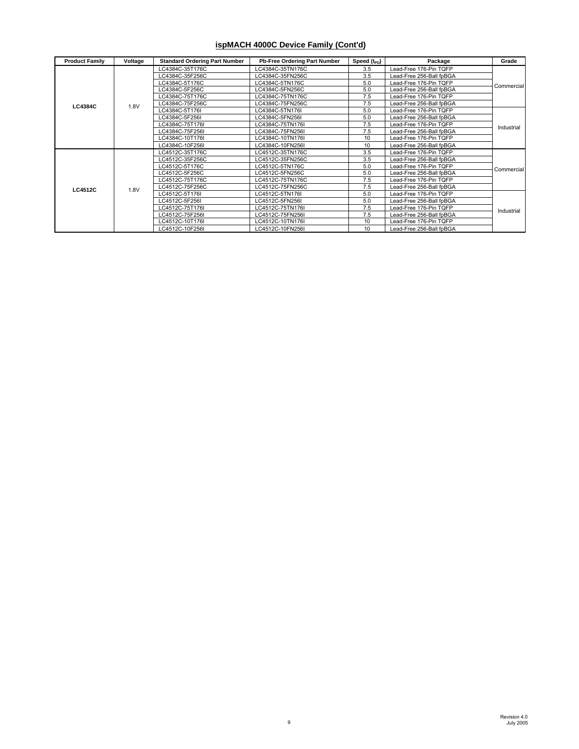#### **ispMACH 4000C Device Family (Cont'd)**

| <b>Product Family</b> | Voltage | <b>Standard Ordering Part Number</b> | Pb-Free Ordering Part Number | Speed (t <sub>PD</sub> ) | Package                  | Grade      |
|-----------------------|---------|--------------------------------------|------------------------------|--------------------------|--------------------------|------------|
|                       |         | LC4384C-35T176C                      | C4384C-35TN176C              | 3.5                      | Lead-Free 176-Pin TQFP   |            |
|                       |         | C4384C-35F256C                       | LC4384C-35FN256C             | 3.5                      | Lead-Free 256-Ball fpBGA |            |
|                       |         | LC4384C-5T176C                       | LC4384C-5TN176C              | 5.0                      | Lead-Free 176-Pin TQFP   | Commercial |
|                       |         | C4384C-5F256C                        | LC4384C-5FN256C              | 5.0                      | Lead-Free 256-Ball fpBGA |            |
|                       |         | LC4384C-75T176C                      | LC4384C-75TN176C             | 7.5                      | Lead-Free 176-Pin TQFP   |            |
| <b>LC4384C</b>        | 1.8V    | LC4384C-75F256C                      | LC4384C-75FN256C             | 7.5                      | Lead-Free 256-Ball fpBGA |            |
|                       |         | LC4384C-5T176I                       | LC4384C-5TN176I              | 5.0                      | Lead-Free 176-Pin TQFP   |            |
|                       |         | LC4384C-5F256I                       | LC4384C-5FN256I              | 5.0                      | Lead-Free 256-Ball fpBGA |            |
|                       |         | LC4384C-75T176I                      | LC4384C-75TN176I             | 7.5                      | Lead-Free 176-Pin TQFP   | Industrial |
|                       |         | LC4384C-75F256I                      | LC4384C-75FN256I             | 7.5                      | Lead-Free 256-Ball fpBGA |            |
|                       |         | LC4384C-10T176I                      | LC4384C-10TN176I             | 10                       | Lead-Free 176-Pin TQFP   |            |
|                       |         | LC4384C-10F256I                      | LC4384C-10FN256I             | 10                       | Lead-Free 256-Ball fpBGA |            |
|                       |         | LC4512C-35T176C                      | LC4512C-35TN176C             | 3.5                      | Lead-Free 176-Pin TQFP   |            |
|                       |         | LC4512C-35F256C                      | LC4512C-35FN256C             | 3.5                      | Lead-Free 256-Ball fpBGA |            |
|                       |         | LC4512C-5T176C                       | LC4512C-5TN176C              | 5.0                      | Lead-Free 176-Pin TQFP   |            |
|                       |         | LC4512C-5F256C                       | LC4512C-5FN256C              | 5.0                      | Lead-Free 256-Ball fpBGA | Commercial |
|                       |         | LC4512C-75T176C                      | LC4512C-75TN176C             | 7.5                      | Lead-Free 176-Pin TQFP   |            |
| <b>LC4512C</b>        | 1.8V    | LC4512C-75F256C                      | LC4512C-75FN256C             | 7.5                      | Lead-Free 256-Ball fpBGA |            |
|                       |         | LC4512C-5T176I                       | LC4512C-5TN176I              | 5.0                      | Lead-Free 176-Pin TQFP   |            |
|                       |         | LC4512C-5F256I                       | LC4512C-5FN256I              | 5.0                      | Lead-Free 256-Ball fpBGA |            |
|                       |         | LC4512C-75T176I                      | LC4512C-75TN176I             | 7.5                      | Lead-Free 176-Pin TQFP   | Industrial |
|                       |         | LC4512C-75F256I                      | LC4512C-75FN256I             | 7.5                      | Lead-Free 256-Ball fpBGA |            |
|                       |         | LC4512C-10T176I                      | LC4512C-10TN176I             | 10                       | Lead-Free 176-Pin TQFP   |            |
|                       |         | LC4512C-10F256I                      | LC4512C-10FN256I             | 10                       | Lead-Free 256-Ball fpBGA |            |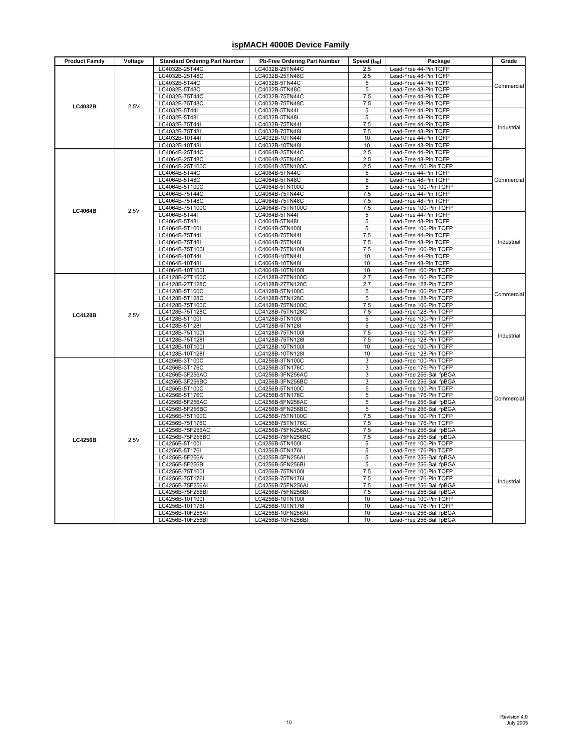#### **ispMACH 4000B Device Family**

| <b>Product Family</b> | Voltage | <b>Standard Ordering Part Number</b> | Pb-Free Ordering Part Number         | Speed $(t_{PD})$ | Package                                              | Grade      |
|-----------------------|---------|--------------------------------------|--------------------------------------|------------------|------------------------------------------------------|------------|
|                       |         | LC4032B-25T44C                       | LC4032B-25TN44C                      | 2.5              | Lead-Free 44-Pin TQFP                                |            |
|                       |         | LC4032B-25T48C                       | LC4032B-25TN48C                      | 2.5              | Lead-Free 48-Pin TQFP                                |            |
|                       |         | LC4032B-5T44C                        | LC4032B-5TN44C                       | 5                | Lead-Free 44-Pin TQFP                                | Commercial |
|                       |         | LC4032B-5T48C                        | LC4032B-5TN48C                       | 5                | Lead-Free 48-Pin TQFP                                |            |
|                       |         | LC4032B-75T44C<br>LC4032B-75T48C     | LC4032B-75TN44C<br>LC4032B-75TN48C   | 7.5<br>7.5       | Lead-Free 44-Pin TQFP<br>Lead-Free 48-Pin TQFP       |            |
| LC4032B               | 2.5V    | LC4032B-5T44I                        | LC4032B-5TN44I                       | 5                | Lead-Free 44-Pin TQFP                                |            |
|                       |         | LC4032B-5T48I                        | LC4032B-5TN48I                       | 5                | Lead-Free 48-Pin TQFP                                |            |
|                       |         | LC4032B-75T44I                       | LC4032B-75TN44I                      | 7.5              | Lead-Free 44-Pin TQFP                                |            |
|                       |         | LC4032B-75T48I                       | LC4032B-75TN48I                      | 7.5              | Lead-Free 48-Pin TQFP                                | Industrial |
|                       |         | LC4032B-10T44I                       | LC4032B-10TN44I                      | 10               | Lead-Free 44-Pin TQFP                                |            |
|                       |         | LC4032B-10T48I                       | LC4032B-10TN48I                      | 10               | Lead-Free 48-Pin TQFP                                |            |
|                       |         | LC4064B-25T44C                       | LC4064B-25TN44C                      | 2.5              | Lead-Free 44-Pin TQFP                                |            |
|                       |         | LC4064B-25T48C                       | LC4064B-25TN48C                      | 2.5              | Lead-Free 48-Pin TQFP                                |            |
|                       |         | LC4064B-25T100C                      | LC4064B-25TN100C                     | 2.5              | Lead-Free 100-Pin TQFP                               |            |
|                       |         | LC4064B-5T44C                        | LC4064B-5TN44C                       | 5                | Lead-Free 44-Pin TQFP                                |            |
|                       |         | LC4064B-5T48C                        | LC4064B-5TN48C                       | 5                | Lead-Free 48-Pin TQFP                                | Commercial |
|                       |         | LC4064B-5T100C<br>LC4064B-75T44C     | LC4064B-5TN100C<br>LC4064B-75TN44C   | 5<br>7.5         | Lead-Free 100-Pin TQFP<br>Lead-Free 44-Pin TQFP      |            |
|                       |         | LC4064B-75T48C                       | LC4064B-75TN48C                      | 7.5              | Lead-Free 48-Pin TQFP                                |            |
|                       |         | LC4064B-75T100C                      | LC4064B-75TN100C                     | 7.5              | Lead-Free 100-Pin TQFP                               |            |
| <b>LC4064B</b>        | 2.5V    | LC4064B-5T44I                        | LC4064B-5TN44I                       | 5                | Lead-Free 44-Pin TQFP                                |            |
|                       |         | LC4064B-5T48I                        | LC4064B-5TN48I                       | 5                | Lead-Free 48-Pin TQFP                                |            |
|                       |         | LC4064B-5T100I                       | LC4064B-5TN100I                      | 5                | Lead-Free 100-Pin TQFP                               |            |
|                       |         | LC4064B-75T44I                       | LC4064B-75TN44I                      | 7.5              | Lead-Free 44-Pin TQFP                                |            |
|                       |         | LC4064B-75T48I                       | LC4064B-75TN48I                      | 7.5              | Lead-Free 48-Pin TQFP                                | Industrial |
|                       |         | LC4064B-75T100I                      | LC4064B-75TN100I                     | 7.5              | Lead-Free 100-Pin TQFP                               |            |
|                       |         | LC4064B-10T44I                       | LC4064B-10TN44I                      | 10               | Lead-Free 44-Pin TQFP                                |            |
|                       |         | LC4064B-10T48I                       | LC4064B-10TN48I                      | 10               | Lead-Free 48-Pin TQFP                                |            |
|                       |         | LC4064B-10T100I                      | LC4064B-10TN100I                     | 10               | Lead-Free 100-Pin TQFP                               |            |
|                       |         | LC4128B-27T100C                      | LC4128B-27TN100C                     | 2.7              | Lead-Free 100-Pin TQFP                               |            |
|                       |         | LC4128B-27T128C                      | LC4128B-27TN128C                     | 2.7              | Lead-Free 128-Pin TQFP                               |            |
|                       |         | LC4128B-5T100C<br>LC4128B-5T128C     | LC4128B-5TN100C<br>LC4128B-5TN128C   | 5<br>5           | Lead-Free 100-Pin TQFP<br>Lead-Free 128-Pin TQFP     | Commercial |
|                       |         | LC4128B-75T100C                      | LC4128B-75TN100C                     | 7.5              | Lead-Free 100-Pin TQFP                               |            |
|                       |         | LC4128B-75T128C                      | LC4128B-75TN128C                     | 7.5              | Lead-Free 128-Pin TQFP                               |            |
| <b>LC4128B</b>        | 2.5V    | LC4128B-5T100I                       | LC4128B-5TN100I                      | 5                | Lead-Free 100-Pin TQFP                               |            |
|                       |         | LC4128B-5T128I                       | LC4128B-5TN128I                      | 5                | Lead-Free 128-Pin TQFP                               |            |
|                       |         | LC4128B-75T100I                      | LC4128B-75TN100I                     | 7.5              | Lead-Free 100-Pin TQFP                               | Industrial |
|                       |         | LC4128B-75T128I                      | LC4128B-75TN128I                     | 7.5              | Lead-Free 128-Pin TQFP                               |            |
|                       |         | LC4128B-10T100I                      | LC4128B-10TN100I                     | 10               | Lead-Free 100-Pin TQFP                               |            |
|                       |         | LC4128B-10T128I                      | LC4128B-10TN128I                     | 10               | Lead-Free 128-Pin TQFP                               |            |
|                       |         | LC4256B-3T100C                       | LC4256B-3TN100C                      | 3                | Lead-Free 100-Pin TQFP                               |            |
|                       |         | LC4256B-3T176C                       | LC4256B-3TN176C                      | 3<br>3           | Lead-Free 176-Pin TQFP                               |            |
|                       |         | LC4256B-3F256AC<br>LC4256B-3F256BC   | LC4256B-3FN256AC<br>LC4256B-3FN256BC | 3                | Lead-Free 256-Ball fpBGA<br>Lead-Free 256-Ball fpBGA |            |
|                       |         | LC4256B-5T100C                       | LC4256B-5TN100C                      | 5                | Lead-Free 100-Pin TQFP                               |            |
|                       |         | LC4256B-5T176C                       | LC4256B-5TN176C                      | 5                | Lead-Free 176-Pin TQFP                               |            |
|                       |         | LC4256B-5F256AC                      | LC4256B-5FN256AC                     | 5                | Lead-Free 256-Ball fpBGA                             | Commercial |
|                       |         | LC4256B-5F256BC                      | LC4256B-5FN256BC                     | 5                | Lead-Free 256-Ball fpBGA                             |            |
|                       |         | LC4256B-75T100C                      | LC4256B-75TN100C                     | 7.5              | Lead-Free 100-Pin TQFP                               |            |
|                       |         | LC4256B-75T176C                      | LC4256B-75TN176C                     | 7.5              | Lead-Free 176-Pin TQFP                               |            |
|                       |         | LC4256B-75F256AC                     | LC4256B-75FN256AC                    | 7.5              | Lead-Free 256-Ball fpBGA                             |            |
| <b>LC4256B</b>        | 2.5V    | LC4256B-75F256BC                     | LC4256B-75FN256BC                    | 7.5              | Lead-Free 256-Ball fpBGA                             |            |
|                       |         | LC4256B-5T100I                       | LC4256B-5TN100I                      | 5                | Lead-Free 100-Pin TQFP                               |            |
|                       |         | LC4256B-5T176I                       | LC4256B-5TN176I                      | 5                | Lead-Free 176-Pin TQFP                               |            |
|                       |         | LC4256B-5F256AI                      | LC4256B-5FN256AI                     | 5                | Lead-Free 256-Ball fpBGA                             |            |
|                       |         | LC4256B-5F256BI<br>LC4256B-75T100I   | LC4256B-5FN256BI<br>LC4256B-75TN100I | 5<br>7.5         | Lead-Free 256-Ball fpBGA<br>Lead-Free 100-Pin TQFP   |            |
|                       |         | LC4256B-75T176I                      | LC4256B-75TN176I                     | 7.5              | Lead-Free 176-Pin TQFP                               |            |
|                       |         | LC4256B-75F256AI                     | LC4256B-75FN256AI                    | 7.5              | Lead-Free 256-Ball fpBGA                             | Industrial |
|                       |         | LC4256B-75F256BI                     | LC4256B-75FN256BI                    | 7.5              | Lead-Free 256-Ball fpBGA                             |            |
|                       |         | LC4256B-10T100I                      | LC4256B-10TN100I                     | 10               | Lead-Free 100-Pin TQFP                               |            |
|                       |         | LC4256B-10T176I                      | LC4256B-10TN176I                     | 10               | Lead-Free 176-Pin TQFP                               |            |
|                       |         | LC4256B-10F256AI                     | LC4256B-10FN256AI                    | 10               | Lead-Free 256-Ball fpBGA                             |            |
|                       |         | LC4256B-10F256BI                     | LC4256B-10FN256BI                    | 10               | Lead-Free 256-Ball fpBGA                             |            |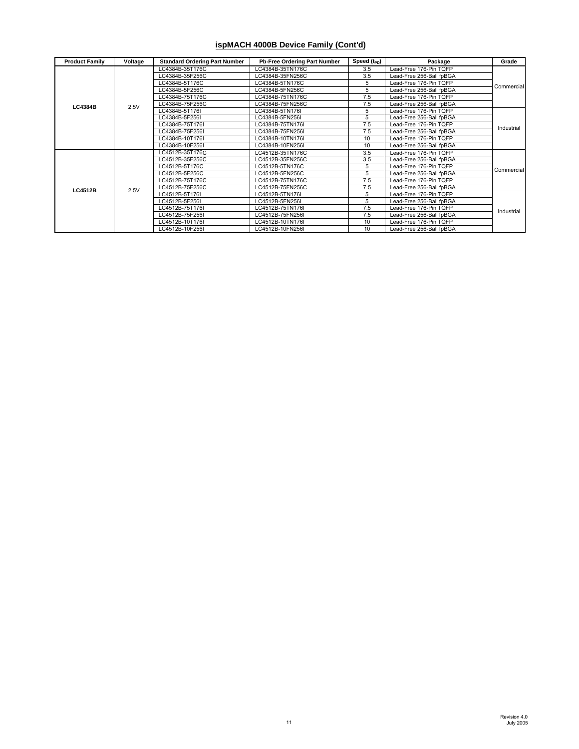#### **ispMACH 4000B Device Family (Cont'd)**

| <b>Product Family</b> | Voltage | <b>Standard Ordering Part Number</b> | <b>Pb-Free Ordering Part Number</b> | Speed $(t_{PD})$ | Package                  | Grade      |
|-----------------------|---------|--------------------------------------|-------------------------------------|------------------|--------------------------|------------|
|                       |         | LC4384B-35T176C                      | LC4384B-35TN176C                    | 3.5              | Lead-Free 176-Pin TQFP   |            |
|                       |         | C4384B-35F256C                       | LC4384B-35FN256C                    | 3.5              | Lead-Free 256-Ball fpBGA |            |
|                       |         | LC4384B-5T176C                       | LC4384B-5TN176C                     | 5                | Lead-Free 176-Pin TQFP   | Commercial |
|                       |         | C4384B-5F256C                        | LC4384B-5FN256C                     | 5                | Lead-Free 256-Ball fpBGA |            |
|                       |         | LC4384B-75T176C                      | LC4384B-75TN176C                    | 7.5              | Lead-Free 176-Pin TQFP   |            |
| <b>LC4384B</b>        | 2.5V    | LC4384B-75F256C                      | LC4384B-75FN256C                    | 7.5              | Lead-Free 256-Ball fpBGA |            |
|                       |         | LC4384B-5T176I                       | LC4384B-5TN176I                     | 5                | Lead-Free 176-Pin TQFP   |            |
|                       |         | LC4384B-5F256I                       | LC4384B-5FN256I                     | 5                | Lead-Free 256-Ball fpBGA |            |
|                       |         | LC4384B-75T176I                      | LC4384B-75TN176I                    | 7.5              | Lead-Free 176-Pin TQFP   | Industrial |
|                       |         | LC4384B-75F256I                      | LC4384B-75FN256I                    | 7.5              | Lead-Free 256-Ball fpBGA |            |
|                       |         | LC4384B-10T176I                      | LC4384B-10TN176I                    | 10               | Lead-Free 176-Pin TQFP   |            |
|                       |         | LC4384B-10F256I                      | LC4384B-10FN256I                    | 10               | Lead-Free 256-Ball fpBGA |            |
|                       |         | LC4512B-35T176C                      | LC4512B-35TN176C                    | 3.5              | Lead-Free 176-Pin TQFP   |            |
|                       |         | LC4512B-35F256C                      | LC4512B-35FN256C                    | 3.5              | Lead-Free 256-Ball fpBGA |            |
|                       |         | LC4512B-5T176C                       | LC4512B-5TN176C                     | 5                | Lead-Free 176-Pin TQFP   | Commercial |
|                       |         | LC4512B-5F256C                       | LC4512B-5FN256C                     | 5                | Lead-Free 256-Ball fpBGA |            |
|                       |         | LC4512B-75T176C                      | LC4512B-75TN176C                    | 7.5              | Lead-Free 176-Pin TQFP   |            |
| <b>LC4512B</b>        | 2.5V    | LC4512B-75F256C                      | LC4512B-75FN256C                    | 7.5              | Lead-Free 256-Ball fpBGA |            |
|                       |         | LC4512B-5T176I                       | LC4512B-5TN176I                     | 5                | Lead-Free 176-Pin TQFP   |            |
|                       |         | LC4512B-5F256I                       | LC4512B-5FN256I                     | 5                | Lead-Free 256-Ball fpBGA |            |
|                       |         | C4512B-75T176I                       | LC4512B-75TN176I                    | 7.5              | Lead-Free 176-Pin TQFP   | Industrial |
|                       |         | LC4512B-75F256I                      | LC4512B-75FN256I                    | 7.5              | Lead-Free 256-Ball fpBGA |            |
|                       |         | LC4512B-10T176I                      | LC4512B-10TN176I                    | 10               | Lead-Free 176-Pin TQFP   |            |
|                       |         | LC4512B-10F256I                      | LC4512B-10FN256I                    | 10               | Lead-Free 256-Ball fpBGA |            |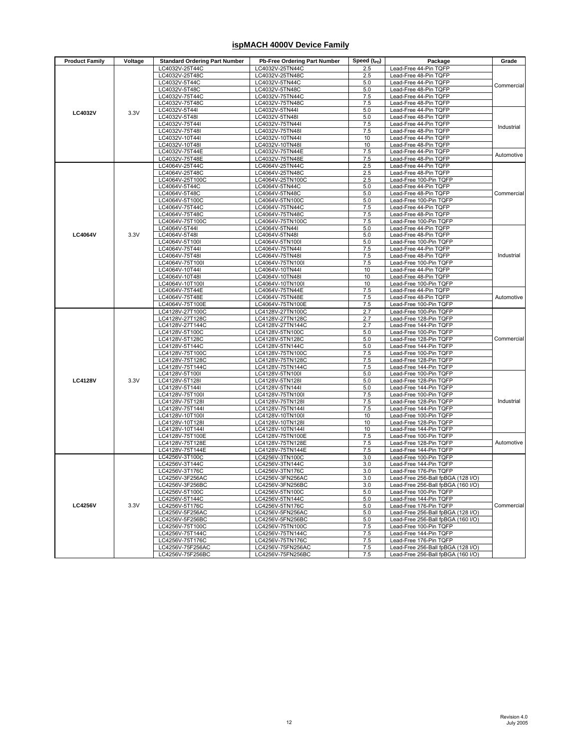#### **ispMACH 4000V Device Family**

| <b>Product Family</b> | Voltage | <b>Standard Ordering Part Number</b> | <b>Pb-Free Ordering Part Number</b>  | Speed $(t_{\text{PD}})$ | Package                                                      | Grade      |
|-----------------------|---------|--------------------------------------|--------------------------------------|-------------------------|--------------------------------------------------------------|------------|
|                       |         | LC4032V-25T44C                       | LC4032V-25TN44C                      | 2.5                     | Lead-Free 44-Pin TQFP                                        |            |
|                       |         | LC4032V-25T48C                       | LC4032V-25TN48C                      | 2.5                     | Lead-Free 48-Pin TQFP                                        |            |
|                       |         | LC4032V-5T44C                        | LC4032V-5TN44C                       | 5.0                     | Lead-Free 44-Pin TQFP                                        | Commercial |
|                       |         | LC4032V-5T48C                        | LC4032V-5TN48C                       | 5.0                     | Lead-Free 48-Pin TQFP                                        |            |
|                       |         | LC4032V-75T44C<br>LC4032V-75T48C     | LC4032V-75TN44C                      | 7.5                     | Lead-Free 44-Pin TQFP                                        |            |
|                       |         | LC4032V-5T44I                        | LC4032V-75TN48C<br>LC4032V-5TN44I    | 7.5<br>5.0              | Lead-Free 48-Pin TQFP<br>Lead-Free 44-Pin TQFP               |            |
| <b>LC4032V</b>        | 3.3V    | LC4032V-5T48I                        | LC4032V-5TN48I                       | 5.0                     | Lead-Free 48-Pin TQFP                                        |            |
|                       |         | LC4032V-75T44I                       | LC4032V-75TN44I                      | 7.5                     | Lead-Free 44-Pin TQFP                                        |            |
|                       |         | LC4032V-75T48I                       | LC4032V-75TN48I                      | 7.5                     | Lead-Free 48-Pin TQFP                                        | Industrial |
|                       |         | LC4032V-10T44I                       | LC4032V-10TN44I                      | 10                      | Lead-Free 44-Pin TQFP                                        |            |
|                       |         | LC4032V-10T48I                       | LC4032V-10TN48I                      | 10                      | Lead-Free 48-Pin TQFP                                        |            |
|                       |         | LC4032V-75T44E                       | LC4032V-75TN44E                      | 7.5                     | Lead-Free 44-Pin TQFP                                        | Automotive |
|                       |         | LC4032V-75T48E                       | LC4032V-75TN48E                      | 7.5                     | Lead-Free 48-Pin TQFP                                        |            |
|                       |         | LC4064V-25T44C                       | LC4064V-25TN44C                      | 2.5                     | Lead-Free 44-Pin TQFP                                        |            |
|                       |         | LC4064V-25T48C<br>LC4064V-25T100C    | LC4064V-25TN48C                      | 2.5<br>2.5              | Lead-Free 48-Pin TQFP                                        |            |
|                       |         | LC4064V-5T44C                        | LC4064V-25TN100C<br>LC4064V-5TN44C   | 5.0                     | Lead-Free 100-Pin TQFP<br>Lead-Free 44-Pin TQFP              |            |
|                       |         | LC4064V-5T48C                        | LC4064V-5TN48C                       | 5.0                     | Lead-Free 48-Pin TQFP                                        | Commercial |
|                       |         | LC4064V-5T100C                       | LC4064V-5TN100C                      | 5.0                     | Lead-Free 100-Pin TQFP                                       |            |
|                       |         | LC4064V-75T44C                       | LC4064V-75TN44C                      | 7.5                     | Lead-Free 44-Pin TQFP                                        |            |
|                       |         | LC4064V-75T48C                       | LC4064V-75TN48C                      | 7.5                     | Lead-Free 48-Pin TQFP                                        |            |
|                       |         | LC4064V-75T100C                      | LC4064V-75TN100C                     | 7.5                     | Lead-Free 100-Pin TQFP                                       |            |
|                       |         | LC4064V-5T44I                        | LC4064V-5TN44I                       | 5.0                     | Lead-Free 44-Pin TQFP                                        |            |
| <b>LC4064V</b>        | 3.3V    | LC4064V-5T48I                        | LC4064V-5TN48I                       | 5.0                     | Lead-Free 48-Pin TQFP                                        |            |
|                       |         | LC4064V-5T100I                       | LC4064V-5TN100I                      | 5.0                     | Lead-Free 100-Pin TQFP                                       |            |
|                       |         | LC4064V-75T44I<br>LC4064V-75T48I     | LC4064V-75TN44I<br>LC4064V-75TN48I   | 7.5<br>7.5              | Lead-Free 44-Pin TQFP<br>Lead-Free 48-Pin TQFP               | Industrial |
|                       |         | LC4064V-75T100I                      | LC4064V-75TN100I                     | 7.5                     | Lead-Free 100-Pin TQFP                                       |            |
|                       |         | LC4064V-10T44I                       | LC4064V-10TN44I                      | 10                      | Lead-Free 44-Pin TQFP                                        |            |
|                       |         | LC4064V-10T48I                       | LC4064V-10TN48I                      | 10                      | Lead-Free 48-Pin TQFP                                        |            |
|                       |         | LC4064V-10T100I                      | LC4064V-10TN100I                     | 10                      | Lead-Free 100-Pin TQFP                                       |            |
|                       |         | LC4064V-75T44E                       | LC4064V-75TN44E                      | 7.5                     | Lead-Free 44-Pin TQFP                                        |            |
|                       |         | LC4064V-75T48E                       | LC4064V-75TN48E                      | 7.5                     | Lead-Free 48-Pin TQFP                                        | Automotive |
|                       |         | LC4064V-75T100E                      | LC4064V-75TN100E                     | 7.5                     | Lead-Free 100-Pin TQFP                                       |            |
|                       |         | LC4128V-27T100C                      | LC4128V-27TN100C                     | 2.7                     | Lead-Free 100-Pin TQFP                                       |            |
|                       |         | LC4128V-27T128C                      | LC4128V-27TN128C                     | 2.7                     | Lead-Free 128-Pin TQFP                                       | Commercial |
|                       |         | LC4128V-27T144C<br>LC4128V-5T100C    | LC4128V-27TN144C<br>LC4128V-5TN100C  | 2.7<br>5.0              | Lead-Free 144-Pin TQFP<br>Lead-Free 100-Pin TQFP             |            |
|                       |         | LC4128V-5T128C                       | LC4128V-5TN128C                      | 5.0                     | Lead-Free 128-Pin TQFP                                       |            |
|                       |         | LC4128V-5T144C                       | LC4128V-5TN144C                      | 5.0                     | Lead-Free 144-Pin TQFP                                       |            |
|                       |         | LC4128V-75T100C                      | LC4128V-75TN100C                     | 7.5                     | Lead-Free 100-Pin TQFP                                       |            |
|                       |         | LC4128V-75T128C                      | LC4128V-75TN128C                     | 7.5                     | Lead-Free 128-Pin TQFP                                       |            |
|                       |         | LC4128V-75T144C                      | LC4128V-75TN144C                     | 7.5                     | Lead-Free 144-Pin TQFP                                       |            |
|                       |         | LC4128V-5T100I                       | LC4128V-5TN100I                      | 5.0                     | Lead-Free 100-Pin TQFP                                       |            |
| <b>LC4128V</b>        | 3.3V    | LC4128V-5T128I                       | LC4128V-5TN128I                      | 5.0                     | Lead-Free 128-Pin TQFP                                       |            |
|                       |         | LC4128V-5T144I                       | LC4128V-5TN144I                      | 5.0                     | Lead-Free 144-Pin TQFP                                       |            |
|                       |         | LC4128V-75T100I                      | LC4128V-75TN100I                     | 7.5                     | Lead-Free 100-Pin TQFP                                       | Industrial |
|                       |         | LC4128V-75T128I<br>LC4128V-75T144I   | LC4128V-75TN128I<br>LC4128V-75TN144I | 7.5<br>7.5              | Lead-Free 128-Pin TQFP<br>Lead-Free 144-Pin TQFP             |            |
|                       |         | LC4128V-10T100I                      | LC4128V-10TN100I                     | 10                      | Lead-Free 100-Pin TQFP                                       |            |
|                       |         | LC4128V-10T128I                      | LC4128V-10TN128I                     | 10                      | Lead-Free 128-Pin TQFP                                       |            |
|                       |         | LC4128V-10T144I                      | LC4128V-10TN144I                     | 10                      | Lead-Free 144-Pin TQFP                                       |            |
|                       |         | LC4128V-75T100E                      | LC4128V-75TN100E                     | 7.5                     | Lead-Free 100-Pin TQFP                                       |            |
|                       |         | LC4128V-75T128E                      | LC4128V-75TN128E                     | 7.5                     | Lead-Free 128-Pin TQFP                                       | Automotive |
|                       |         | LC4128V-75T144E                      | LC4128V-75TN144E                     | 7.5                     | Lead-Free 144-Pin TQFP                                       |            |
|                       |         | LC4256V-3T100C                       | LC4256V-3TN100C                      | 3.0                     | Lead-Free 100-Pin TQFP                                       |            |
|                       |         | LC4256V-3T144C                       | LC4256V-3TN144C                      | 3.0                     | Lead-Free 144-Pin TQFP                                       |            |
|                       |         | LC4256V-3T176C                       | LC4256V-3TN176C                      | 3.0                     | Lead-Free 176-Pin TQFP<br>Lead-Free 256-Ball foBGA (128 I/O) |            |
|                       |         | LC4256V-3F256AC<br>LC4256V-3F256BC   | LC4256V-3FN256AC<br>LC4256V-3FN256BC | 3.0<br>3.0              | Lead-Free 256-Ball fpBGA (160 I/O)                           |            |
|                       |         | LC4256V-5T100C                       | LC4256V-5TN100C                      | 5.0                     | Lead-Free 100-Pin TQFP                                       |            |
|                       |         | LC4256V-5T144C                       | LC4256V-5TN144C                      | 5.0                     | Lead-Free 144-Pin TQFP                                       |            |
| <b>LC4256V</b>        | 3.3V    | LC4256V-5T176C                       | LC4256V-5TN176C                      | 5.0                     | Lead-Free 176-Pin TQFP                                       | Commercial |
|                       |         | LC4256V-5F256AC                      | LC4256V-5FN256AC                     | 5.0                     | Lead-Free 256-Ball fpBGA (128 I/O)                           |            |
|                       |         | LC4256V-5F256BC                      | LC4256V-5FN256BC                     | 5.0                     | Lead-Free 256-Ball fpBGA (160 I/O)                           |            |
|                       |         | LC4256V-75T100C                      | LC4256V-75TN100C                     | 7.5                     | Lead-Free 100-Pin TQFP                                       |            |
|                       |         | LC4256V-75T144C                      | LC4256V-75TN144C                     | 7.5                     | Lead-Free 144-Pin TQFP                                       |            |
|                       |         | LC4256V-75T176C                      | LC4256V-75TN176C                     | 7.5                     | Lead-Free 176-Pin TQFP                                       |            |
|                       |         | LC4256V-75F256AC                     | LC4256V-75FN256AC                    | 7.5                     | Lead-Free 256-Ball fpBGA (128 I/O)                           |            |
|                       |         | LC4256V-75F256BC                     | LC4256V-75FN256BC                    | 7.5                     | Lead-Free 256-Ball fpBGA (160 I/O)                           |            |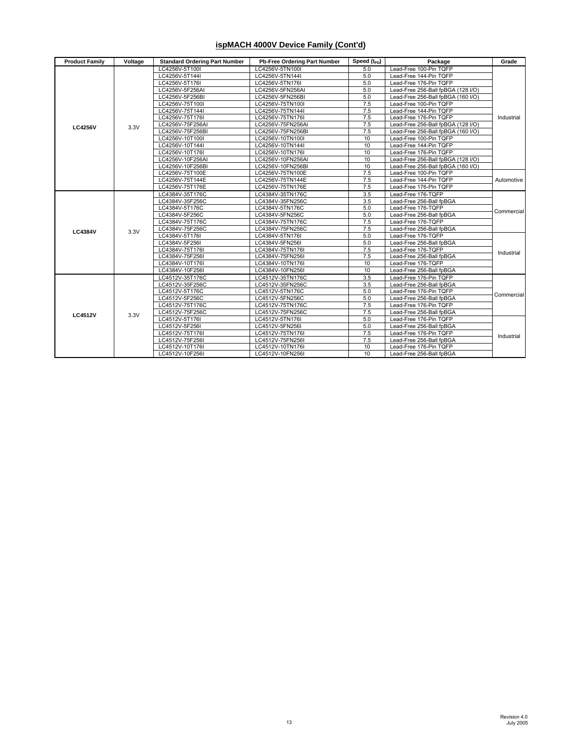#### **ispMACH 4000V Device Family (Cont'd)**

| <b>Product Family</b> | Voltage | <b>Standard Ordering Part Number</b> | Pb-Free Ordering Part Number | Speed (t <sub>PD</sub> ) | Package                            | Grade      |
|-----------------------|---------|--------------------------------------|------------------------------|--------------------------|------------------------------------|------------|
|                       |         | LC4256V-5T100I                       | LC4256V-5TN100I              | 5.0                      | Lead-Free 100-Pin TQFP             |            |
|                       |         | LC4256V-5T144I                       | LC4256V-5TN144I              | 5.0                      | Lead-Free 144-Pin TQFP             |            |
|                       |         | LC4256V-5T176I                       | LC4256V-5TN176I              | 5.0                      | Lead-Free 176-Pin TQFP             |            |
|                       |         | LC4256V-5F256AI                      | LC4256V-5FN256AI             | 5.0                      | Lead-Free 256-Ball fpBGA (128 I/O) |            |
|                       |         | LC4256V-5F256BI                      | LC4256V-5FN256BI             | 5.0                      | Lead-Free 256-Ball fpBGA (160 I/O) |            |
|                       |         | LC4256V-75T100I                      | LC4256V-75TN100I             | 7.5                      | Lead-Free 100-Pin TQFP             |            |
|                       |         | LC4256V-75T144I                      | LC4256V-75TN144I             | 7.5                      | Lead-Free 144-Pin TQFP             |            |
|                       |         | LC4256V-75T176I                      | LC4256V-75TN176I             | 7.5                      | Lead-Free 176-Pin TQFP             | Industrial |
| <b>LC4256V</b>        | 3.3V    | LC4256V-75F256AI                     | LC4256V-75FN256AI            | 7.5                      | Lead-Free 256-Ball fpBGA (128 I/O) |            |
|                       |         | LC4256V-75F256BI                     | LC4256V-75FN256BI            | 7.5                      | Lead-Free 256-Ball fpBGA (160 I/O) |            |
|                       |         | LC4256V-10T100I                      | LC4256V-10TN100I             | 10                       | Lead-Free 100-Pin TQFP             |            |
|                       |         | LC4256V-10T144I                      | LC4256V-10TN144I             | 10                       | Lead-Free 144-Pin TQFP             |            |
|                       |         | LC4256V-10T176I                      | LC4256V-10TN176I             | 10                       | Lead-Free 176-Pin TQFP             |            |
|                       |         | LC4256V-10F256AI                     | LC4256V-10FN256AI            | 10                       | Lead-Free 256-Ball fpBGA (128 I/O) |            |
|                       |         | LC4256V-10F256BI                     | LC4256V-10FN256BI            | 10                       | Lead-Free 256-Ball fpBGA (160 I/O) |            |
|                       |         | LC4256V-75T100E                      | LC4256V-75TN100E             | 7.5                      | Lead-Free 100-Pin TQFP             | Automotive |
|                       |         | LC4256V-75T144E                      | LC4256V-75TN144E             | 7.5                      | Lead-Free 144-Pin TQFP             |            |
|                       |         | LC4256V-75T176E                      | LC4256V-75TN176E             | 7.5                      | Lead-Free 176-Pin TQFP             |            |
|                       |         | LC4384V-35T176C                      | LC4384V-35TN176C             | 3.5                      | Lead-Free 176-TQFP                 |            |
|                       |         | LC4384V-35F256C                      | LC4384V-35FN256C             | 3.5                      | Lead-Free 256-Ball fpBGA           |            |
|                       |         | LC4384V-5T176C                       | LC4384V-5TN176C              | 5.0                      | Lead-Free 176-TQFP                 | Commercial |
|                       | 3.3V    | LC4384V-5F256C                       | LC4384V-5FN256C              | 5.0                      | Lead-Free 256-Ball fpBGA           |            |
|                       |         | LC4384V-75T176C                      | LC4384V-75TN176C             | 7.5                      | Lead-Free 176-TQFP                 |            |
| <b>LC4384V</b>        |         | LC4384V-75F256C                      | LC4384V-75FN256C             | 7.5                      | Lead-Free 256-Ball fpBGA           |            |
|                       |         | LC4384V-5T176I                       | LC4384V-5TN176I              | 5.0                      | Lead-Free 176-TQFP                 |            |
|                       |         | LC4384V-5F256I                       | LC4384V-5FN256I              | 5.0                      | Lead-Free 256-Ball fpBGA           |            |
|                       |         | LC4384V-75T176I                      | LC4384V-75TN176I             | 7.5                      | Lead-Free 176-TQFP                 | Industrial |
|                       |         | LC4384V-75F256I                      | LC4384V-75FN256I             | 7.5                      | Lead-Free 256-Ball fpBGA           |            |
|                       |         | LC4384V-10T176I                      | LC4384V-10TN176I             | 10                       | Lead-Free 176-TQFP                 |            |
|                       |         | LC4384V-10F256I                      | LC4384V-10FN256I             | 10                       | Lead-Free 256-Ball fpBGA           |            |
|                       |         | LC4512V-35T176C                      | LC4512V-35TN176C             | 3.5                      | Lead-Free 176-Pin TQFP             |            |
|                       |         | LC4512V-35F256C                      | LC4512V-35FN256C             | 3.5                      | Lead-Free 256-Ball fpBGA           |            |
|                       |         | LC4512V-5T176C                       | LC4512V-5TN176C              | 5.0                      | Lead-Free 176-Pin TQFP             |            |
|                       |         | LC4512V-5F256C                       | LC4512V-5FN256C              | 5.0                      | Lead-Free 256-Ball fpBGA           | Commercial |
|                       |         | LC4512V-75T176C                      | LC4512V-75TN176C             | 7.5                      | Lead-Free 176-Pin TQFP             |            |
| <b>LC4512V</b>        | 3.3V    | LC4512V-75F256C                      | LC4512V-75FN256C             | 7.5                      | Lead-Free 256-Ball fpBGA           |            |
|                       |         | LC4512V-5T176I                       | LC4512V-5TN176I              | 5.0                      | Lead-Free 176-Pin TQFP             |            |
|                       |         | LC4512V-5F256I                       | LC4512V-5FN256I              | 5.0                      | Lead-Free 256-Ball fpBGA           | Industrial |
|                       |         | LC4512V-75T176I                      | LC4512V-75TN176I             | 7.5                      | Lead-Free 176-Pin TQFP             |            |
|                       |         | LC4512V-75F256I                      | LC4512V-75FN256I             | 7.5                      | Lead-Free 256-Ball fpBGA           |            |
|                       |         | LC4512V-10T176I                      | LC4512V-10TN176I             | 10                       | Lead-Free 176-Pin TQFP             |            |
|                       |         | LC4512V-10F256I                      | LC4512V-10FN256I             | 10                       | Lead-Free 256-Ball fpBGA           |            |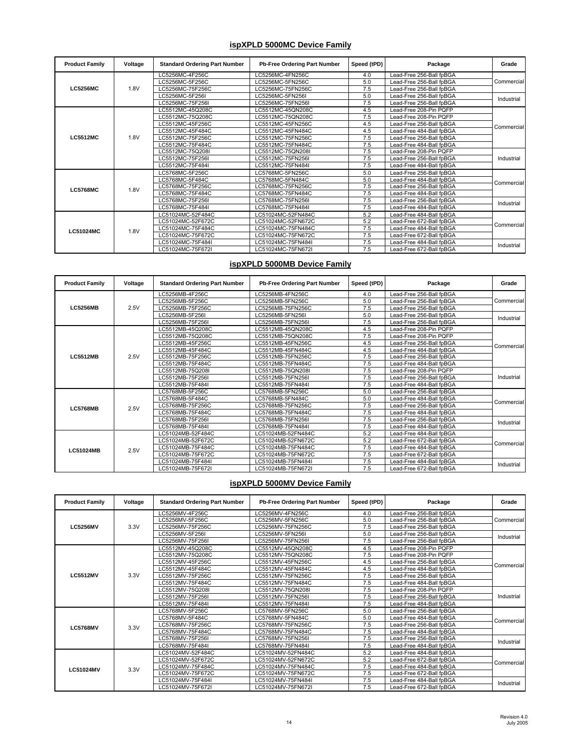#### **ispXPLD 5000MC Device Family**

| <b>Product Family</b> | Voltage | <b>Standard Ordering Part Number</b> | Pb-Free Ordering Part Number | Speed (tPD) | Package                  | Grade                    |
|-----------------------|---------|--------------------------------------|------------------------------|-------------|--------------------------|--------------------------|
|                       |         | LC5256MC-4F256C                      | LC5256MC-4FN256C             | 4.0         | Lead-Free 256-Ball fpBGA |                          |
|                       |         | LC5256MC-5F256C                      | LC5256MC-5FN256C             | 5.0         | Lead-Free 256-Ball fpBGA | Commercial               |
| <b>LC5256MC</b>       | 1.8V    | LC5256MC-75F256C                     | LC5256MC-75FN256C            | 7.5         | Lead-Free 256-Ball fpBGA |                          |
|                       |         | LC5256MC-5F256I                      | LC5256MC-5FN256I             | 5.0         | Lead-Free 256-Ball fpBGA | Industrial               |
|                       |         | LC5256MC-75F256I                     | LC5256MC-75FN256I            | 7.5         | Lead-Free 256-Ball fɒBGA |                          |
|                       |         | LC5512MC-45Q208C                     | LC5512MC-45QN208C            | 4.5         | Lead-Free 208-Pin PQFP   |                          |
|                       |         | LC5512MC-75Q208C                     | LC5512MC-75QN208C            | 7.5         | Lead-Free 208-Pin PQFP   |                          |
|                       |         | LC5512MC-45F256C                     | LC5512MC-45FN256C            | 4.5         | Lead-Free 256-Ball fpBGA |                          |
|                       |         | LC5512MC-45F484C                     | LC5512MC-45FN484C            | 4.5         | Lead-Free 484-Ball fɒBGA | Commercial<br>Industrial |
| <b>LC5512MC</b>       | 1.8V    | LC5512MC-75F256C                     | LC5512MC-75FN256C            | 7.5         | Lead-Free 256-Ball fɒBGA |                          |
|                       |         | LC5512MC-75F484C                     | LC5512MC-75FN484C            | 7.5         | Lead-Free 484-Ball fpBGA |                          |
|                       |         | LC5512MC-75Q208I                     | LC5512MC-75QN208I            | 7.5         | Lead-Free 208-Pin PQFP   |                          |
|                       |         | LC5512MC-75F256I                     | LC5512MC-75FN256I            | 7.5         | Lead-Free 256-Ball fpBGA |                          |
|                       |         | LC5512MC-75F484I                     | LC5512MC-75FN484I            | 7.5         | Lead-Free 484-Ball fpBGA |                          |
|                       |         | LC5768MC-5F256C                      | LC5768MC-5FN256C             | 5.0         | Lead-Free 256-Ball fpBGA |                          |
|                       |         | LC5768MC-5F484C                      | LC5768MC-5FN484C             | 5.0         | Lead-Free 484-Ball fpBGA | Commercial               |
| <b>LC5768MC</b>       | 1.8V    | LC5768MC-75F256C                     | LC5768MC-75FN256C            | 7.5         | Lead-Free 256-Ball fpBGA |                          |
|                       |         | LC5768MC-75F484C                     | LC5768MC-75FN484C            | 7.5         | Lead-Free 484-Ball fɒBGA |                          |
|                       |         | LC5768MC-75F256I                     | LC5768MC-75FN256I            | 7.5         | Lead-Free 256-Ball fpBGA | Industrial               |
|                       |         | LC5768MC-75F484I                     | LC5768MC-75FN484I            | 7.5         | Lead-Free 484-Ball fpBGA |                          |
|                       |         | LC51024MC-52F484C                    | LC51024MC-52FN484C           | 5.2         | Lead-Free 484-Ball fpBGA |                          |
|                       |         | LC51024MC-52F672C                    | LC51024MC-52FN672C           | 5.2         | Lead-Free 672-Ball fɒBGA | Commercial               |
| <b>LC51024MC</b>      | 1.8V    | LC51024MC-75F484C                    | LC51024MC-75FN484C           | 7.5         | Lead-Free 484-Ball fpBGA |                          |
|                       |         | LC51024MC-75F672C                    | LC51024MC-75FN672C           | 7.5         | Lead-Free 672-Ball fɒBGA |                          |
|                       |         | LC51024MC-75F484I                    | LC51024MC-75FN484I           | 7.5         | Lead-Free 484-Ball fɒBGA | Industrial               |
|                       |         | LC51024MC-75F672I                    | LC51024MC-75FN672I           | 7.5         | Lead-Free 672-Ball fɒBGA |                          |

# **ispXPLD 5000MB Device Family**

| <b>Product Family</b> | Voltage | <b>Standard Ordering Part Number</b> | Pb-Free Ordering Part Number | Speed (tPD) | Package                  | Grade      |
|-----------------------|---------|--------------------------------------|------------------------------|-------------|--------------------------|------------|
|                       |         | LC5256MB-4F256C                      | LC5256MB-4FN256C             | 4.0         | Lead-Free 256-Ball fpBGA |            |
|                       |         | LC5256MB-5F256C                      | LC5256MB-5FN256C             | 5.0         | Lead-Free 256-Ball fpBGA | Commercial |
| <b>LC5256MB</b>       | 2.5V    | LC5256MB-75F256C                     | LC5256MB-75FN256C            | 7.5         | Lead-Free 256-Ball fpBGA |            |
|                       |         | LC5256MB-5F256I                      | LC5256MB-5FN256I             | 5.0         | Lead-Free 256-Ball fpBGA | Industrial |
|                       |         | LC5256MB-75F256I                     | LC5256MB-75FN256I            | 7.5         | Lead-Free 256-Ball fpBGA |            |
|                       |         | LC5512MB-45Q208C                     | LC5512MB-45QN208C            | 4.5         | Lead-Free 208-Pin PQFP   |            |
|                       |         | LC5512MB-75Q208C                     | LC5512MB-75QN208C            | 7.5         | Lead-Free 208-Pin PQFP   |            |
|                       |         | LC5512MB-45F256C                     | LC5512MB-45FN256C            | 4.5         | Lead-Free 256-Ball fpBGA | Commercial |
|                       | 2.5V    | LC5512MB-45F484C                     | LC5512MB-45FN484C            | 4.5         | Lead-Free 484-Ball fpBGA |            |
| <b>LC5512MB</b>       |         | LC5512MB-75F256C                     | LC5512MB-75FN256C            | 7.5         | Lead-Free 256-Ball fpBGA |            |
|                       |         | LC5512MB-75F484C                     | LC5512MB-75FN484C            | 7.5         | Lead-Free 484-Ball fpBGA |            |
|                       |         | LC5512MB-75Q208I                     | LC5512MB-75QN208I            | 7.5         | Lead-Free 208-Pin PQFP   |            |
|                       |         | LC5512MB-75F256I                     | LC5512MB-75FN256I            | 7.5         | Lead-Free 256-Ball fpBGA | Industrial |
|                       |         | LC5512MB-75F484I                     | LC5512MB-75FN484I            | 7.5         | Lead-Free 484-Ball fpBGA |            |
|                       |         | LC5768MB-5F256C                      | LC5768MB-5FN256C             | 5.0         | Lead-Free 256-Ball fpBGA | Commercial |
|                       |         | LC5768MB-5F484C                      | LC5768MB-5FN484C             | 5.0         | Lead-Free 484-Ball fpBGA |            |
| <b>LC5768MB</b>       | 2.5V    | LC5768MB-75F256C                     | LC5768MB-75FN256C            | 7.5         | Lead-Free 256-Ball fpBGA |            |
|                       |         | LC5768MB-75F484C                     | LC5768MB-75FN484C            | 7.5         | Lead-Free 484-Ball fpBGA |            |
|                       |         | LC5768MB-75F256I                     | LC5768MB-75FN256I            | 7.5         | Lead-Free 256-Ball fpBGA | Industrial |
|                       |         | LC5768MB-75F484I                     | LC5768MB-75FN484I            | 7.5         | Lead-Free 484-Ball fpBGA |            |
|                       |         | LC51024MB-52F484C                    | LC51024MB-52FN484C           | 5.2         | Lead-Free 484-Ball fpBGA |            |
|                       |         | LC51024MB-52F672C                    | LC51024MB-52FN672C           | 5.2         | Lead-Free 672-Ball fpBGA | Commercial |
| LC51024MB             | 2.5V    | LC51024MB-75F484C                    | LC51024MB-75FN484C           | 7.5         | Lead-Free 484-Ball fpBGA |            |
|                       |         | LC51024MB-75F672C                    | LC51024MB-75FN672C           | 7.5         | Lead-Free 672-Ball fpBGA |            |
|                       |         | LC51024MB-75F484I                    | LC51024MB-75FN484I           | 7.5         | Lead-Free 484-Ball fpBGA | Industrial |
|                       |         | LC51024MB-75F672I                    | LC51024MB-75FN672I           | 7.5         | Lead-Free 672-Ball fpBGA |            |

#### **ispXPLD 5000MV Device Family**

| <b>Product Family</b> | Voltage | <b>Standard Ordering Part Number</b> | <b>Pb-Free Ordering Part Number</b> | Speed (tPD) | Package                  | Grade      |
|-----------------------|---------|--------------------------------------|-------------------------------------|-------------|--------------------------|------------|
|                       |         | LC5256MV-4F256C                      | LC5256MV-4FN256C                    | 4.0         | Lead-Free 256-Ball fpBGA |            |
|                       |         | LC5256MV-5F256C                      | LC5256MV-5FN256C                    | 5.0         | Lead-Free 256-Ball fpBGA | Commercial |
| <b>LC5256MV</b>       | 3.3V    | LC5256MV-75F256C                     | LC5256MV-75FN256C                   | 7.5         | Lead-Free 256-Ball fpBGA |            |
|                       |         | LC5256MV-5F256I                      | LC5256MV-5FN256I                    | 5.0         | Lead-Free 256-Ball fpBGA | Industrial |
|                       |         | LC5256MV-75F256I                     | LC5256MV-75FN256I                   | 7.5         | Lead-Free 256-Ball fpBGA |            |
|                       |         | LC5512MV-45Q208C                     | LC5512MV-45QN208C                   | 4.5         | Lead-Free 208-Pin PQFP   |            |
|                       |         | LC5512MV-75Q208C                     | LC5512MV-75QN208C                   | 7.5         | Lead-Free 208-Pin PQFP   |            |
|                       |         | LC5512MV-45F256C                     | LC5512MV-45FN256C                   | 4.5         | Lead-Free 256-Ball fpBGA |            |
|                       |         | LC5512MV-45F484C                     | LC5512MV-45FN484C                   | 4.5         | Lead-Free 484-Ball fpBGA | Commercial |
| <b>LC5512MV</b>       | 3.3V    | LC5512MV-75F256C                     | LC5512MV-75FN256C                   | 7.5         | Lead-Free 256-Ball fpBGA |            |
|                       |         | LC5512MV-75F484C                     | LC5512MV-75FN484C                   | 7.5         | Lead-Free 484-Ball fpBGA |            |
|                       |         | LC5512MV-75Q208I                     | LC5512MV-75QN208I                   | 7.5         | Lead-Free 208-Pin PQFP   |            |
|                       |         | LC5512MV-75F256I                     | LC5512MV-75FN256I                   | 7.5         | Lead-Free 256-Ball fpBGA | Industrial |
|                       |         | LC5512MV-75F484I                     | LC5512MV-75FN484I                   | 7.5         | Lead-Free 484-Ball fpBGA |            |
|                       |         | LC5768MV-5F256C                      | LC5768MV-5FN256C                    | 5.0         | Lead-Free 256-Ball fpBGA |            |
|                       |         | LC5768MV-5F484C                      | LC5768MV-5FN484C                    | 5.0         | Lead-Free 484-Ball fpBGA | Commercial |
| <b>LC5768MV</b>       | 3.3V    | LC5768MV-75F256C                     | LC5768MV-75FN256C                   | 7.5         | Lead-Free 256-Ball fpBGA |            |
|                       |         | LC5768MV-75F484C                     | LC5768MV-75FN484C                   | 7.5         | Lead-Free 484-Ball fpBGA |            |
|                       |         | LC5768MV-75F256I                     | LC5768MV-75FN256I                   | 7.5         | Lead-Free 256-Ball fpBGA | Industrial |
|                       |         | LC5768MV-75F484I                     | LC5768MV-75FN484I                   | 7.5         | Lead-Free 484-Ball fpBGA |            |
|                       |         | LC51024MV-52F484C                    | LC51024MV-52FN484C                  | 5.2         | Lead-Free 484-Ball fpBGA |            |
|                       |         | LC51024MV-52F672C                    | LC51024MV-52FN672C                  | 5.2         | Lead-Free 672-Ball fpBGA |            |
|                       |         | LC51024MV-75F484C                    | LC51024MV-75FN484C                  | 7.5         | Lead-Free 484-Ball fpBGA | Commercial |
| <b>LC51024MV</b>      | 3.3V    | LC51024MV-75F672C                    | LC51024MV-75FN672C                  | 7.5         | Lead-Free 672-Ball fpBGA |            |
|                       |         | LC51024MV-75F484I                    | LC51024MV-75FN484I                  | 7.5         | Lead-Free 484-Ball fɒBGA | Industrial |
|                       |         | LC51024MV-75F672I                    | LC51024MV-75FN672I                  | 7.5         | Lead-Free 672-Ball fpBGA |            |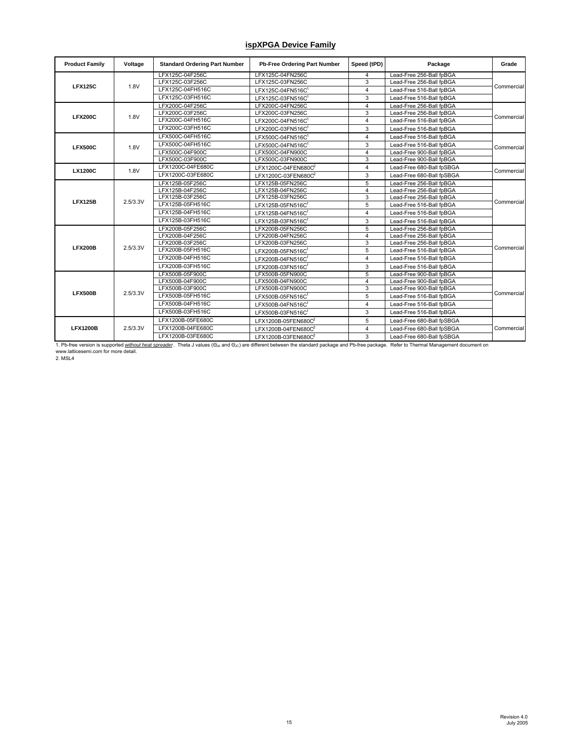## **ispXPGA Device Family**

| <b>Product Family</b> | Voltage  | <b>Standard Ordering Part Number</b> | Pb-Free Ordering Part Number | Speed (tPD)             | Package                   | Grade      |
|-----------------------|----------|--------------------------------------|------------------------------|-------------------------|---------------------------|------------|
|                       |          | LFX125C-04F256C                      | LFX125C-04FN256C             | 4                       | Lead-Free 256-Ball fpBGA  |            |
| <b>LFX125C</b>        | 1.8V     | LFX125C-03F256C                      | LFX125C-03FN256C             | 3                       | Lead-Free 256-Ball fpBGA  | Commercial |
|                       |          | LFX125C-04FH516C                     | LFX125C-04FN516C             | $\overline{4}$          | Lead-Free 516-Ball fpBGA  |            |
|                       |          | LFX125C-03FH516C                     | LFX125C-03FN516C             | 3                       | Lead-Free 516-Ball fpBGA  |            |
|                       |          | LFX200C-04F256C                      | LFX200C-04FN256C             | 4                       | Lead-Free 256-Ball fpBGA  |            |
| <b>LFX200C</b>        | 1.8V     | LFX200C-03F256C                      | LFX200C-03FN256C             | 3                       | Lead-Free 256-Ball fpBGA  | Commercial |
|                       |          | LFX200C-04FH516C                     | LFX200C-04FN516C             | $\overline{\mathbf{4}}$ | Lead-Free 516-Ball fpBGA  |            |
|                       |          | LFX200C-03FH516C                     | LFX200C-03FN516C1            | 3                       | Lead-Free 516-Ball fpBGA  |            |
|                       |          | LFX500C-04FH516C                     | LFX500C-04FN516C1            | $\overline{4}$          | Lead-Free 516-Ball fpBGA  |            |
| <b>LFX500C</b>        | 1.8V     | LFX500C-04FH516C                     | LFX500C-04FN516C1            | 3                       | Lead-Free 516-Ball fpBGA  | Commercial |
|                       |          | LFX500C-04F900C                      | LFX500C-04FN900C             | 4                       | Lead-Free 900-Ball fpBGA  |            |
|                       |          | LFX500C-03F900C                      | LFX500C-03FN900C             | 3                       | Lead-Free 900-Ball fpBGA  |            |
| <b>LX1200C</b>        | 1.8V     | LFX1200C-04FE680C                    | LFX1200C-04FEN680C2          | 4                       | Lead-Free 680-Ball fpSBGA | Commercial |
|                       |          | LFX1200C-03FE680C                    | LFX1200C-03FEN680C2          | 3                       | Lead-Free 680-Ball fpSBGA |            |
|                       |          | LFX125B-05F256C                      | LFX125B-05FN256C             | 5                       | Lead-Free 256-Ball fpBGA  |            |
|                       |          | LFX125B-04F256C                      | LFX125B-04FN256C             | 4                       | Lead-Free 256-Ball fpBGA  |            |
| <b>LFX125B</b>        | 2.5/3.3V | LFX125B-03F256C                      | LFX125B-03FN256C             | 3                       | Lead-Free 256-Ball fpBGA  |            |
|                       |          | LFX125B-05FH516C                     | LFX125B-05FN516C1            | 5                       | Lead-Free 516-Ball fpBGA  | Commercial |
|                       |          | LFX125B-04FH516C                     | LFX125B-04FN516C1            | 4                       | Lead-Free 516-Ball fpBGA  |            |
|                       |          | LFX125B-03FH516C                     | LFX125B-03FN516C1            | 3                       | Lead-Free 516-Ball fpBGA  |            |
|                       |          | LFX200B-05F256C                      | LFX200B-05FN256C             | 5                       | Lead-Free 256-Ball fpBGA  |            |
|                       |          | LFX200B-04F256C                      | LFX200B-04FN256C             | 4                       | Lead-Free 256-Ball fpBGA  |            |
| <b>LFX200B</b>        | 2.5/3.3V | LFX200B-03F256C                      | LFX200B-03FN256C             | 3                       | Lead-Free 256-Ball fpBGA  | Commercial |
|                       |          | LFX200B-05FH516C                     | LFX200B-05FN516C1            | 5                       | Lead-Free 516-Ball fpBGA  |            |
|                       |          | LFX200B-04FH516C                     | LFX200B-04FN516C1            | $\overline{4}$          | Lead-Free 516-Ball fpBGA  |            |
|                       |          | LFX200B-03FH516C                     | LFX200B-03FN516C1            | 3                       | Lead-Free 516-Ball fpBGA  |            |
|                       |          | LFX500B-05F900C                      | LFX500B-05FN900C             | 5                       | Lead-Free 900-Ball fpBGA  |            |
|                       |          | LFX500B-04F900C                      | LFX500B-04FN900C             | 4                       | Lead-Free 900-Ball fpBGA  |            |
|                       | 2.5/3.3V | LFX500B-03F900C                      | LFX500B-03FN900C             | 3                       | Lead-Free 900-Ball fpBGA  | Commercial |
| <b>LFX500B</b>        |          | LFX500B-05FH516C                     | LFX500B-05FN516C1            | 5                       | Lead-Free 516-Ball fpBGA  |            |
|                       |          | LFX500B-04FH516C                     | LFX500B-04FN516C1            | $\overline{4}$          | Lead-Free 516-Ball fpBGA  |            |
|                       |          | LFX500B-03FH516C                     | LFX500B-03FN516C1            | 3                       | Lead-Free 516-Ball fpBGA  |            |
|                       |          | LFX1200B-05FE680C                    | LFX1200B-05FEN680C2          | 5                       | Lead-Free 680-Ball fpSBGA |            |
| <b>LFX1200B</b>       | 2.5/3.3V | LFX1200B-04FE680C                    | LFX1200B-04FEN680C2          | $\overline{4}$          | Lead-Free 680-Ball fpSBGA | Commercial |
|                       |          | LFX1200B-03FE680C                    | LFX1200B-03FEN680C2          | 3                       | Lead-Free 680-Ball fpSBGA |            |

1. Pb-free version is supported <u>without heat spreader</u>. Theta J values (ഠൃ<sub>ം</sub> and O<sub>Jc</sub>) are different between the standard package and Pb-free package. Refer to Thermal Management document on<br>www.latticesemi.com for m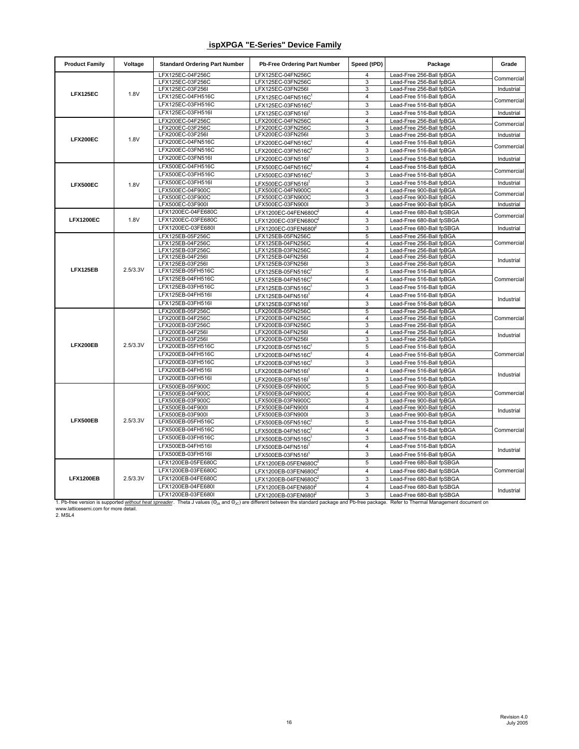### **ispXPGA "E-Series" Device Family**

| LFX125EC-04F256C<br>LFX125EC-04FN256C<br>Lead-Free 256-Ball fpBGA<br>4<br>LFX125EC-03F256C<br>LFX125EC-03FN256C<br>3<br>Lead-Free 256-Ball fpBGA<br>LFX125EC-03F256I<br>3<br>Lead-Free 256-Ball fpBGA<br>LFX125EC-03FN256I<br>LFX125EC<br>1.8V<br>LFX125EC-04FH516C<br>Lead-Free 516-Ball fpBGA<br>4<br>LFX125EC-04FN516C<br>3<br>LFX125EC-03FH516C<br>Lead-Free 516-Ball fpBGA<br>LFX125EC-03FN516C1<br>LFX125EC-03FH516I<br>3<br>Lead-Free 516-Ball fpBGA<br>LFX125EC-03FN516I<br>LFX200EC-04F256C<br>LFX200EC-04FN256C<br>4<br>Lead-Free 256-Ball fpBGA<br>LFX200EC-03F256C<br>LFX200EC-03FN256C<br>3<br>Lead-Free 256-Ball fpBGA<br>3<br>LFX200EC-03F256I<br>LFX200EC-03FN256I<br>Lead-Free 256-Ball fpBGA<br>LFX200EC<br>1.8V<br>LFX200EC-04FN516C<br>4<br>Lead-Free 516-Ball fpBGA<br>LFX200EC-04FN516C1<br>LFX200EC-03FN516C<br>3<br>Lead-Free 516-Ball fpBGA<br>LFX200EC-03FN516C<br>LFX200EC-03FN516I<br>3<br>Lead-Free 516-Ball fpBGA<br>LFX200EC-03FN516I<br>LFX500EC-04FH516C<br>$\overline{4}$<br>Lead-Free 516-Ball fpBGA<br>LFX500EC-04FN516C1<br>LFX500EC-03FH516C<br>3<br>Lead-Free 516-Ball fpBGA<br>LFX500EC-03FN516C<br>LFX500EC-03FH516I<br>3<br>Lead-Free 516-Ball fpBGA<br>LFX500EC-03FN516I<br>LFX500EC<br>1.8V<br>LFX500EC-04F900C<br>$\overline{4}$<br>LFX500EC-04FN900C<br>Lead-Free 900-Ball fpBGA<br>LFX500EC-03F900C<br>LFX500EC-03FN900C<br>3<br>Lead-Free 900-Ball fpBGA<br>LFX500EC-03F900I<br>LFX500EC-03FN900I<br>3<br>Lead-Free 900-Ball fpBGA<br>LFX1200EC-04FE680C<br>$\overline{\mathbf{4}}$<br>Lead-Free 680-Ball fpSBGA<br>LFX1200EC-04FEN680C | Commercial<br>Industrial<br>Commercial<br>Industrial<br>Commercial<br>Industrial<br>Commercial<br>Industrial<br>Commercial<br>Industrial<br>Commercial<br>Industrial |
|-----------------------------------------------------------------------------------------------------------------------------------------------------------------------------------------------------------------------------------------------------------------------------------------------------------------------------------------------------------------------------------------------------------------------------------------------------------------------------------------------------------------------------------------------------------------------------------------------------------------------------------------------------------------------------------------------------------------------------------------------------------------------------------------------------------------------------------------------------------------------------------------------------------------------------------------------------------------------------------------------------------------------------------------------------------------------------------------------------------------------------------------------------------------------------------------------------------------------------------------------------------------------------------------------------------------------------------------------------------------------------------------------------------------------------------------------------------------------------------------------------------------------------------------------------------------------------------------|----------------------------------------------------------------------------------------------------------------------------------------------------------------------|
|                                                                                                                                                                                                                                                                                                                                                                                                                                                                                                                                                                                                                                                                                                                                                                                                                                                                                                                                                                                                                                                                                                                                                                                                                                                                                                                                                                                                                                                                                                                                                                                         |                                                                                                                                                                      |
|                                                                                                                                                                                                                                                                                                                                                                                                                                                                                                                                                                                                                                                                                                                                                                                                                                                                                                                                                                                                                                                                                                                                                                                                                                                                                                                                                                                                                                                                                                                                                                                         |                                                                                                                                                                      |
|                                                                                                                                                                                                                                                                                                                                                                                                                                                                                                                                                                                                                                                                                                                                                                                                                                                                                                                                                                                                                                                                                                                                                                                                                                                                                                                                                                                                                                                                                                                                                                                         |                                                                                                                                                                      |
|                                                                                                                                                                                                                                                                                                                                                                                                                                                                                                                                                                                                                                                                                                                                                                                                                                                                                                                                                                                                                                                                                                                                                                                                                                                                                                                                                                                                                                                                                                                                                                                         |                                                                                                                                                                      |
|                                                                                                                                                                                                                                                                                                                                                                                                                                                                                                                                                                                                                                                                                                                                                                                                                                                                                                                                                                                                                                                                                                                                                                                                                                                                                                                                                                                                                                                                                                                                                                                         |                                                                                                                                                                      |
|                                                                                                                                                                                                                                                                                                                                                                                                                                                                                                                                                                                                                                                                                                                                                                                                                                                                                                                                                                                                                                                                                                                                                                                                                                                                                                                                                                                                                                                                                                                                                                                         |                                                                                                                                                                      |
|                                                                                                                                                                                                                                                                                                                                                                                                                                                                                                                                                                                                                                                                                                                                                                                                                                                                                                                                                                                                                                                                                                                                                                                                                                                                                                                                                                                                                                                                                                                                                                                         |                                                                                                                                                                      |
|                                                                                                                                                                                                                                                                                                                                                                                                                                                                                                                                                                                                                                                                                                                                                                                                                                                                                                                                                                                                                                                                                                                                                                                                                                                                                                                                                                                                                                                                                                                                                                                         |                                                                                                                                                                      |
|                                                                                                                                                                                                                                                                                                                                                                                                                                                                                                                                                                                                                                                                                                                                                                                                                                                                                                                                                                                                                                                                                                                                                                                                                                                                                                                                                                                                                                                                                                                                                                                         |                                                                                                                                                                      |
|                                                                                                                                                                                                                                                                                                                                                                                                                                                                                                                                                                                                                                                                                                                                                                                                                                                                                                                                                                                                                                                                                                                                                                                                                                                                                                                                                                                                                                                                                                                                                                                         |                                                                                                                                                                      |
|                                                                                                                                                                                                                                                                                                                                                                                                                                                                                                                                                                                                                                                                                                                                                                                                                                                                                                                                                                                                                                                                                                                                                                                                                                                                                                                                                                                                                                                                                                                                                                                         |                                                                                                                                                                      |
|                                                                                                                                                                                                                                                                                                                                                                                                                                                                                                                                                                                                                                                                                                                                                                                                                                                                                                                                                                                                                                                                                                                                                                                                                                                                                                                                                                                                                                                                                                                                                                                         |                                                                                                                                                                      |
|                                                                                                                                                                                                                                                                                                                                                                                                                                                                                                                                                                                                                                                                                                                                                                                                                                                                                                                                                                                                                                                                                                                                                                                                                                                                                                                                                                                                                                                                                                                                                                                         |                                                                                                                                                                      |
|                                                                                                                                                                                                                                                                                                                                                                                                                                                                                                                                                                                                                                                                                                                                                                                                                                                                                                                                                                                                                                                                                                                                                                                                                                                                                                                                                                                                                                                                                                                                                                                         |                                                                                                                                                                      |
|                                                                                                                                                                                                                                                                                                                                                                                                                                                                                                                                                                                                                                                                                                                                                                                                                                                                                                                                                                                                                                                                                                                                                                                                                                                                                                                                                                                                                                                                                                                                                                                         |                                                                                                                                                                      |
|                                                                                                                                                                                                                                                                                                                                                                                                                                                                                                                                                                                                                                                                                                                                                                                                                                                                                                                                                                                                                                                                                                                                                                                                                                                                                                                                                                                                                                                                                                                                                                                         |                                                                                                                                                                      |
|                                                                                                                                                                                                                                                                                                                                                                                                                                                                                                                                                                                                                                                                                                                                                                                                                                                                                                                                                                                                                                                                                                                                                                                                                                                                                                                                                                                                                                                                                                                                                                                         |                                                                                                                                                                      |
|                                                                                                                                                                                                                                                                                                                                                                                                                                                                                                                                                                                                                                                                                                                                                                                                                                                                                                                                                                                                                                                                                                                                                                                                                                                                                                                                                                                                                                                                                                                                                                                         | Commercial                                                                                                                                                           |
| <b>LFX1200EC</b><br>1.8V<br>LFX1200EC-03FE680C<br>3<br>Lead-Free 680-Ball fpSBGA<br>LFX1200EC-03FEN680C                                                                                                                                                                                                                                                                                                                                                                                                                                                                                                                                                                                                                                                                                                                                                                                                                                                                                                                                                                                                                                                                                                                                                                                                                                                                                                                                                                                                                                                                                 |                                                                                                                                                                      |
| LFX1200EC-03FE680I<br>3<br>Lead-Free 680-Ball fpSBGA<br>LFX1200EC-03FEN680f                                                                                                                                                                                                                                                                                                                                                                                                                                                                                                                                                                                                                                                                                                                                                                                                                                                                                                                                                                                                                                                                                                                                                                                                                                                                                                                                                                                                                                                                                                             | Industrial                                                                                                                                                           |
| 5<br>LFX125EB-05F256C<br>LFX125EB-05FN256C<br>Lead-Free 256-Ball fpBGA                                                                                                                                                                                                                                                                                                                                                                                                                                                                                                                                                                                                                                                                                                                                                                                                                                                                                                                                                                                                                                                                                                                                                                                                                                                                                                                                                                                                                                                                                                                  |                                                                                                                                                                      |
| LFX125EB-04F256C<br>LFX125EB-04FN256C<br>4<br>Lead-Free 256-Ball fpBGA<br>LFX125EB-03F256C<br>3<br>LFX125EB-03FN256C<br>Lead-Free 256-Ball fpBGA                                                                                                                                                                                                                                                                                                                                                                                                                                                                                                                                                                                                                                                                                                                                                                                                                                                                                                                                                                                                                                                                                                                                                                                                                                                                                                                                                                                                                                        | Commercial                                                                                                                                                           |
| LFX125EB-04F256I<br>LFX125EB-04FN256I<br>4<br>Lead-Free 256-Ball fpBGA                                                                                                                                                                                                                                                                                                                                                                                                                                                                                                                                                                                                                                                                                                                                                                                                                                                                                                                                                                                                                                                                                                                                                                                                                                                                                                                                                                                                                                                                                                                  |                                                                                                                                                                      |
| 3<br>LFX125EB-03F256I<br>LFX125EB-03FN256I<br>Lead-Free 256-Ball fpBGA                                                                                                                                                                                                                                                                                                                                                                                                                                                                                                                                                                                                                                                                                                                                                                                                                                                                                                                                                                                                                                                                                                                                                                                                                                                                                                                                                                                                                                                                                                                  | Industrial                                                                                                                                                           |
| LFX125EB<br>2.5/3.3V<br>LFX125EB-05FH516C<br>5<br>Lead-Free 516-Ball fpBGA<br>LFX125EB-05FN516C                                                                                                                                                                                                                                                                                                                                                                                                                                                                                                                                                                                                                                                                                                                                                                                                                                                                                                                                                                                                                                                                                                                                                                                                                                                                                                                                                                                                                                                                                         |                                                                                                                                                                      |
| LFX125EB-04FH516C<br>4<br>Lead-Free 516-Ball fpBGA<br>LFX125EB-04FN516C                                                                                                                                                                                                                                                                                                                                                                                                                                                                                                                                                                                                                                                                                                                                                                                                                                                                                                                                                                                                                                                                                                                                                                                                                                                                                                                                                                                                                                                                                                                 | Commercial                                                                                                                                                           |
| LFX125EB-03FH516C<br>3<br>Lead-Free 516-Ball fpBGA<br>LFX125EB-03FN516C                                                                                                                                                                                                                                                                                                                                                                                                                                                                                                                                                                                                                                                                                                                                                                                                                                                                                                                                                                                                                                                                                                                                                                                                                                                                                                                                                                                                                                                                                                                 |                                                                                                                                                                      |
| LFX125EB-04FH516I<br>4<br>Lead-Free 516-Ball fpBGA<br>LFX125EB-04FN516I                                                                                                                                                                                                                                                                                                                                                                                                                                                                                                                                                                                                                                                                                                                                                                                                                                                                                                                                                                                                                                                                                                                                                                                                                                                                                                                                                                                                                                                                                                                 | Industrial                                                                                                                                                           |
| LFX125EB-03FH516I<br>3<br>Lead-Free 516-Ball fpBGA<br>LFX125EB-03FN516I                                                                                                                                                                                                                                                                                                                                                                                                                                                                                                                                                                                                                                                                                                                                                                                                                                                                                                                                                                                                                                                                                                                                                                                                                                                                                                                                                                                                                                                                                                                 |                                                                                                                                                                      |
| LFX200EB-05F256C<br>5<br>LFX200EB-05FN256C<br>Lead-Free 256-Ball fpBGA                                                                                                                                                                                                                                                                                                                                                                                                                                                                                                                                                                                                                                                                                                                                                                                                                                                                                                                                                                                                                                                                                                                                                                                                                                                                                                                                                                                                                                                                                                                  |                                                                                                                                                                      |
| LFX200EB-04F256C<br>LFX200EB-04FN256C<br>4<br>Lead-Free 256-Ball fpBGA                                                                                                                                                                                                                                                                                                                                                                                                                                                                                                                                                                                                                                                                                                                                                                                                                                                                                                                                                                                                                                                                                                                                                                                                                                                                                                                                                                                                                                                                                                                  | Commercial                                                                                                                                                           |
| LFX200EB-03F256C<br>LFX200EB-03FN256C<br>3<br>Lead-Free 256-Ball fpBGA                                                                                                                                                                                                                                                                                                                                                                                                                                                                                                                                                                                                                                                                                                                                                                                                                                                                                                                                                                                                                                                                                                                                                                                                                                                                                                                                                                                                                                                                                                                  |                                                                                                                                                                      |
| $\overline{4}$<br>LFX200EB-04F256I<br>LFX200EB-04FN256I<br>Lead-Free 256-Ball fpBGA<br>3<br>LFX200EB-03F256I<br>LFX200EB-03FN256I<br>Lead-Free 256-Ball fpBGA                                                                                                                                                                                                                                                                                                                                                                                                                                                                                                                                                                                                                                                                                                                                                                                                                                                                                                                                                                                                                                                                                                                                                                                                                                                                                                                                                                                                                           | Industrial                                                                                                                                                           |
| LFX200EB<br>2.5/3.3V<br>LFX200EB-05FH516C<br>5<br>Lead-Free 516-Ball fpBGA<br>LFX200EB-05FN516C                                                                                                                                                                                                                                                                                                                                                                                                                                                                                                                                                                                                                                                                                                                                                                                                                                                                                                                                                                                                                                                                                                                                                                                                                                                                                                                                                                                                                                                                                         |                                                                                                                                                                      |
| LFX200EB-04FH516C<br>$\overline{4}$<br>Lead-Free 516-Ball fpBGA<br>LFX200EB-04FN516C                                                                                                                                                                                                                                                                                                                                                                                                                                                                                                                                                                                                                                                                                                                                                                                                                                                                                                                                                                                                                                                                                                                                                                                                                                                                                                                                                                                                                                                                                                    | Commercial                                                                                                                                                           |
| LFX200EB-03FH516C<br>3<br>Lead-Free 516-Ball fpBGA<br>LFX200EB-03FN516C                                                                                                                                                                                                                                                                                                                                                                                                                                                                                                                                                                                                                                                                                                                                                                                                                                                                                                                                                                                                                                                                                                                                                                                                                                                                                                                                                                                                                                                                                                                 |                                                                                                                                                                      |
| LFX200EB-04FH516I<br>4<br>Lead-Free 516-Ball fpBGA<br>LFX200EB-04FN516I                                                                                                                                                                                                                                                                                                                                                                                                                                                                                                                                                                                                                                                                                                                                                                                                                                                                                                                                                                                                                                                                                                                                                                                                                                                                                                                                                                                                                                                                                                                 |                                                                                                                                                                      |
| LFX200EB-03FH516I<br>3<br>Lead-Free 516-Ball fpBGA<br>LFX200EB-03FN516I                                                                                                                                                                                                                                                                                                                                                                                                                                                                                                                                                                                                                                                                                                                                                                                                                                                                                                                                                                                                                                                                                                                                                                                                                                                                                                                                                                                                                                                                                                                 | Industrial                                                                                                                                                           |
| 5<br>LFX500EB-05F900C<br>LFX500EB-05FN900C<br>Lead-Free 900-Ball fpBGA                                                                                                                                                                                                                                                                                                                                                                                                                                                                                                                                                                                                                                                                                                                                                                                                                                                                                                                                                                                                                                                                                                                                                                                                                                                                                                                                                                                                                                                                                                                  |                                                                                                                                                                      |
| LFX500EB-04F900C<br>LFX500EB-04FN900C<br>4<br>Lead-Free 900-Ball fpBGA                                                                                                                                                                                                                                                                                                                                                                                                                                                                                                                                                                                                                                                                                                                                                                                                                                                                                                                                                                                                                                                                                                                                                                                                                                                                                                                                                                                                                                                                                                                  | Commercial                                                                                                                                                           |
| 3<br>LFX500EB-03F900C<br>LFX500EB-03FN900C<br>Lead-Free 900-Ball fpBGA                                                                                                                                                                                                                                                                                                                                                                                                                                                                                                                                                                                                                                                                                                                                                                                                                                                                                                                                                                                                                                                                                                                                                                                                                                                                                                                                                                                                                                                                                                                  |                                                                                                                                                                      |
| LFX500EB-04F900I<br>LFX500EB-04FN900I<br>4<br>Lead-Free 900-Ball fpBGA                                                                                                                                                                                                                                                                                                                                                                                                                                                                                                                                                                                                                                                                                                                                                                                                                                                                                                                                                                                                                                                                                                                                                                                                                                                                                                                                                                                                                                                                                                                  | Industrial                                                                                                                                                           |
| LFX500EB-03F900I<br>LFX500EB-03FN900I<br>3<br>Lead-Free 900-Ball fpBGA<br>LFX500EB<br>2.5/3.3V                                                                                                                                                                                                                                                                                                                                                                                                                                                                                                                                                                                                                                                                                                                                                                                                                                                                                                                                                                                                                                                                                                                                                                                                                                                                                                                                                                                                                                                                                          |                                                                                                                                                                      |
| LFX500EB-05FH516C<br>5<br>Lead-Free 516-Ball fpBGA<br>LFX500EB-05FN516C                                                                                                                                                                                                                                                                                                                                                                                                                                                                                                                                                                                                                                                                                                                                                                                                                                                                                                                                                                                                                                                                                                                                                                                                                                                                                                                                                                                                                                                                                                                 |                                                                                                                                                                      |
| LFX500EB-04FH516C<br>4<br>Lead-Free 516-Ball fpBGA<br>LFX500EB-04FN516C                                                                                                                                                                                                                                                                                                                                                                                                                                                                                                                                                                                                                                                                                                                                                                                                                                                                                                                                                                                                                                                                                                                                                                                                                                                                                                                                                                                                                                                                                                                 | Commercial                                                                                                                                                           |
| LFX500EB-03FH516C<br>3<br>Lead-Free 516-Ball fpBGA<br>LFX500EB-03FN516C                                                                                                                                                                                                                                                                                                                                                                                                                                                                                                                                                                                                                                                                                                                                                                                                                                                                                                                                                                                                                                                                                                                                                                                                                                                                                                                                                                                                                                                                                                                 |                                                                                                                                                                      |
| LFX500EB-04FH516I<br>4<br>Lead-Free 516-Ball fpBGA<br>LFX500EB-04FN516I                                                                                                                                                                                                                                                                                                                                                                                                                                                                                                                                                                                                                                                                                                                                                                                                                                                                                                                                                                                                                                                                                                                                                                                                                                                                                                                                                                                                                                                                                                                 | Industrial                                                                                                                                                           |
| LFX500EB-03FH516I<br>3<br>Lead-Free 516-Ball fpBGA<br>LFX500EB-03FN516I                                                                                                                                                                                                                                                                                                                                                                                                                                                                                                                                                                                                                                                                                                                                                                                                                                                                                                                                                                                                                                                                                                                                                                                                                                                                                                                                                                                                                                                                                                                 |                                                                                                                                                                      |
| LFX1200EB-05FE680C<br>5<br>Lead-Free 680-Ball fpSBGA<br>LFX1200EB-05FEN680C2                                                                                                                                                                                                                                                                                                                                                                                                                                                                                                                                                                                                                                                                                                                                                                                                                                                                                                                                                                                                                                                                                                                                                                                                                                                                                                                                                                                                                                                                                                            |                                                                                                                                                                      |
| LFX1200EB-03FE680C<br>$\overline{4}$<br>Lead-Free 680-Ball fpSBGA<br>LFX1200EB-03FEN680C2                                                                                                                                                                                                                                                                                                                                                                                                                                                                                                                                                                                                                                                                                                                                                                                                                                                                                                                                                                                                                                                                                                                                                                                                                                                                                                                                                                                                                                                                                               | Commercial                                                                                                                                                           |
| LFX1200EB-04FE680C<br><b>LFX1200EB</b><br>3<br>2.5/3.3V<br>Lead-Free 680-Ball fpSBGA<br>LFX1200EB-04FEN680C                                                                                                                                                                                                                                                                                                                                                                                                                                                                                                                                                                                                                                                                                                                                                                                                                                                                                                                                                                                                                                                                                                                                                                                                                                                                                                                                                                                                                                                                             |                                                                                                                                                                      |
| LFX1200EB-04FE680I<br>Lead-Free 680-Ball fpSBGA<br>LFX1200EB-04FEN680I2<br>4                                                                                                                                                                                                                                                                                                                                                                                                                                                                                                                                                                                                                                                                                                                                                                                                                                                                                                                                                                                                                                                                                                                                                                                                                                                                                                                                                                                                                                                                                                            | Industrial                                                                                                                                                           |
| LFX1200EB-03FE680I<br>3<br>Lead-Free 680-Ball fpSBGA<br>LFX1200EB-03FEN680I <sup>4</sup><br>1. Pb-free version is supported without heat spreader. Theta J values (O <sub>JA</sub> and O <sub>JC</sub> ) are different between the standard package and Pb-free package. Refer to Thermal Management document on                                                                                                                                                                                                                                                                                                                                                                                                                                                                                                                                                                                                                                                                                                                                                                                                                                                                                                                                                                                                                                                                                                                                                                                                                                                                        |                                                                                                                                                                      |

www.latticesemi.com for more detail.<br>2. MSL4 1. Pb-free version is supported *without heat spreader*. Theta J values (Θ<sub>JA</sub> and Θ<sub>JC</sub>) are different between the standard package and Pb-free package. Refer to Thermal Management document on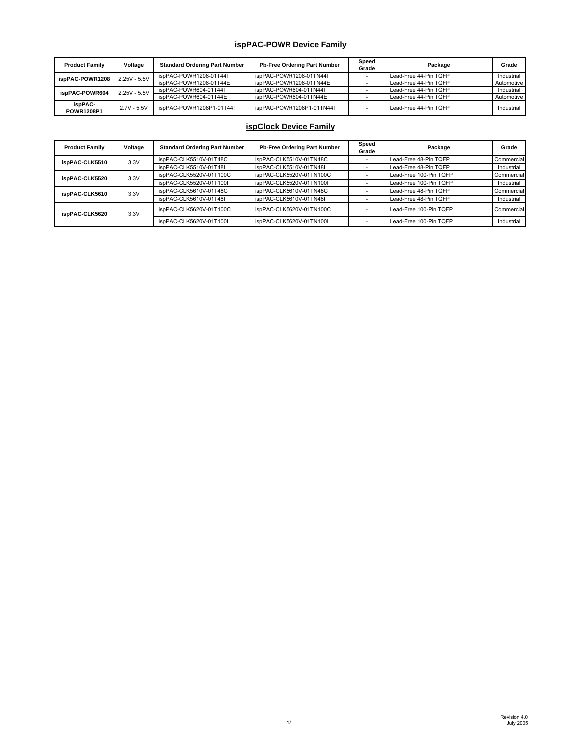#### **ispPAC-POWR Device Family**

| <b>Product Family</b> | Voltage        | <b>Standard Ordering Part Number</b> | <b>Pb-Free Ordering Part Number</b> | Speed<br>Grade | Package               | Grade      |
|-----------------------|----------------|--------------------------------------|-------------------------------------|----------------|-----------------------|------------|
| ispPAC-POWR1208       | $2.25V - 5.5V$ | ispPAC-POWR1208-01T44I               | ispPAC-POWR1208-01TN44I             |                | Lead-Free 44-Pin TQFP | Industrial |
|                       |                | ispPAC-POWR1208-01T44E               | ispPAC-POWR1208-01TN44E             |                | Lead-Free 44-Pin TQFP | Automotive |
| ispPAC-POWR604        | $2.25V - 5.5V$ | ispPAC-POWR604-01T44I                | ispPAC-POWR604-01TN44I              |                | Lead-Free 44-Pin TQFP | Industrial |
|                       |                | ispPAC-POWR604-01T44E                | ispPAC-POWR604-01TN44E              |                | Lead-Free 44-Pin TQFP | Automotive |
| ispPAC-<br>POWR1208P1 | $2.7V - 5.5V$  | ispPAC-POWR1208P1-01T44I             | ispPAC-POWR1208P1-01TN44I           |                | Lead-Free 44-Pin TQFP | Industrial |

# **ispClock Device Family**

| <b>Product Family</b> | Voltage | <b>Standard Ordering Part Number</b> | Pb-Free Ordering Part Number | Speed<br>Grade | Package                | Grade      |
|-----------------------|---------|--------------------------------------|------------------------------|----------------|------------------------|------------|
| ispPAC-CLK5510        | 3.3V    | ispPAC-CLK5510V-01T48C               | ispPAC-CLK5510V-01TN48C      |                | Lead-Free 48-Pin TQFP  | Commercial |
|                       |         | ispPAC-CLK5510V-01T48I               | ispPAC-CLK5510V-01TN48I      |                | Lead-Free 48-Pin TQFP  | Industrial |
| ispPAC-CLK5520        | 3.3V    | ispPAC-CLK5520V-01T100C              | ispPAC-CLK5520V-01TN100C     |                | Lead-Free 100-Pin TQFP | Commercial |
|                       |         | ispPAC-CLK5520V-01T100I              | ispPAC-CLK5520V-01TN100I     |                | Lead-Free 100-Pin TQFP | Industrial |
| ispPAC-CLK5610        | 3.3V    | ispPAC-CLK5610V-01T48C               | ispPAC-CLK5610V-01TN48C      |                | Lead-Free 48-Pin TQFP  | Commercial |
|                       |         | ispPAC-CLK5610V-01T48I               | ispPAC-CLK5610V-01TN48I      |                | Lead-Free 48-Pin TQFP  | Industrial |
| ispPAC-CLK5620        | 3.3V    | ispPAC-CLK5620V-01T100C              | ispPAC-CLK5620V-01TN100C     |                | Lead-Free 100-Pin TQFP | Commercial |
|                       |         | ispPAC-CLK5620V-01T100I              | ispPAC-CLK5620V-01TN100I     |                | Lead-Free 100-Pin TQFP | Industrial |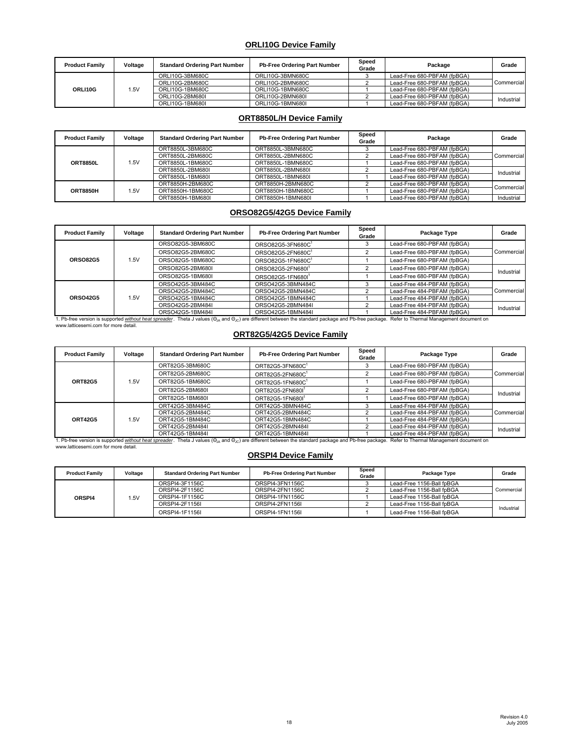#### **ORLI10G Device Family**

| <b>Product Family</b> | Voltage | <b>Standard Ordering Part Number</b> | <b>Pb-Free Ordering Part Number</b> | Speed<br>Grade | Package                     | Grade                    |
|-----------------------|---------|--------------------------------------|-------------------------------------|----------------|-----------------------------|--------------------------|
| ORLI10G               | 1.5V    | ORLI10G-3BM680C                      | ORLI10G-3BMN680C                    |                | Lead-Free 680-PBFAM (fpBGA) | Commercial<br>Industrial |
|                       |         | ORLI10G-2BM680C                      | ORLI10G-2BMN680C                    |                | Lead-Free 680-PBFAM (fpBGA) |                          |
|                       |         | ORLI10G-1BM680C                      | ORLI10G-1BMN680C                    |                | Lead-Free 680-PBFAM (fpBGA) |                          |
|                       |         | ORLI10G-2BM680I                      | ORLI10G-2BMN680L                    |                | Lead-Free 680-PBFAM (fpBGA) |                          |
|                       |         | ORLI10G-1BM680I                      | ORLI10G-1BMN680I                    |                | Lead-Free 680-PBFAM (fpBGA) |                          |

#### **ORT8850L/H Device Family**

| <b>Product Family</b> | Voltage | <b>Standard Ordering Part Number</b> | <b>Pb-Free Ordering Part Number</b> | Speed<br>Grade | Package                     | Grade      |
|-----------------------|---------|--------------------------------------|-------------------------------------|----------------|-----------------------------|------------|
|                       |         | ORT8850L-3BM680C                     | ORT8850L-3BMN680C                   |                | Lead-Free 680-PBFAM (fpBGA) | Commercial |
| <b>ORT8850L</b>       |         | ORT8850L-2BM680C                     | ORT8850L-2BMN680C                   |                | Lead-Free 680-PBFAM (fpBGA) |            |
|                       | 1.5V    | ORT8850L-1BM680C                     | ORT8850L-1BMN680C                   |                | Lead-Free 680-PBFAM (fpBGA) |            |
|                       |         | ORT8850L-2BM680I                     | ORT8850L-2BMN680I                   |                | Lead-Free 680-PBFAM (fpBGA) | Industrial |
|                       |         | ORT8850L-1BM680I                     | ORT8850L-1BMN680I                   |                | Lead-Free 680-PBFAM (fpBGA) |            |
| <b>ORT8850H</b>       |         | ORT8850H-2BM680C                     | ORT8850H-2BMN680C                   |                | Lead-Free 680-PBFAM (fpBGA) | Commercial |
|                       | 1.5V    | ORT8850H-1BM680C                     | ORT8850H-1BMN680C                   |                | Lead-Free 680-PBFAM (fpBGA) |            |
|                       |         | ORT8850H-1BM680I                     | ORT8850H-1BMN680I                   |                | Lead-Free 680-PBFAM (fpBGA) | Industrial |

#### **ORSO82G5/42G5 Device Family**

| <b>Product Family</b> | Voltage | <b>Standard Ordering Part Number</b> | Pb-Free Ordering Part Number  | Speed<br>Grade | Package Type                                                                                                                                                                                                                   | Grade                    |
|-----------------------|---------|--------------------------------------|-------------------------------|----------------|--------------------------------------------------------------------------------------------------------------------------------------------------------------------------------------------------------------------------------|--------------------------|
| <b>ORSO82G5</b>       |         | ORSO82G5-3BM680C                     | ORSO82G5-3FN680C              |                | Lead-Free 680-PBFAM (fpBGA)                                                                                                                                                                                                    |                          |
|                       |         | ORSO82G5-2BM680C                     | ORSO82G5-2FN680C1             |                | Lead-Free 680-PBFAM (fpBGA)                                                                                                                                                                                                    | Commercial               |
|                       | 1.5V    | ORSO82G5-1BM680C                     | ORSO82G5-1FN680C1             |                | Lead-Free 680-PBFAM (fpBGA)                                                                                                                                                                                                    |                          |
|                       |         | ORSO82G5-2BM680I                     | ORSO82G5-2FN6801              |                | Lead-Free 680-PBFAM (fpBGA)                                                                                                                                                                                                    | Industrial               |
|                       |         | ORSO82G5-1BM680I                     | ORSO82G5-1FN680I <sup>1</sup> |                | Lead-Free 680-PBFAM (fpBGA)                                                                                                                                                                                                    |                          |
|                       |         | ORSO42G5-3BM484C                     | ORSO42G5-3BMN484C             |                | Lead-Free 484-PBFAM (fpBGA)                                                                                                                                                                                                    |                          |
|                       |         | ORSO42G5-2BM484C                     | ORSO42G5-2BMN484C             |                | Lead-Free 484-PBFAM (fpBGA)                                                                                                                                                                                                    | Commercial<br>Industrial |
| <b>ORSO42G5</b>       | 1.5V    | ORSO42G5-1BM484C                     | ORSO42G5-1BMN484C             |                | Lead-Free 484-PBFAM (fpBGA)                                                                                                                                                                                                    |                          |
|                       |         | ORSO42G5-2BM484I                     | ORSO42G5-2BMN484I             |                | Lead-Free 484-PBFAM (fpBGA)                                                                                                                                                                                                    |                          |
|                       |         | ORSO42G5-1BM484I                     | ORSO42G5-1BMN484I             |                | Lead-Free 484-PBFAM (fpBGA)                                                                                                                                                                                                    |                          |
|                       |         |                                      |                               |                | . Pb-free version is supported without heat spreader. Theta J values ( $\Theta_{\text{IA}}$ and $\Theta_{\text{IC}}$ ) are different between the standard package and Pb-free package. Refer to Thermal Management document on |                          |

www.latticesemi.com for more detail.

## **ORT82G5/42G5 Device Family**

| <b>Product Family</b>                | Voltage | <b>Standard Ordering Part Number</b> | Pb-Free Ordering Part Number                                                                                                                                              | Speed<br>Grade | Package Type                            | Grade      |
|--------------------------------------|---------|--------------------------------------|---------------------------------------------------------------------------------------------------------------------------------------------------------------------------|----------------|-----------------------------------------|------------|
| <b>ORT82G5</b>                       | 1.5V    | ORT82G5-3BM680C                      | ORT82G5-3FN680C                                                                                                                                                           |                | Lead-Free 680-PBFAM (fpBGA)             | Commercial |
|                                      |         | ORT82G5-2BM680C                      | ORT82G5-2FN680C                                                                                                                                                           |                | Lead-Free 680-PBFAM (fpBGA)             |            |
|                                      |         | ORT82G5-1BM680C                      | ORT82G5-1FN680C1                                                                                                                                                          |                | Lead-Free 680-PBFAM (fpBGA)             |            |
|                                      |         | ORT82G5-2BM680L                      | ORT82G5-2FN6801                                                                                                                                                           |                | Lead-Free 680-PBFAM (fpBGA)             | Industrial |
|                                      |         | ORT82G5-1BM680I                      | ORT82G5-1FN680I <sup>1</sup>                                                                                                                                              |                | Lead-Free 680-PBFAM (fpBGA)             |            |
| <b>ORT42G5</b>                       | 1.5V    | ORT42G5-3BM484C                      | ORT42G5-3BMN484C                                                                                                                                                          |                | Lead-Free 484-PBFAM (fpBGA)             | Commercial |
|                                      |         | ORT42G5-2BM484C                      | ORT42G5-2BMN484C                                                                                                                                                          |                | Lead-Free 484-PBFAM (fpBGA)             |            |
|                                      |         | ORT42G5-1BM484C                      | ORT42G5-1BMN484C                                                                                                                                                          |                | Lead-Free 484-PBFAM (fpBGA)             |            |
|                                      |         | ORT42G5-2BM484I                      | ORT42G5-2BMN484I                                                                                                                                                          |                | Lead-Free 484-PBFAM (fpBGA)             | Industrial |
|                                      |         | ORT42G5-1BM484I                      | ORT42G5-1BMN484I                                                                                                                                                          |                | Lead-Free 484-PBFAM (fpBGA)             |            |
|                                      |         |                                      | I. Pb-free version is supported without heat spreader. Theta J values ( $\Theta_{lA}$ and $\Theta_{lC}$ ) are different between the standard package and Pb-free package. |                | Refer to Thermal Management document on |            |
| www.latticesemi.com for more detail. |         |                                      |                                                                                                                                                                           |                |                                         |            |

# **ORSPI4 Device Family**

| <b>Product Family</b> | Voltage | <b>Standard Ordering Part Number</b> | <b>Pb-Free Ordering Part Number</b> | Speed<br>Grade | Package Type              | Grade      |
|-----------------------|---------|--------------------------------------|-------------------------------------|----------------|---------------------------|------------|
| ORSPI4                | 1.5V    | ORSPI4-3F1156C                       | ORSPI4-3FN1156C                     |                | Lead-Free 1156-Ball fpBGA | Commercial |
|                       |         | ORSPI4-2F1156C                       | ORSPI4-2FN1156C                     |                | Lead-Free 1156-Ball fpBGA |            |
|                       |         | ORSPI4-1F1156C                       | ORSPI4-1FN1156C                     |                | Lead-Free 1156-Ball fpBGA |            |
|                       |         | ORSPI4-2F1156I                       | ORSPI4-2FN1156L                     |                | Lead-Free 1156-Ball fpBGA | Industrial |
|                       |         | ORSPI4-1F1156L                       | ORSPI4-1FN1156L                     |                | Lead-Free 1156-Ball fpBGA |            |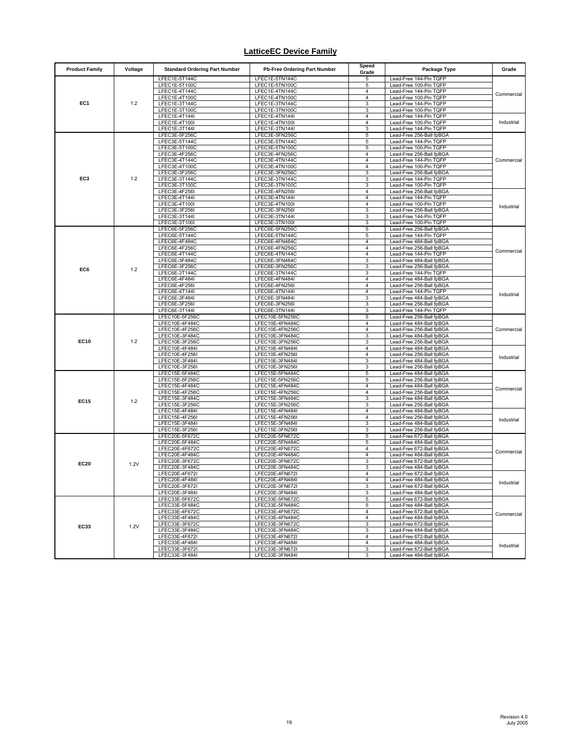## **LatticeEC Device Family**

| <b>Product Family</b> | Voltage | <b>Standard Ordering Part Number</b> | <b>Pb-Free Ordering Part Number</b> | Speed<br>Grade      | Package Type                                         | Grade                                  |
|-----------------------|---------|--------------------------------------|-------------------------------------|---------------------|------------------------------------------------------|----------------------------------------|
|                       |         | LFEC1E-5T144C                        | LFEC1E-5TN144C                      | 5                   | Lead-Free 144-Pin TQFP                               | Commercial                             |
|                       |         | LFEC1E-5T100C<br>LFEC1E-4T144C       | LFEC1E-5TN100C<br>LFEC1E-4TN144C    | 5<br>4              | Lead-Free 100-Pin TQFP<br>Lead-Free 144-Pin TQFP     |                                        |
| EC1                   | 1.2     | LFEC1E-4T100C                        | LFEC1E-4TN100C                      | 4                   | Lead-Free 100-Pin TQFP                               |                                        |
|                       |         | LFEC1E-3T144C                        | LFEC1E-3TN144C                      | 3                   | Lead-Free 144-Pin TQFP                               |                                        |
|                       |         | LFEC1E-3T100C                        | LFEC1E-3TN100C                      | 3                   | Lead-Free 100-Pin TQFP                               | Industrial                             |
|                       |         | LFEC1E-4T144I<br>LFEC1E-4T100I       | LFEC1E-4TN144I<br>LFEC1E-4TN100I    | 4<br>$\overline{4}$ | Lead-Free 144-Pin TQFP<br>Lead-Free 100-Pin TQFP     |                                        |
|                       |         | LFEC1E-3T144I                        | LFEC1E-3TN144I                      | 3                   | Lead-Free 144-Pin TQFP                               |                                        |
|                       |         | LFEC3E-5F256C                        | LFEC3E-5FN256C                      | 5                   | Lead-Free 256-Ball fpBGA                             | Commercial                             |
|                       |         | LFEC3E-5T144C                        | LFEC3E-5TN144C                      | 5                   | Lead-Free 144-Pin TQFP                               |                                        |
|                       |         | LFEC3E-5T100C<br>LFEC3E-4F256C       | LFEC3E-5TN100C<br>LFEC3E-4FN256C    | 5<br>4              | Lead-Free 100-Pin TQFP<br>Lead-Free 256-Ball fpBGA   |                                        |
|                       |         | LFEC3E-4T144C                        | LFEC3E-4TN144C                      | 4                   | Lead-Free 144-Pin TQFP                               |                                        |
|                       |         | LFEC3E-4T100C                        | LFEC3E-4TN100C                      | 4                   | Lead-Free 100-Pin TQFP                               |                                        |
|                       |         | LFEC3E-3F256C                        | LFEC3E-3FN256C                      | 3                   | Lead-Free 256-Ball fpBGA                             |                                        |
| EC3                   | 1.2     | LFEC3E-3T144C<br>LFEC3E-3T100C       | LFEC3E-3TN144C                      | 3                   | Lead-Free 144-Pin TQFP<br>Lead-Free 100-Pin TQFP     |                                        |
|                       |         | LFEC3E-4F256I                        | LFEC3E-3TN100C<br>LFEC3E-4FN256I    | 3<br>4              | Lead-Free 256-Ball fpBGA                             |                                        |
|                       |         | LFEC3E-4T144I                        | LFEC3E-4TN144I                      | 4                   | Lead-Free 144-Pin TQFP                               |                                        |
|                       |         | LFEC3E-4T100I                        | LFEC3E-4TN100I                      | 4                   | Lead-Free 100-Pin TQFP                               | Industrial                             |
|                       |         | LFEC3E-3F256I                        | LFEC3E-3FN256I                      | 3                   | Lead-Free 256-Ball fpBGA                             |                                        |
|                       |         | LFEC3E-3T144I<br>LFEC3E-3T100I       | LFEC3E-3TN144I<br>LFEC3E-3TN100I    | 3<br>3              | Lead-Free 144-Pin TQFP<br>Lead-Free 100-Pin TQFP     |                                        |
|                       |         | LFEC6E-5F256C                        | LFEC6E-5FN256C                      | 5                   | Lead-Free 256-Ball fpBGA                             |                                        |
|                       |         | LFEC6E-5T144C                        | LFEC6E-5TN144C                      | 5                   | Lead-Free 144-Pin TQFP                               |                                        |
|                       |         | LFEC6E-4F484C                        | LFEC6E-4FN484C                      | 4                   | Lead-Free 484-Ball fpBGA                             |                                        |
|                       |         | LFEC6E-4F256C<br>LFEC6E-4T144C       | LFEC6E-4FN256C<br>LFEC6E-4TN144C    | 4<br>4              | Lead-Free 256-Ball fpBGA<br>Lead-Free 144-Pin TQFP   | Commercial                             |
|                       |         | LFEC6E-3F484C                        | LFEC6E-3FN484C                      | 3                   | Lead-Free 484-Ball fpBGA                             |                                        |
| EC6                   | 1.2     | LFEC6E-3F256C                        | LFEC6E-3FN256C                      | 3                   | Lead-Free 256-Ball fpBGA                             | Industrial<br>Commercial<br>Industrial |
|                       |         | LFEC6E-3T144C                        | LFEC6E-3TN144C                      | 3                   | Lead-Free 144-Pin TQFP                               |                                        |
|                       |         | LFEC6E-4F484I<br>LFEC6E-4F256I       | LFEC6E-4FN484I<br>LFEC6E-4FN256I    | 4<br>4              | Lead-Free 484-Ball fpBGA<br>Lead-Free 256-Ball fpBGA |                                        |
|                       |         | LFEC6E-4T144I                        | LFEC6E-4TN144I                      | 4                   | Lead-Free 144-Pin TQFP                               |                                        |
|                       |         | LFEC6E-3F484I                        | LFEC6E-3FN484I                      | 3                   | Lead-Free 484-Ball fpBGA                             |                                        |
|                       |         | LFEC6E-3F256I                        | LFEC6E-3FN256I                      | 3                   | Lead-Free 256-Ball fpBGA                             |                                        |
|                       |         | LFEC6E-3T144I<br>LFEC10E-5F256C      | LFEC6E-3TN144I<br>LFEC10E-5FN256C   | 3<br>5              | Lead-Free 144-Pin TQFP<br>Lead-Free 256-Ball fpBGA   |                                        |
|                       | 1.2     | LFEC10E-4F484C                       | LFEC10E-4FN484C                     | 4                   | Lead-Free 484-Ball fpBGA                             |                                        |
|                       |         | LFEC10E-4F256C                       | LFEC10E-4FN256C                     | 4                   | Lead-Free 256-Ball fpBGA                             |                                        |
|                       |         | LFEC10E-3F484C                       | LFEC10E-3FN484C                     | 3                   | Lead-Free 484-Ball fpBGA                             |                                        |
| <b>EC10</b>           |         | LFEC10E-3F256C<br>LFEC10E-4F484I     | LFEC10E-3FN256C<br>LFEC10E-4FN484I  | 3<br>4              | Lead-Free 256-Ball fpBGA<br>Lead-Free 484-Ball fpBGA |                                        |
|                       |         | LFEC10E-4F256I                       | LFEC10E-4FN256I                     | 4                   | Lead-Free 256-Ball fpBGA                             |                                        |
|                       |         | LFEC10E-3F484I                       | LFEC10E-3FN484I                     | 3                   | Lead-Free 484-Ball fpBGA                             |                                        |
|                       |         | LFEC10E-3F256I                       | LFEC10E-3FN256I                     | 3                   | Lead-Free 256-Ball fpBGA                             |                                        |
|                       | 1.2     | LFEC15E-5F484C<br>LFEC15E-5F256C     | LFEC15E-5FN484C<br>LFEC15E-5FN256C  | 5<br>5              | Lead-Free 484-Ball fpBGA<br>Lead-Free 256-Ball fpBGA | Commercial<br>Industrial               |
|                       |         | LFEC15E-4F484C                       | LFEC15E-4FN484C                     | 4                   | Lead-Free 484-Ball fpBGA                             |                                        |
|                       |         | LFEC15E-4F256C                       | LFEC15E-4FN256C                     | 4                   | Lead-Free 256-Ball fpBGA                             |                                        |
| <b>EC15</b>           |         | LFEC15E-3F484C                       | LFEC15E-3FN484C                     | 3                   | Lead-Free 484-Ball fpBGA                             |                                        |
|                       |         | LFEC15E-3F256C<br>LFEC15E-4F484I     | LFEC15E-3FN256C<br>LFEC15E-4FN484I  | 3<br>4              | Lead-Free 256-Ball fpBGA<br>Lead-Free 484-Ball fpBGA |                                        |
|                       |         | LFEC15E-4F256I                       | LFEC15E-4FN256I                     | 4                   | Lead-Free 256-Ball fpBGA                             |                                        |
|                       |         | LFEC15E-3F484I                       | LFEC15E-3FN484I                     | 3                   | Lead-Free 484-Ball fpBGA                             |                                        |
|                       |         | LFEC15E-3F256I                       | LFEC15E-3FN256I                     | 3                   | Lead-Free 256-Ball fpBGA                             |                                        |
|                       |         | LFEC20E-5F672C<br>LFEC20E-5F484C     | LFEC20E-5FN672C<br>LFEC20E-5FN484C  | 5<br>5              | Lead-Free 672-Ball fpBGA<br>Lead-Free 484-Ball fpBGA | Commercial                             |
|                       |         | LFEC20E-4F672C                       | LFEC20E-4FN672C                     | 4                   | Lead-Free 672-Ball fpBGA                             |                                        |
|                       | 1.2V    | LFEC20E-4F484C                       | LFEC20E-4FN484C                     | 4                   | Lead-Free 484-Ball fpBGA                             |                                        |
| <b>EC20</b>           |         | LFEC20E-3F672C                       | LFEC20E-3FN672C                     | 3                   | Lead-Free 672-Ball fpBGA                             |                                        |
|                       |         | LFEC20E-3F484C<br>LFEC20E-4F672I     | LFEC20E-3FN484C<br>LFEC20E-4FN672I  | 3<br>4              | Lead-Free 484-Ball fpBGA<br>Lead-Free 672-Ball fpBGA |                                        |
|                       |         | LFEC20E-4F484I                       | LFEC20E-4FN484I                     | $\overline{4}$      | Lead-Free 484-Ball fpBGA                             |                                        |
|                       |         | LFEUZUE-SF07ZI                       | LFEUZUE-3FN6/ZI                     |                     | Lead-Free 672-Ball tpBGA                             | Industrial                             |
|                       |         | LFEC20E-3F484I                       | LFEC20E-3FN484I                     | 3                   | Lead-Free 484-Ball fpBGA                             |                                        |
|                       |         | LFEC33E-5F672C                       | LFEC33E-5FN672C<br>LFEC33E-5FN484C  | 5                   | Lead-Free 672-Ball fpBGA<br>Lead-Free 484-Ball fpBGA | Commercial                             |
| <b>EC33</b>           | 1.2V    | LFEC33E-5F484C<br>LFEC33E-4F672C     | LFEC33E-4FN672C                     | 5<br>4              | Lead-Free 672-Ball fpBGA                             |                                        |
|                       |         | LFEC33E-4F484C                       | LFEC33E-4FN484C                     | 4                   | Lead-Free 484-Ball fpBGA                             |                                        |
|                       |         | LFEC33E-3F672C                       | LFEC33E-3FN672C                     | 3                   | Lead-Free 672-Ball fpBGA                             |                                        |
|                       |         | LFEC33E-3F484C                       | LFEC33E-3FN484C                     | 3<br>4              | Lead-Free 484-Ball fpBGA<br>Lead-Free 672-Ball fpBGA |                                        |
|                       |         | LFEC33E-4F672I<br>LFEC33E-4F484I     | LFEC33E-4FN672I<br>LFEC33E-4FN484I  | 4                   | Lead-Free 484-Ball fpBGA                             |                                        |
|                       |         | LFEC33E-3F672I                       | LFEC33E-3FN672I                     | 3                   | Lead-Free 672-Ball fpBGA                             | Industrial                             |
|                       |         | LFEC33E-3F484I                       | LFEC33E-3FN484I                     | 3                   | Lead-Free 484-Ball fpBGA                             |                                        |